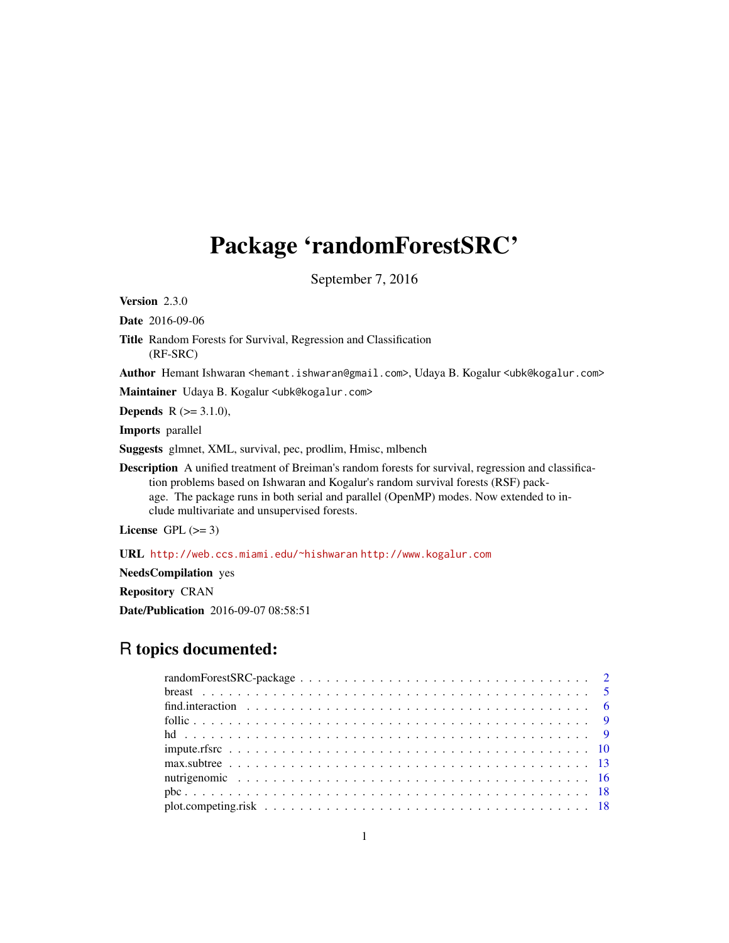# Package 'randomForestSRC'

September 7, 2016

Version 2.3.0

Date 2016-09-06

Title Random Forests for Survival, Regression and Classification (RF-SRC)

Author Hemant Ishwaran <hemant.ishwaran@gmail.com>, Udaya B. Kogalur <ubk@kogalur.com>

Maintainer Udaya B. Kogalur <ubk@kogalur.com>

**Depends** R  $(>= 3.1.0)$ ,

Imports parallel

Suggests glmnet, XML, survival, pec, prodlim, Hmisc, mlbench

Description A unified treatment of Breiman's random forests for survival, regression and classification problems based on Ishwaran and Kogalur's random survival forests (RSF) package. The package runs in both serial and parallel (OpenMP) modes. Now extended to include multivariate and unsupervised forests.

License GPL  $(>= 3)$ 

URL <http://web.ccs.miami.edu/~hishwaran> <http://www.kogalur.com>

NeedsCompilation yes

Repository CRAN

Date/Publication 2016-09-07 08:58:51

# R topics documented: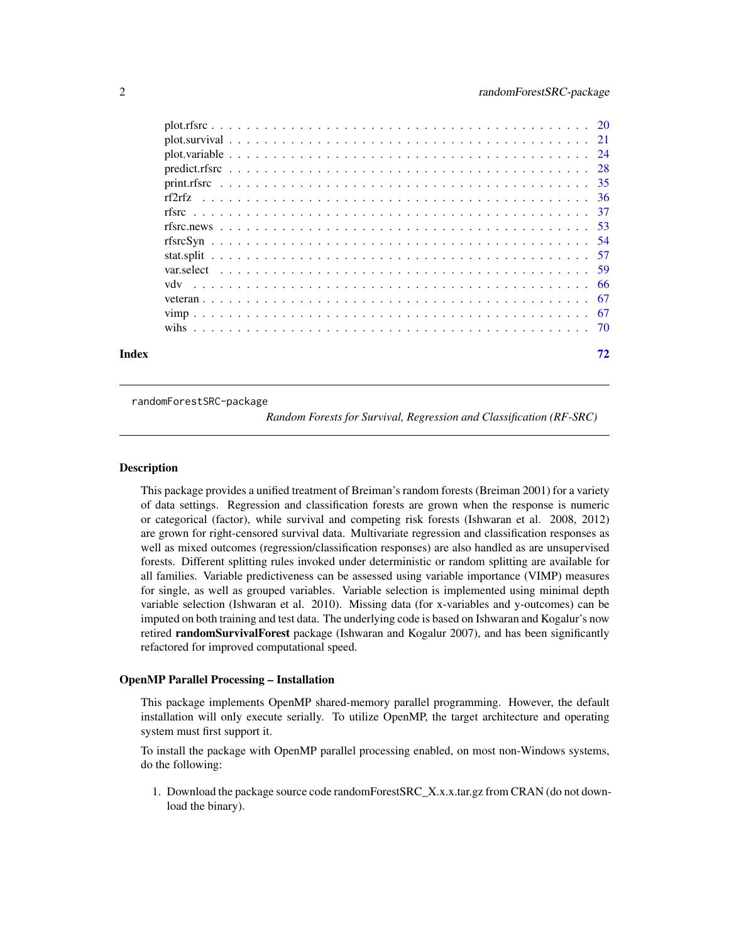<span id="page-1-0"></span>

randomForestSRC-package

*Random Forests for Survival, Regression and Classification (RF-SRC)*

#### Description

This package provides a unified treatment of Breiman's random forests (Breiman 2001) for a variety of data settings. Regression and classification forests are grown when the response is numeric or categorical (factor), while survival and competing risk forests (Ishwaran et al. 2008, 2012) are grown for right-censored survival data. Multivariate regression and classification responses as well as mixed outcomes (regression/classification responses) are also handled as are unsupervised forests. Different splitting rules invoked under deterministic or random splitting are available for all families. Variable predictiveness can be assessed using variable importance (VIMP) measures for single, as well as grouped variables. Variable selection is implemented using minimal depth variable selection (Ishwaran et al. 2010). Missing data (for x-variables and y-outcomes) can be imputed on both training and test data. The underlying code is based on Ishwaran and Kogalur's now retired **randomSurvivalForest** package (Ishwaran and Kogalur 2007), and has been significantly refactored for improved computational speed.

#### OpenMP Parallel Processing – Installation

This package implements OpenMP shared-memory parallel programming. However, the default installation will only execute serially. To utilize OpenMP, the target architecture and operating system must first support it.

To install the package with OpenMP parallel processing enabled, on most non-Windows systems, do the following:

1. Download the package source code randomForestSRC\_X.x.x.tar.gz from CRAN (do not download the binary).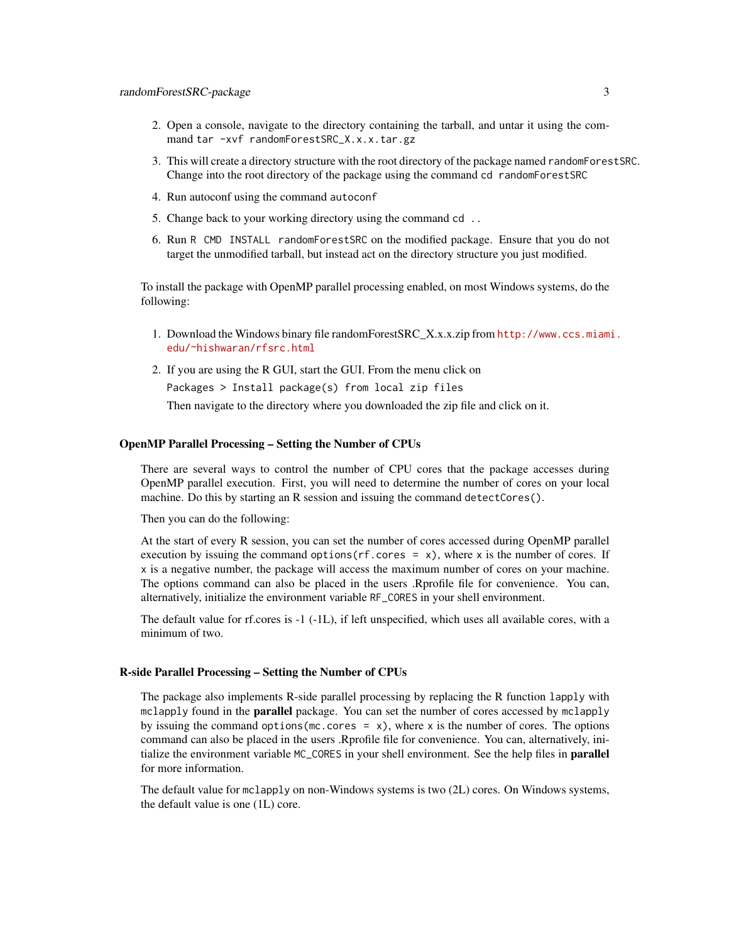- 2. Open a console, navigate to the directory containing the tarball, and untar it using the command tar -xvf randomForestSRC\_X.x.x.tar.gz
- 3. This will create a directory structure with the root directory of the package named randomForestSRC. Change into the root directory of the package using the command cd randomForestSRC
- 4. Run autoconf using the command autoconf
- 5. Change back to your working directory using the command cd ..
- 6. Run R CMD INSTALL randomForestSRC on the modified package. Ensure that you do not target the unmodified tarball, but instead act on the directory structure you just modified.

To install the package with OpenMP parallel processing enabled, on most Windows systems, do the following:

- 1. Download the Windows binary file randomForestSRC\_X.x.x.zip from [http://www.ccs.miami](http://www.ccs.miami.edu/~hishwaran/rfsrc.html). [edu/~hishwaran/rfsrc.html](http://www.ccs.miami.edu/~hishwaran/rfsrc.html)
- 2. If you are using the R GUI, start the GUI. From the menu click on

Packages > Install package(s) from local zip files

Then navigate to the directory where you downloaded the zip file and click on it.

# OpenMP Parallel Processing – Setting the Number of CPUs

There are several ways to control the number of CPU cores that the package accesses during OpenMP parallel execution. First, you will need to determine the number of cores on your local machine. Do this by starting an R session and issuing the command detectCores().

Then you can do the following:

At the start of every R session, you can set the number of cores accessed during OpenMP parallel execution by issuing the command options  $(rf.\csc s = x)$ , where x is the number of cores. If x is a negative number, the package will access the maximum number of cores on your machine. The options command can also be placed in the users .Rprofile file for convenience. You can, alternatively, initialize the environment variable RF\_CORES in your shell environment.

The default value for rf.cores is -1 (-1L), if left unspecified, which uses all available cores, with a minimum of two.

#### R-side Parallel Processing – Setting the Number of CPUs

The package also implements R-side parallel processing by replacing the R function lapply with mclapply found in the **parallel** package. You can set the number of cores accessed by mclapply by issuing the command options (mc.cores =  $x$ ), where x is the number of cores. The options command can also be placed in the users .Rprofile file for convenience. You can, alternatively, initialize the environment variable MC\_CORES in your shell environment. See the help files in parallel for more information.

The default value for mclapply on non-Windows systems is two (2L) cores. On Windows systems, the default value is one (1L) core.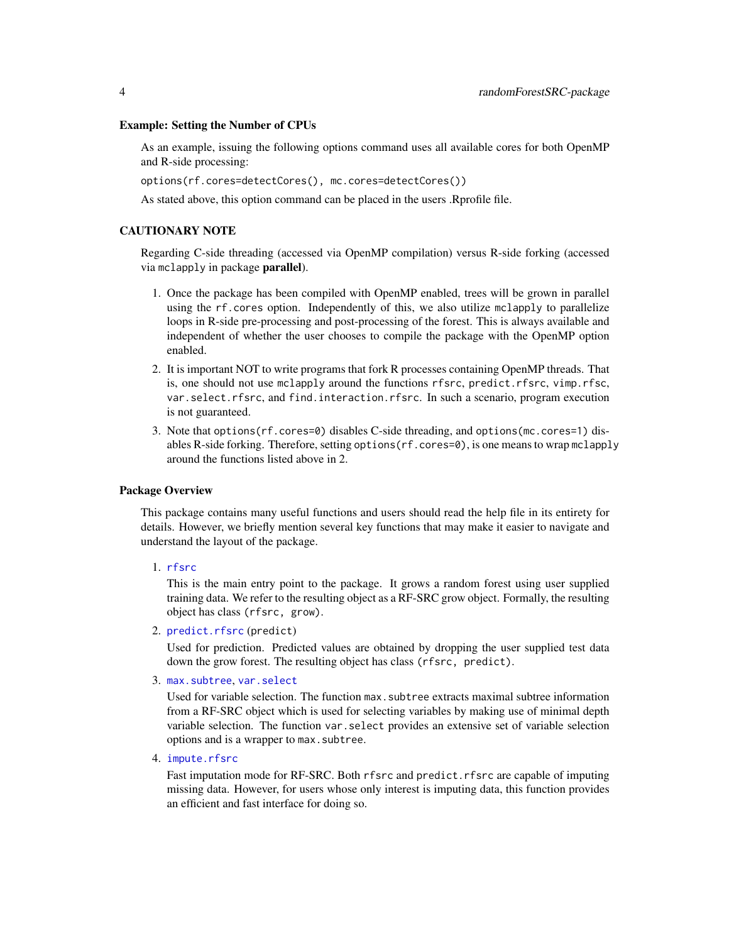#### Example: Setting the Number of CPUs

As an example, issuing the following options command uses all available cores for both OpenMP and R-side processing:

options(rf.cores=detectCores(), mc.cores=detectCores())

As stated above, this option command can be placed in the users .Rprofile file.

# CAUTIONARY NOTE

Regarding C-side threading (accessed via OpenMP compilation) versus R-side forking (accessed via mclapply in package parallel).

- 1. Once the package has been compiled with OpenMP enabled, trees will be grown in parallel using the rf.cores option. Independently of this, we also utilize mclapply to parallelize loops in R-side pre-processing and post-processing of the forest. This is always available and independent of whether the user chooses to compile the package with the OpenMP option enabled.
- 2. It is important NOT to write programs that fork R processes containing OpenMP threads. That is, one should not use mclapply around the functions rfsrc, predict.rfsrc, vimp.rfsc, var.select.rfsrc, and find.interaction.rfsrc. In such a scenario, program execution is not guaranteed.
- 3. Note that options(rf.cores=0) disables C-side threading, and options(mc.cores=1) disables R-side forking. Therefore, setting options(rf.cores=0), is one means to wrap mclapply around the functions listed above in 2.

# Package Overview

This package contains many useful functions and users should read the help file in its entirety for details. However, we briefly mention several key functions that may make it easier to navigate and understand the layout of the package.

1. [rfsrc](#page-36-1)

This is the main entry point to the package. It grows a random forest using user supplied training data. We refer to the resulting object as a RF-SRC grow object. Formally, the resulting object has class (rfsrc, grow).

2. [predict.rfsrc](#page-27-1) (predict)

Used for prediction. Predicted values are obtained by dropping the user supplied test data down the grow forest. The resulting object has class (rfsrc, predict).

3. [max.subtree](#page-12-1), [var.select](#page-58-1)

Used for variable selection. The function max.subtree extracts maximal subtree information from a RF-SRC object which is used for selecting variables by making use of minimal depth variable selection. The function var.select provides an extensive set of variable selection options and is a wrapper to max.subtree.

4. [impute.rfsrc](#page-9-1)

Fast imputation mode for RF-SRC. Both rfsrc and predict.rfsrc are capable of imputing missing data. However, for users whose only interest is imputing data, this function provides an efficient and fast interface for doing so.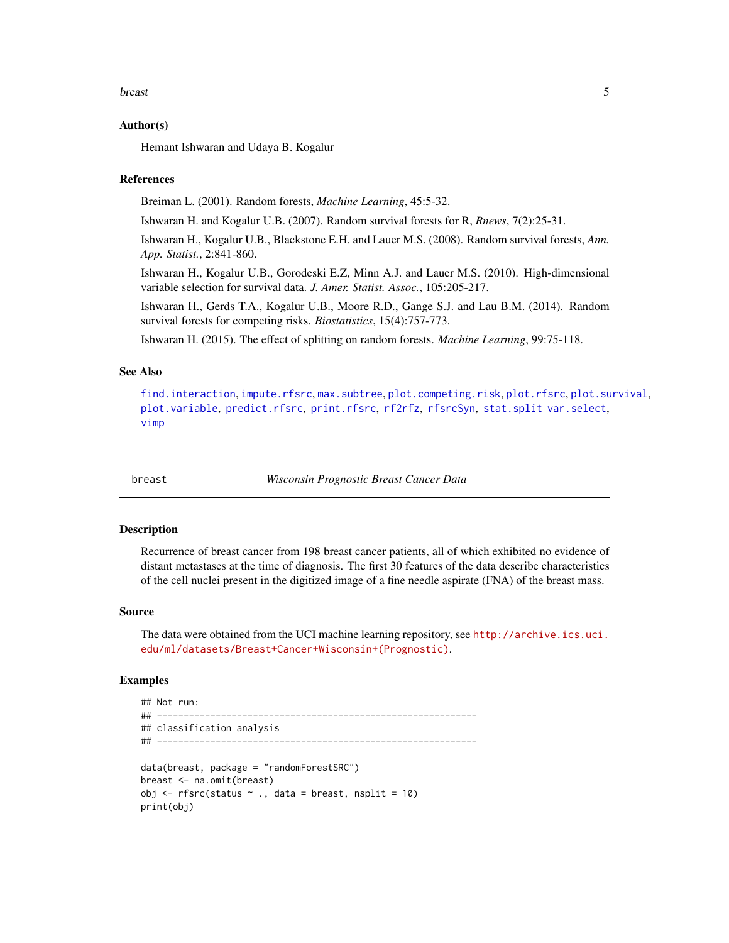#### <span id="page-4-0"></span>breast 5

#### Author(s)

Hemant Ishwaran and Udaya B. Kogalur

#### References

Breiman L. (2001). Random forests, *Machine Learning*, 45:5-32.

Ishwaran H. and Kogalur U.B. (2007). Random survival forests for R, *Rnews*, 7(2):25-31.

Ishwaran H., Kogalur U.B., Blackstone E.H. and Lauer M.S. (2008). Random survival forests, *Ann. App. Statist.*, 2:841-860.

Ishwaran H., Kogalur U.B., Gorodeski E.Z, Minn A.J. and Lauer M.S. (2010). High-dimensional variable selection for survival data. *J. Amer. Statist. Assoc.*, 105:205-217.

Ishwaran H., Gerds T.A., Kogalur U.B., Moore R.D., Gange S.J. and Lau B.M. (2014). Random survival forests for competing risks. *Biostatistics*, 15(4):757-773.

Ishwaran H. (2015). The effect of splitting on random forests. *Machine Learning*, 99:75-118.

# See Also

```
find.interactionimpute.rfsrcmax.subtreeplot.competing.riskplot.rfsrcplot.survival,
plot.variable, predict.rfsrc, print.rfsrc, rf2rfz, rfsrcSyn, stat.split var.select,
vimp
```
breast *Wisconsin Prognostic Breast Cancer Data*

#### Description

Recurrence of breast cancer from 198 breast cancer patients, all of which exhibited no evidence of distant metastases at the time of diagnosis. The first 30 features of the data describe characteristics of the cell nuclei present in the digitized image of a fine needle aspirate (FNA) of the breast mass.

#### Source

The data were obtained from the UCI machine learning repository, see [http://archive.ics.uci.](http://archive.ics.uci.edu/ml/datasets/Breast+Cancer+Wisconsin+(Prognostic)) [edu/ml/datasets/Breast+Cancer+Wisconsin+\(Prognostic\)](http://archive.ics.uci.edu/ml/datasets/Breast+Cancer+Wisconsin+(Prognostic)).

```
## Not run:
## ------------------------------------------------------------
## classification analysis
## ------------------------------------------------------------
data(breast, package = "randomForestSRC")
breast <- na.omit(breast)
obj \leq rfsrc(status \sim ., data = breast, nsplit = 10)
print(obj)
```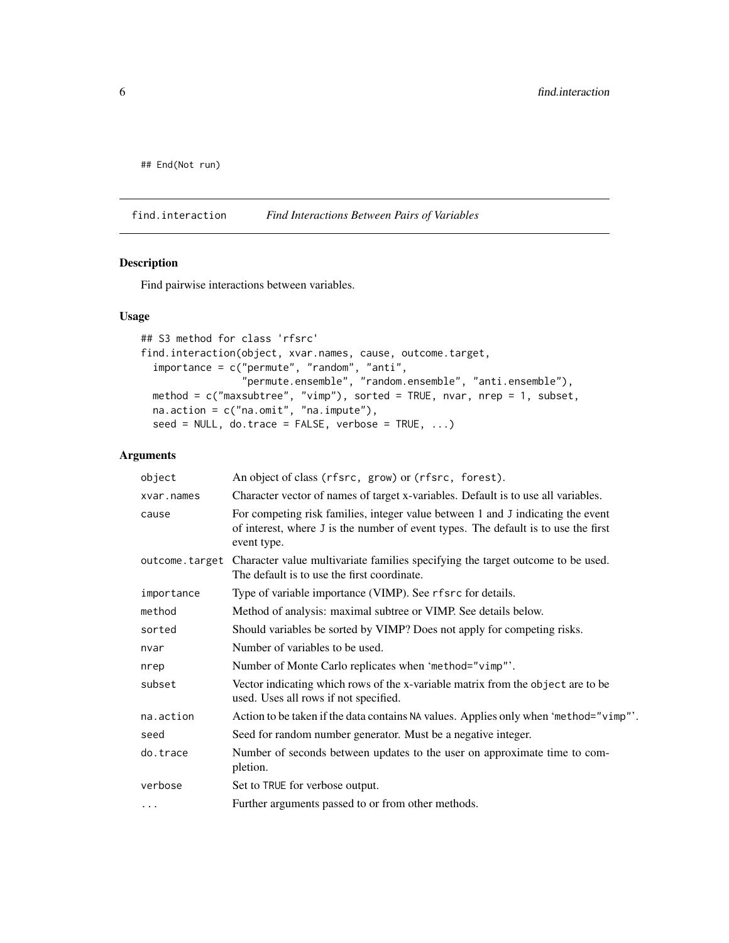<span id="page-5-0"></span>## End(Not run)

<span id="page-5-1"></span>find.interaction *Find Interactions Between Pairs of Variables*

# Description

Find pairwise interactions between variables.

#### Usage

```
## S3 method for class 'rfsrc'
find.interaction(object, xvar.names, cause, outcome.target,
  importance = c("permute", "random", "anti",
                 "permute.ensemble", "random.ensemble", "anti.ensemble"),
  method = c("maxsubtree", "vimp"), sorted = TRUE, nvar, nrep = 1, subset,
  na.action = c("na.omit", "na.impute"),
  seed = NULL, do.trace = FALSE, verbose = TRUE, ...)
```
### Arguments

| object     | An object of class (rfsrc, grow) or (rfsrc, forest).                                                                                                                                 |
|------------|--------------------------------------------------------------------------------------------------------------------------------------------------------------------------------------|
| xvar.names | Character vector of names of target x-variables. Default is to use all variables.                                                                                                    |
| cause      | For competing risk families, integer value between 1 and J indicating the event<br>of interest, where J is the number of event types. The default is to use the first<br>event type. |
|            | outcome. target Character value multivariate families specifying the target outcome to be used.<br>The default is to use the first coordinate.                                       |
| importance | Type of variable importance (VIMP). See rfsrc for details.                                                                                                                           |
| method     | Method of analysis: maximal subtree or VIMP. See details below.                                                                                                                      |
| sorted     | Should variables be sorted by VIMP? Does not apply for competing risks.                                                                                                              |
| nvar       | Number of variables to be used.                                                                                                                                                      |
| nrep       | Number of Monte Carlo replicates when 'method="vimp"'.                                                                                                                               |
| subset     | Vector indicating which rows of the x-variable matrix from the object are to be<br>used. Uses all rows if not specified.                                                             |
| na.action  | Action to be taken if the data contains NA values. Applies only when 'method="vimp"'.                                                                                                |
| seed       | Seed for random number generator. Must be a negative integer.                                                                                                                        |
| do.trace   | Number of seconds between updates to the user on approximate time to com-<br>pletion.                                                                                                |
| verbose    | Set to TRUE for verbose output.                                                                                                                                                      |
| $\cdots$   | Further arguments passed to or from other methods.                                                                                                                                   |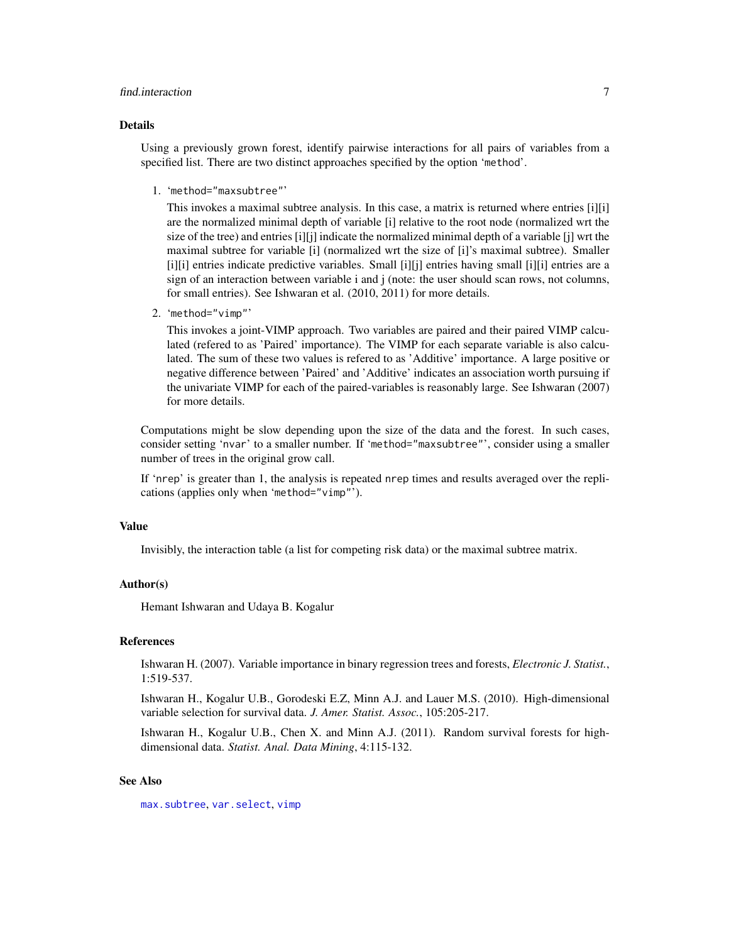# find.interaction 7

# Details

Using a previously grown forest, identify pairwise interactions for all pairs of variables from a specified list. There are two distinct approaches specified by the option 'method'.

1. 'method="maxsubtree"'

This invokes a maximal subtree analysis. In this case, a matrix is returned where entries [i][i] are the normalized minimal depth of variable [i] relative to the root node (normalized wrt the size of the tree) and entries [i][j] indicate the normalized minimal depth of a variable [j] wrt the maximal subtree for variable [i] (normalized wrt the size of [i]'s maximal subtree). Smaller [i][i] entries indicate predictive variables. Small [i][j] entries having small [i][i] entries are a sign of an interaction between variable i and j (note: the user should scan rows, not columns, for small entries). See Ishwaran et al. (2010, 2011) for more details.

2. 'method="vimp"'

This invokes a joint-VIMP approach. Two variables are paired and their paired VIMP calculated (refered to as 'Paired' importance). The VIMP for each separate variable is also calculated. The sum of these two values is refered to as 'Additive' importance. A large positive or negative difference between 'Paired' and 'Additive' indicates an association worth pursuing if the univariate VIMP for each of the paired-variables is reasonably large. See Ishwaran (2007) for more details.

Computations might be slow depending upon the size of the data and the forest. In such cases, consider setting 'nvar' to a smaller number. If 'method="maxsubtree"', consider using a smaller number of trees in the original grow call.

If 'nrep' is greater than 1, the analysis is repeated nrep times and results averaged over the replications (applies only when 'method="vimp"').

#### Value

Invisibly, the interaction table (a list for competing risk data) or the maximal subtree matrix.

#### Author(s)

Hemant Ishwaran and Udaya B. Kogalur

#### References

Ishwaran H. (2007). Variable importance in binary regression trees and forests, *Electronic J. Statist.*, 1:519-537.

Ishwaran H., Kogalur U.B., Gorodeski E.Z, Minn A.J. and Lauer M.S. (2010). High-dimensional variable selection for survival data. *J. Amer. Statist. Assoc.*, 105:205-217.

Ishwaran H., Kogalur U.B., Chen X. and Minn A.J. (2011). Random survival forests for highdimensional data. *Statist. Anal. Data Mining*, 4:115-132.

#### See Also

[max.subtree](#page-12-1), [var.select](#page-58-1), [vimp](#page-66-1)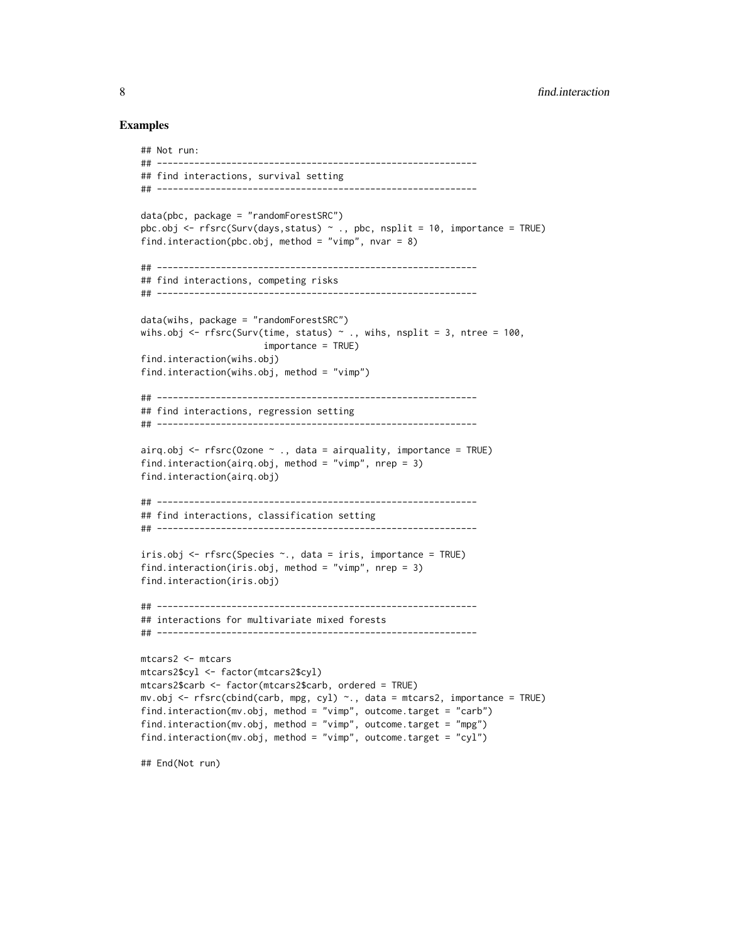#### Examples

```
## Not run:
## ------------------------------------------------------------
## find interactions, survival setting
## ------------------------------------------------------------
data(pbc, package = "randomForestSRC")
pbc.obj \leq - rfsrc(Surv(days,status) \sim ., pbc, nsplit = 10, importance = TRUE)
find.interaction(pbc.obj, method = "vimp", nvar = 8)
## ------------------------------------------------------------
## find interactions, competing risks
## ------------------------------------------------------------
data(wihs, package = "randomForestSRC")
wihs.obj <- rfsrc(Surv(time, status) \sim ., wihs, nsplit = 3, ntree = 100,
                       importance = TRUE)
find.interaction(wihs.obj)
find.interaction(wihs.obj, method = "vimp")
## ------------------------------------------------------------
## find interactions, regression setting
## ------------------------------------------------------------
airq.obj \leq rfsrc(0zone \sim ., data = airquality, importance = TRUE)find.interaction(airq.obj, method = "vimp", nrep = 3)
find.interaction(airq.obj)
## ------------------------------------------------------------
## find interactions, classification setting
## ------------------------------------------------------------
iris.obj <- rfsrc(Species ~., data = iris, importance = TRUE)
find.interaction(iris.obj, method = "vimp", nrep = 3)
find.interaction(iris.obj)
## ------------------------------------------------------------
## interactions for multivariate mixed forests
## ------------------------------------------------------------
mtcars2 <- mtcars
mtcars2$cyl <- factor(mtcars2$cyl)
mtcars2$carb <- factor(mtcars2$carb, ordered = TRUE)
mv.obj <- rfsrc(cbind(carb, mpg, cyl) ~., data = mtcars2, importance = TRUE)
find.interaction(mv.obj, method = "vimp", outcome.target = "carb")
find.interaction(mv.obj, method = "vimp", outcome.target = "mpg")
find.interaction(mv.obj, method = "vimp", outcome.target = "cyl")
```
## End(Not run)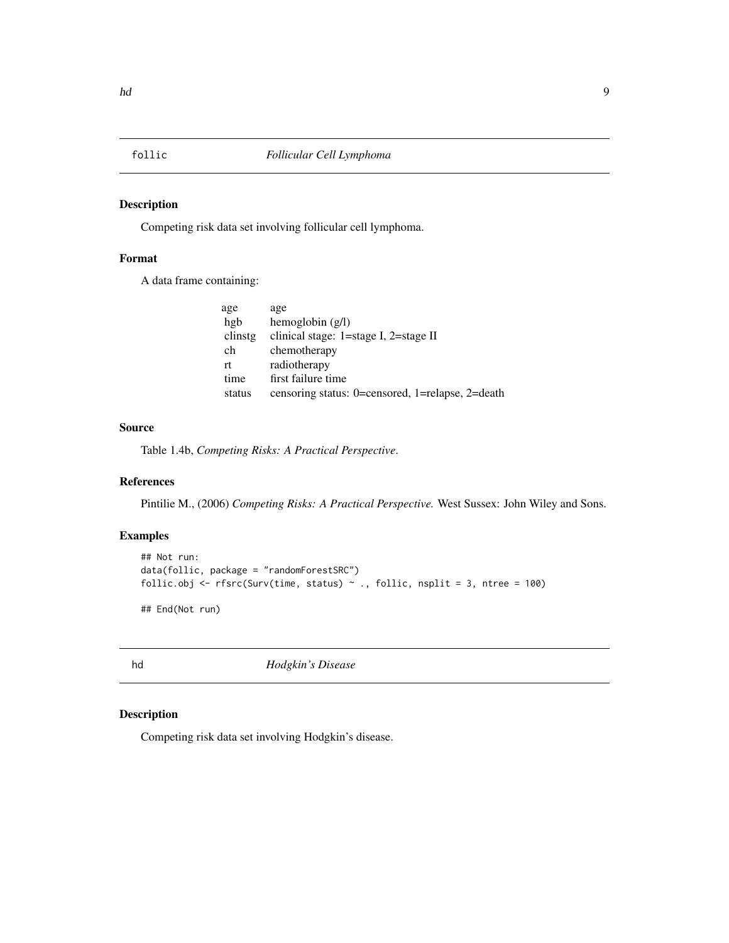<span id="page-8-1"></span><span id="page-8-0"></span>

# Description

Competing risk data set involving follicular cell lymphoma.

# Format

A data frame containing:

| age     | age                                              |
|---------|--------------------------------------------------|
| hgb     | hemoglobin $(g/l)$                               |
| clinstg | clinical stage: 1=stage I, 2=stage II            |
| ch      | chemotherapy                                     |
| rt      | radiotherapy                                     |
| time    | first failure time                               |
| status  | censoring status: 0=censored, 1=relapse, 2=death |
|         |                                                  |

# Source

Table 1.4b, *Competing Risks: A Practical Perspective*.

# References

Pintilie M., (2006) *Competing Risks: A Practical Perspective.* West Sussex: John Wiley and Sons.

# Examples

```
## Not run:
data(follic, package = "randomForestSRC")
follic.obj <- rfsrc(Surv(time, status) \sim ., follic, nsplit = 3, ntree = 100)
```
## End(Not run)

<span id="page-8-2"></span>hd *Hodgkin's Disease*

# Description

Competing risk data set involving Hodgkin's disease.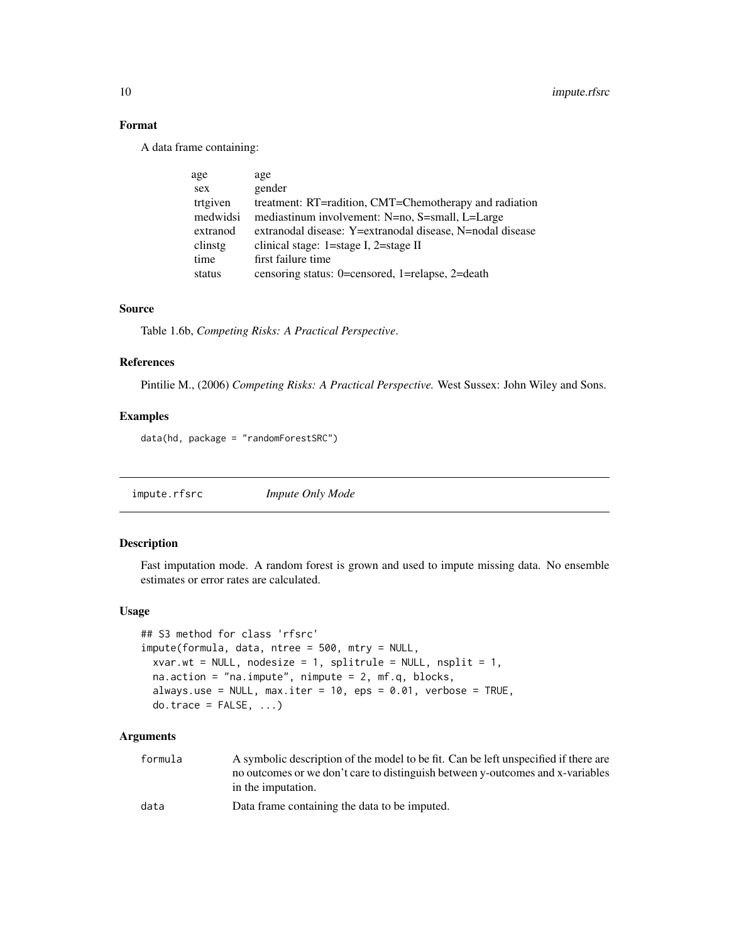# Format

A data frame containing:

| age      | age                                                       |
|----------|-----------------------------------------------------------|
| sex      | gender                                                    |
| trtgiven | treatment: RT=radition, CMT=Chemotherapy and radiation    |
| medwidsi | mediastinum involvement: N=no, S=small, L=Large           |
| extranod | extranodal disease: Y=extranodal disease, N=nodal disease |
| clinstg  | clinical stage: 1=stage I, 2=stage II                     |
| time     | first failure time                                        |
| status   | censoring status: 0=censored, 1=relapse, 2=death          |

# Source

Table 1.6b, *Competing Risks: A Practical Perspective*.

# References

Pintilie M., (2006) *Competing Risks: A Practical Perspective.* West Sussex: John Wiley and Sons.

# Examples

data(hd, package = "randomForestSRC")

<span id="page-9-1"></span>impute.rfsrc *Impute Only Mode*

# Description

Fast imputation mode. A random forest is grown and used to impute missing data. No ensemble estimates or error rates are calculated.

# Usage

```
## S3 method for class 'rfsrc'
impute(formula, data, ntree = 500, mtry = NULL,
 xvar.wt = NULL, nodesize = 1, splitrule = NULL, nsplit = 1,
 na.action = "na.impute", nimpute = 2, mf.q, blocks,
 always.use = NULL, max.iter = 10, eps = 0.01, verbose = TRUE,
 do.trace = FALSE, ...)
```
# Arguments

formula A symbolic description of the model to be fit. Can be left unspecified if there are no outcomes or we don't care to distinguish between y-outcomes and x-variables in the imputation.

data Data frame containing the data to be imputed.

<span id="page-9-0"></span>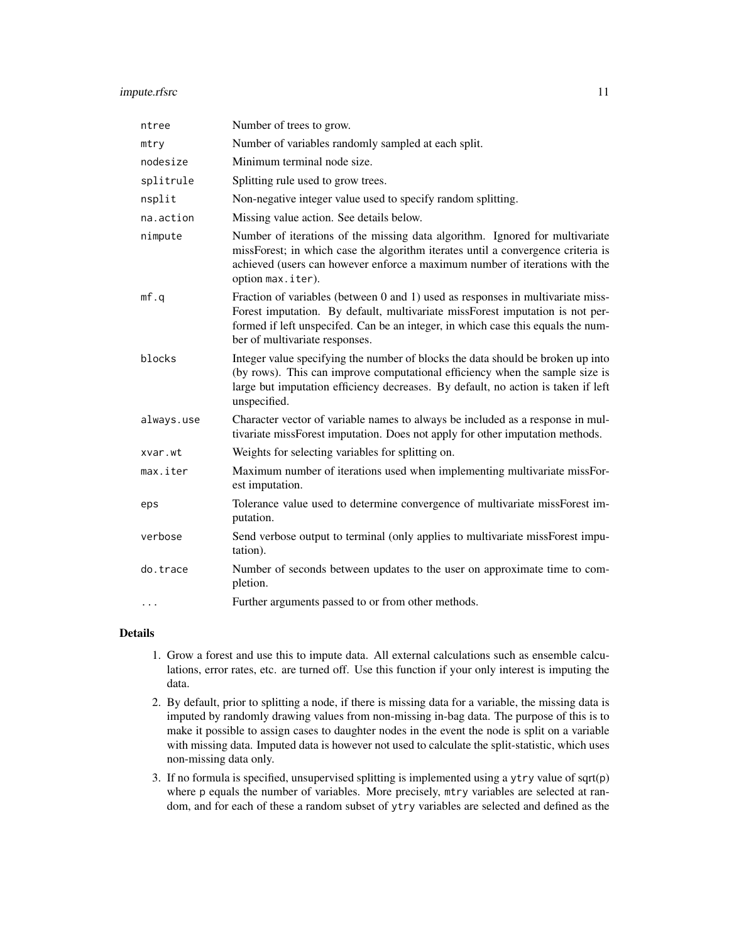# impute.rfsrc 11

| ntree      | Number of trees to grow.                                                                                                                                                                                                                                                               |
|------------|----------------------------------------------------------------------------------------------------------------------------------------------------------------------------------------------------------------------------------------------------------------------------------------|
| mtry       | Number of variables randomly sampled at each split.                                                                                                                                                                                                                                    |
| nodesize   | Minimum terminal node size.                                                                                                                                                                                                                                                            |
| splitrule  | Splitting rule used to grow trees.                                                                                                                                                                                                                                                     |
| nsplit     | Non-negative integer value used to specify random splitting.                                                                                                                                                                                                                           |
| na.action  | Missing value action. See details below.                                                                                                                                                                                                                                               |
| nimpute    | Number of iterations of the missing data algorithm. Ignored for multivariate<br>missForest; in which case the algorithm iterates until a convergence criteria is<br>achieved (users can however enforce a maximum number of iterations with the<br>option max.iter).                   |
| mf.q       | Fraction of variables (between 0 and 1) used as responses in multivariate miss-<br>Forest imputation. By default, multivariate missForest imputation is not per-<br>formed if left unspecifed. Can be an integer, in which case this equals the num-<br>ber of multivariate responses. |
| blocks     | Integer value specifying the number of blocks the data should be broken up into<br>(by rows). This can improve computational efficiency when the sample size is<br>large but imputation efficiency decreases. By default, no action is taken if left<br>unspecified.                   |
| always.use | Character vector of variable names to always be included as a response in mul-<br>tivariate missForest imputation. Does not apply for other imputation methods.                                                                                                                        |
| xvar.wt    | Weights for selecting variables for splitting on.                                                                                                                                                                                                                                      |
| max.iter   | Maximum number of iterations used when implementing multivariate missFor-<br>est imputation.                                                                                                                                                                                           |
| eps        | Tolerance value used to determine convergence of multivariate missForest im-<br>putation.                                                                                                                                                                                              |
| verbose    | Send verbose output to terminal (only applies to multivariate missForest impu-<br>tation).                                                                                                                                                                                             |
| do.trace   | Number of seconds between updates to the user on approximate time to com-<br>pletion.                                                                                                                                                                                                  |
| $\cdots$   | Further arguments passed to or from other methods.                                                                                                                                                                                                                                     |

# Details

- 1. Grow a forest and use this to impute data. All external calculations such as ensemble calculations, error rates, etc. are turned off. Use this function if your only interest is imputing the data.
- 2. By default, prior to splitting a node, if there is missing data for a variable, the missing data is imputed by randomly drawing values from non-missing in-bag data. The purpose of this is to make it possible to assign cases to daughter nodes in the event the node is split on a variable with missing data. Imputed data is however not used to calculate the split-statistic, which uses non-missing data only.
- 3. If no formula is specified, unsupervised splitting is implemented using a ytry value of sqrt(p) where p equals the number of variables. More precisely, mtry variables are selected at random, and for each of these a random subset of ytry variables are selected and defined as the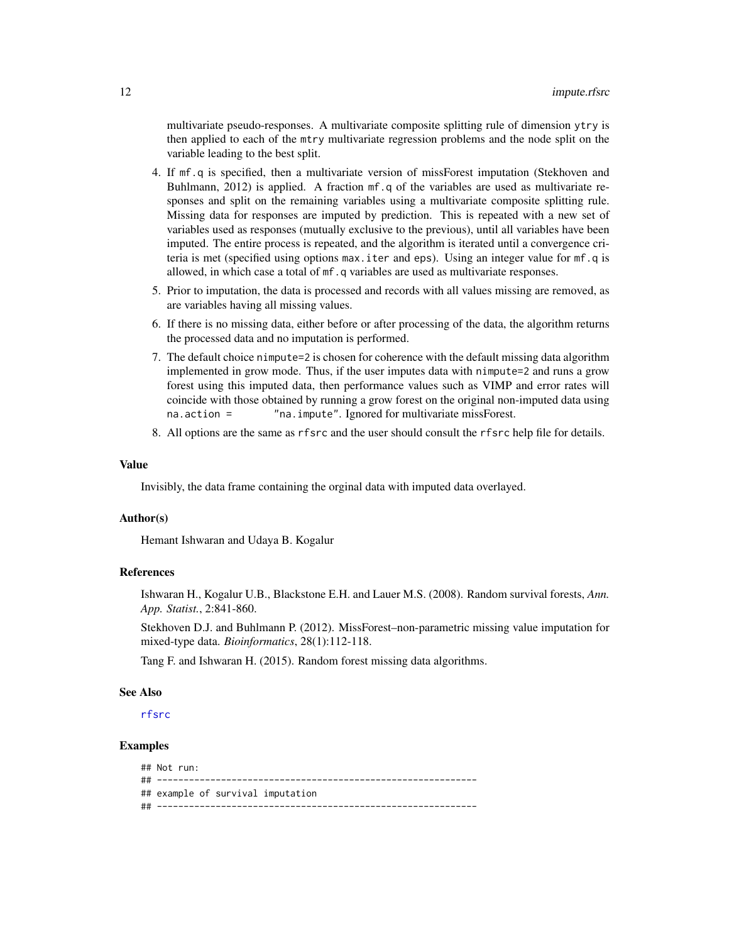multivariate pseudo-responses. A multivariate composite splitting rule of dimension ytry is then applied to each of the mtry multivariate regression problems and the node split on the variable leading to the best split.

- 4. If mf.q is specified, then a multivariate version of missForest imputation (Stekhoven and Buhlmann, 2012) is applied. A fraction mf.q of the variables are used as multivariate responses and split on the remaining variables using a multivariate composite splitting rule. Missing data for responses are imputed by prediction. This is repeated with a new set of variables used as responses (mutually exclusive to the previous), until all variables have been imputed. The entire process is repeated, and the algorithm is iterated until a convergence criteria is met (specified using options max.iter and eps). Using an integer value for mf.q is allowed, in which case a total of mf.q variables are used as multivariate responses.
- 5. Prior to imputation, the data is processed and records with all values missing are removed, as are variables having all missing values.
- 6. If there is no missing data, either before or after processing of the data, the algorithm returns the processed data and no imputation is performed.
- 7. The default choice nimpute=2 is chosen for coherence with the default missing data algorithm implemented in grow mode. Thus, if the user imputes data with nimpute=2 and runs a grow forest using this imputed data, then performance values such as VIMP and error rates will coincide with those obtained by running a grow forest on the original non-imputed data using na.action = "na.impute". Ignored for multivariate missForest.
- 8. All options are the same as rfsrc and the user should consult the rfsrc help file for details.

#### Value

Invisibly, the data frame containing the orginal data with imputed data overlayed.

#### Author(s)

Hemant Ishwaran and Udaya B. Kogalur

#### References

Ishwaran H., Kogalur U.B., Blackstone E.H. and Lauer M.S. (2008). Random survival forests, *Ann. App. Statist.*, 2:841-860.

Stekhoven D.J. and Buhlmann P. (2012). MissForest–non-parametric missing value imputation for mixed-type data. *Bioinformatics*, 28(1):112-118.

Tang F. and Ishwaran H. (2015). Random forest missing data algorithms.

#### See Also

[rfsrc](#page-36-1)

| $\#$ # Not run:                   |
|-----------------------------------|
|                                   |
| ## example of survival imputation |
|                                   |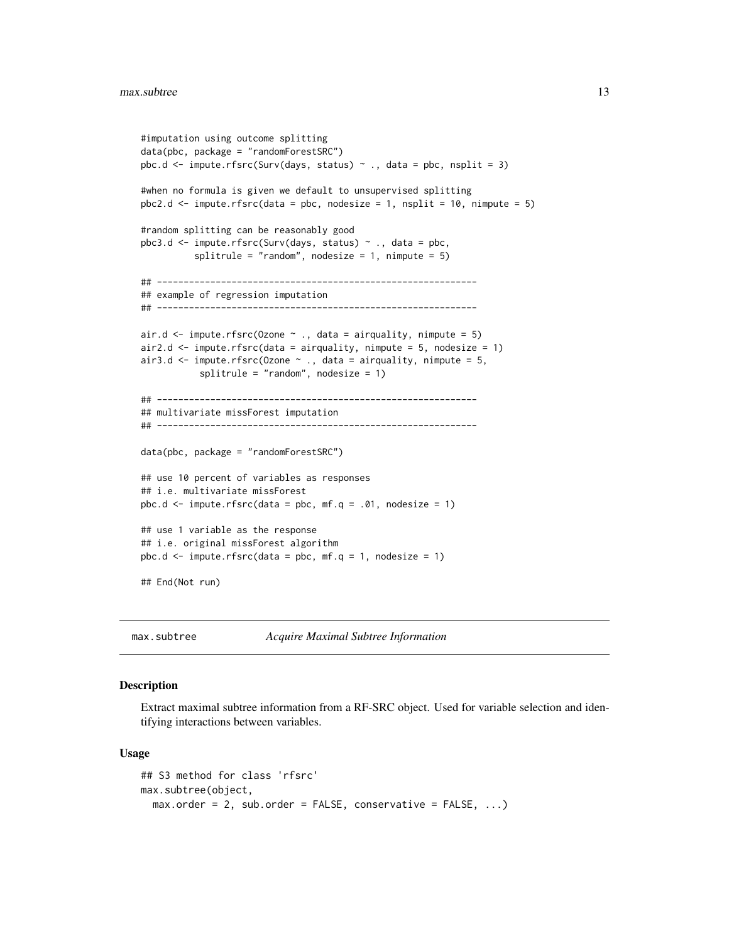```
#imputation using outcome splitting
data(pbc, package = "randomForestSRC")
pbc.d \leq impute.rfsrc(Surv(days, status) \sim ., data = pbc, nsplit = 3)
#when no formula is given we default to unsupervised splitting
pbc2.d <- impute.rfsrc(data = pbc, nodesize = 1, nsplit = 10, nimpute = 5)
#random splitting can be reasonably good
pbc3.d <- impute.rfsrc(Surv(days, status) ~ ., data = pbc,
          splitrule = "random", nodesize = 1, nimpute = 5)
## ------------------------------------------------------------
## example of regression imputation
## ------------------------------------------------------------
air.d \le impute.rfsrc(Ozone \sim ., data = airquality, nimpute = 5)
air2.d \le impute.rfsrc(data = airquality, nimpute = 5, nodesize = 1)
air3.d \le impute.rfsrc(Ozone \sim ., data = airquality, nimpute = 5,
           splitrule = "random", nodesize = 1)
## ------------------------------------------------------------
## multivariate missForest imputation
## ------------------------------------------------------------
data(pbc, package = "randomForestSRC")
## use 10 percent of variables as responses
## i.e. multivariate missForest
pbc.d \leq impute.rfsrc(data = pbc, mf.q = .01, nodesize = 1)## use 1 variable as the response
## i.e. original missForest algorithm
pbc.d \le impute.rfsrc(data = pbc, mf.q = 1, nodesize = 1)
## End(Not run)
```
<span id="page-12-1"></span>max.subtree *Acquire Maximal Subtree Information*

#### Description

Extract maximal subtree information from a RF-SRC object. Used for variable selection and identifying interactions between variables.

#### Usage

```
## S3 method for class 'rfsrc'
max.subtree(object,
 max.order = 2, sub.order = FALSE, conservative = FALSE, ...)
```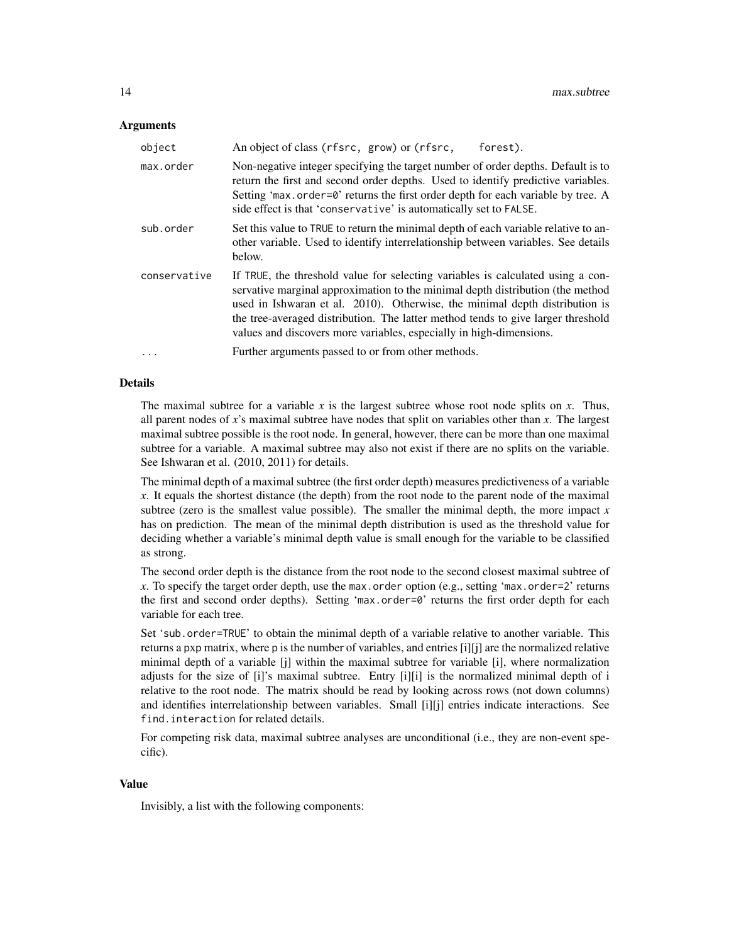#### Arguments

| object       | An object of class (rfsrc, grow) or (rfsrc,<br>forest).                                                                                                                                                                                                                                                                                                                                                     |
|--------------|-------------------------------------------------------------------------------------------------------------------------------------------------------------------------------------------------------------------------------------------------------------------------------------------------------------------------------------------------------------------------------------------------------------|
| max.order    | Non-negative integer specifying the target number of order depths. Default is to<br>return the first and second order depths. Used to identify predictive variables.<br>Setting 'max.order=0' returns the first order depth for each variable by tree. A<br>side effect is that 'conservative' is automatically set to FALSE.                                                                               |
| sub.order    | Set this value to TRUE to return the minimal depth of each variable relative to an-<br>other variable. Used to identify interrelationship between variables. See details<br>below.                                                                                                                                                                                                                          |
| conservative | If TRUE, the threshold value for selecting variables is calculated using a con-<br>servative marginal approximation to the minimal depth distribution (the method<br>used in Ishwaran et al. 2010). Otherwise, the minimal depth distribution is<br>the tree-averaged distribution. The latter method tends to give larger threshold<br>values and discovers more variables, especially in high-dimensions. |
| .            | Further arguments passed to or from other methods.                                                                                                                                                                                                                                                                                                                                                          |

#### Details

The maximal subtree for a variable  $x$  is the largest subtree whose root node splits on  $x$ . Thus, all parent nodes of *x*'s maximal subtree have nodes that split on variables other than *x*. The largest maximal subtree possible is the root node. In general, however, there can be more than one maximal subtree for a variable. A maximal subtree may also not exist if there are no splits on the variable. See Ishwaran et al. (2010, 2011) for details.

The minimal depth of a maximal subtree (the first order depth) measures predictiveness of a variable *x*. It equals the shortest distance (the depth) from the root node to the parent node of the maximal subtree (zero is the smallest value possible). The smaller the minimal depth, the more impact  $x$ has on prediction. The mean of the minimal depth distribution is used as the threshold value for deciding whether a variable's minimal depth value is small enough for the variable to be classified as strong.

The second order depth is the distance from the root node to the second closest maximal subtree of *x*. To specify the target order depth, use the max.order option (e.g., setting 'max.order=2' returns the first and second order depths). Setting 'max.order=0' returns the first order depth for each variable for each tree.

Set 'sub.order=TRUE' to obtain the minimal depth of a variable relative to another variable. This returns a pxp matrix, where p is the number of variables, and entries [i][j] are the normalized relative minimal depth of a variable [j] within the maximal subtree for variable [i], where normalization adjusts for the size of [i]'s maximal subtree. Entry [i][i] is the normalized minimal depth of i relative to the root node. The matrix should be read by looking across rows (not down columns) and identifies interrelationship between variables. Small [i][j] entries indicate interactions. See find.interaction for related details.

For competing risk data, maximal subtree analyses are unconditional (i.e., they are non-event specific).

#### Value

Invisibly, a list with the following components: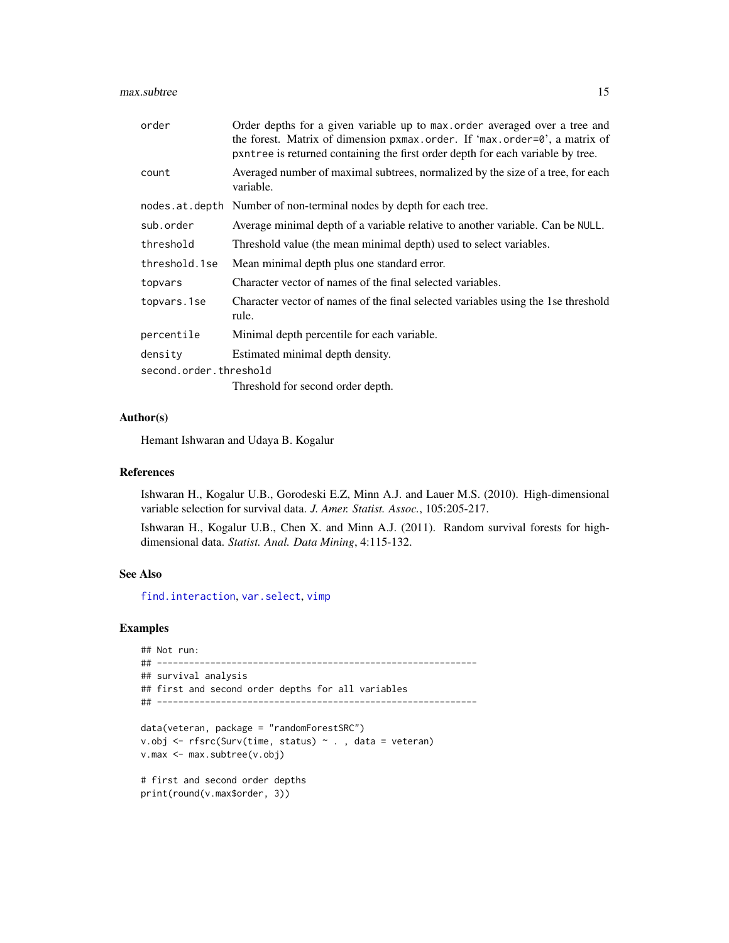#### max.subtree 15

| order                  | Order depths for a given variable up to max order averaged over a tree and<br>the forest. Matrix of dimension pxmax.order. If 'max.order=0', a matrix of<br>pxntree is returned containing the first order depth for each variable by tree. |
|------------------------|---------------------------------------------------------------------------------------------------------------------------------------------------------------------------------------------------------------------------------------------|
| count                  | Averaged number of maximal subtrees, normalized by the size of a tree, for each<br>variable.                                                                                                                                                |
|                        | nodes.at.depth Number of non-terminal nodes by depth for each tree.                                                                                                                                                                         |
| sub.order              | Average minimal depth of a variable relative to another variable. Can be NULL.                                                                                                                                                              |
| threshold              | Threshold value (the mean minimal depth) used to select variables.                                                                                                                                                                          |
| threshold.1se          | Mean minimal depth plus one standard error.                                                                                                                                                                                                 |
| topvars                | Character vector of names of the final selected variables.                                                                                                                                                                                  |
| topvars.1se            | Character vector of names of the final selected variables using the 1se threshold<br>rule.                                                                                                                                                  |
| percentile             | Minimal depth percentile for each variable.                                                                                                                                                                                                 |
| density                | Estimated minimal depth density.                                                                                                                                                                                                            |
| second.order.threshold |                                                                                                                                                                                                                                             |
|                        | Threshold for second order depth.                                                                                                                                                                                                           |

# Author(s)

Hemant Ishwaran and Udaya B. Kogalur

# References

Ishwaran H., Kogalur U.B., Gorodeski E.Z, Minn A.J. and Lauer M.S. (2010). High-dimensional variable selection for survival data. *J. Amer. Statist. Assoc.*, 105:205-217.

Ishwaran H., Kogalur U.B., Chen X. and Minn A.J. (2011). Random survival forests for highdimensional data. *Statist. Anal. Data Mining*, 4:115-132.

#### See Also

[find.interaction](#page-5-1), [var.select](#page-58-1), [vimp](#page-66-1)

```
## Not run:
## ------------------------------------------------------------
## survival analysis
## first and second order depths for all variables
## ------------------------------------------------------------
data(veteran, package = "randomForestSRC")
v.obj <- rfsrc(Surv(time, status) ~ . , data = veteran)
v.max <- max.subtree(v.obj)
# first and second order depths
print(round(v.max$order, 3))
```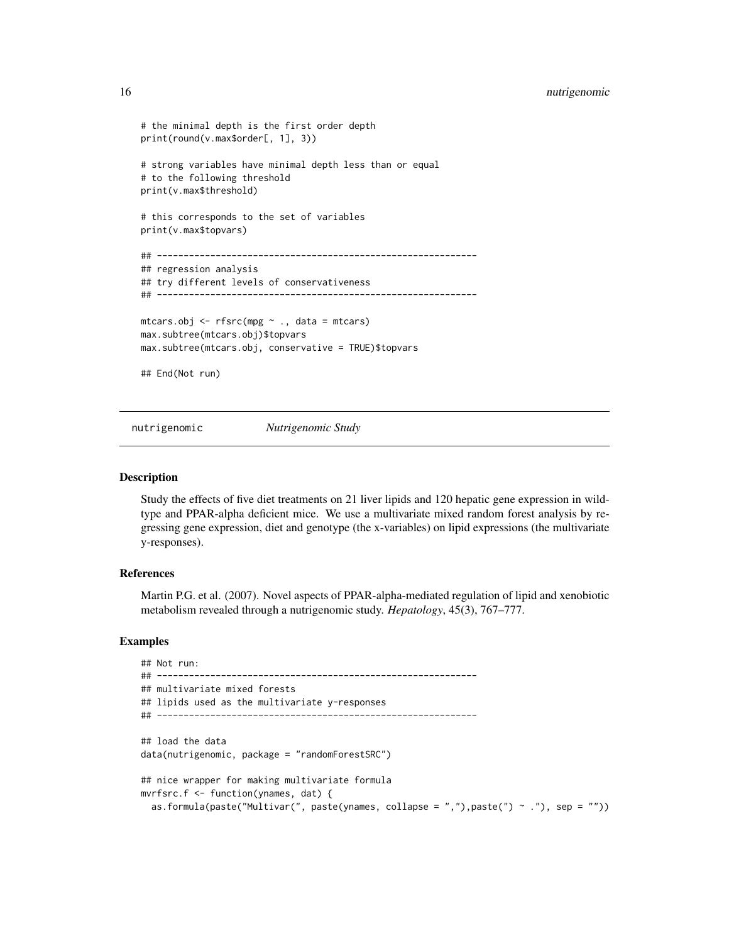```
# the minimal depth is the first order depth
print(round(v.max$order[, 1], 3))
# strong variables have minimal depth less than or equal
# to the following threshold
print(v.max$threshold)
# this corresponds to the set of variables
print(v.max$topvars)
## ------------------------------------------------------------
## regression analysis
## try different levels of conservativeness
## ------------------------------------------------------------
mtcars.obj <- rfsrc(mpg ~ ., data = mtcars)
max.subtree(mtcars.obj)$topvars
max.subtree(mtcars.obj, conservative = TRUE)$topvars
## End(Not run)
```
nutrigenomic *Nutrigenomic Study*

#### Description

Study the effects of five diet treatments on 21 liver lipids and 120 hepatic gene expression in wildtype and PPAR-alpha deficient mice. We use a multivariate mixed random forest analysis by regressing gene expression, diet and genotype (the x-variables) on lipid expressions (the multivariate y-responses).

# References

Martin P.G. et al. (2007). Novel aspects of PPAR-alpha-mediated regulation of lipid and xenobiotic metabolism revealed through a nutrigenomic study. *Hepatology*, 45(3), 767–777.

```
## Not run:
## ------------------------------------------------------------
## multivariate mixed forests
## lipids used as the multivariate y-responses
## ------------------------------------------------------------
## load the data
data(nutrigenomic, package = "randomForestSRC")
## nice wrapper for making multivariate formula
mvrfsrc.f <- function(ynames, dat) {
  as.formula(paste("Multivar(", paste(ynames, collapse = ","),paste(") ~ ."), sep = ""))
```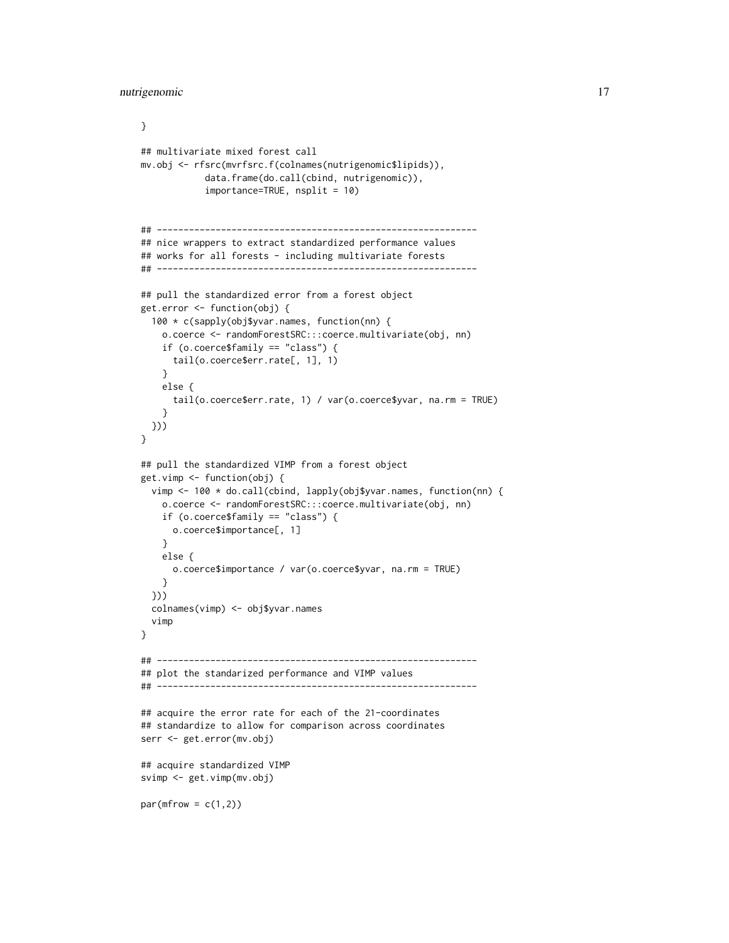```
}
## multivariate mixed forest call
mv.obj <- rfsrc(mvrfsrc.f(colnames(nutrigenomic$lipids)),
            data.frame(do.call(cbind, nutrigenomic)),
            importance=TRUE, nsplit = 10)
## ------------------------------------------------------------
## nice wrappers to extract standardized performance values
## works for all forests - including multivariate forests
## ------------------------------------------------------------
## pull the standardized error from a forest object
get.error <- function(obj) {
  100 * c(sapply(obj$yvar.names, function(nn) {
    o.coerce <- randomForestSRC:::coerce.multivariate(obj, nn)
    if (o.coerce$family == "class") {
      tail(o.coerce$err.rate[, 1], 1)
    }
   else {
      tail(o.coerce$err.rate, 1) / var(o.coerce$yvar, na.rm = TRUE)
    }
  }))
}
## pull the standardized VIMP from a forest object
get.vimp <- function(obj) {
  vimp <- 100 * do.call(cbind, lapply(obj$yvar.names, function(nn) {
    o.coerce <- randomForestSRC:::coerce.multivariate(obj, nn)
    if (o.coerce$family == "class") {
     o.coerce$importance[, 1]
    }
    else {
      o.coerce$importance / var(o.coerce$yvar, na.rm = TRUE)
    }
  }))
  colnames(vimp) <- obj$yvar.names
  vimp
}
## ------------------------------------------------------------
## plot the standarized performance and VIMP values
## ------------------------------------------------------------
## acquire the error rate for each of the 21-coordinates
## standardize to allow for comparison across coordinates
serr <- get.error(mv.obj)
## acquire standardized VIMP
svimp <- get.vimp(mv.obj)
par(mfrow = c(1,2))
```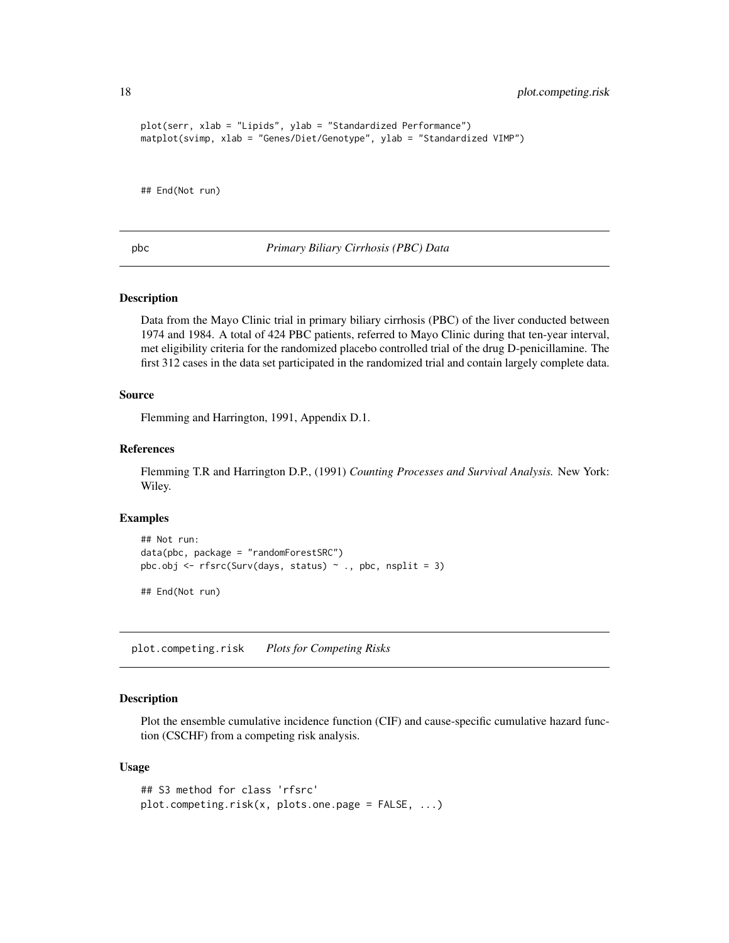```
plot(serr, xlab = "Lipids", ylab = "Standardized Performance")
matplot(svimp, xlab = "Genes/Diet/Genotype", ylab = "Standardized VIMP")
```
## End(Not run)

pbc *Primary Biliary Cirrhosis (PBC) Data*

#### Description

Data from the Mayo Clinic trial in primary biliary cirrhosis (PBC) of the liver conducted between 1974 and 1984. A total of 424 PBC patients, referred to Mayo Clinic during that ten-year interval, met eligibility criteria for the randomized placebo controlled trial of the drug D-penicillamine. The first 312 cases in the data set participated in the randomized trial and contain largely complete data.

#### Source

Flemming and Harrington, 1991, Appendix D.1.

# References

Flemming T.R and Harrington D.P., (1991) *Counting Processes and Survival Analysis.* New York: Wiley.

#### Examples

```
## Not run:
data(pbc, package = "randomForestSRC")
pbc.obj <- rfsrc(Surv(days, status) \sim ., pbc, nsplit = 3)
```
## End(Not run)

<span id="page-17-1"></span>plot.competing.risk *Plots for Competing Risks*

### Description

Plot the ensemble cumulative incidence function (CIF) and cause-specific cumulative hazard function (CSCHF) from a competing risk analysis.

#### Usage

```
## S3 method for class 'rfsrc'
plot.competing.risk(x, plots.one.page = FALSE, ...)
```
<span id="page-17-0"></span>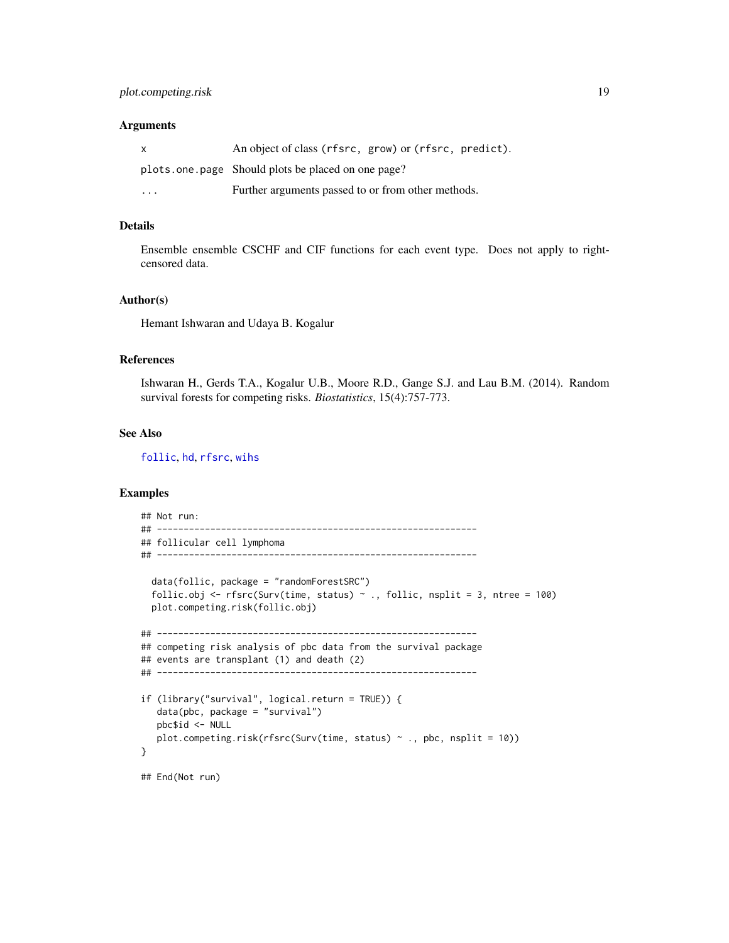#### **Arguments**

| $\mathsf{x}$ | An object of class (rfsrc, grow) or (rfsrc, predict). |
|--------------|-------------------------------------------------------|
|              | plots one page Should plots be placed on one page?    |
| .            | Further arguments passed to or from other methods.    |

#### Details

Ensemble ensemble CSCHF and CIF functions for each event type. Does not apply to rightcensored data.

#### Author(s)

Hemant Ishwaran and Udaya B. Kogalur

# References

Ishwaran H., Gerds T.A., Kogalur U.B., Moore R.D., Gange S.J. and Lau B.M. (2014). Random survival forests for competing risks. *Biostatistics*, 15(4):757-773.

#### See Also

[follic](#page-8-1), [hd](#page-8-2), [rfsrc](#page-36-1), [wihs](#page-69-1)

```
## Not run:
## ------------------------------------------------------------
## follicular cell lymphoma
## ------------------------------------------------------------
 data(follic, package = "randomForestSRC")
 follic.obj <- rfsrc(Surv(time, status) ~ ., follic, nsplit = 3, ntree = 100)
 plot.competing.risk(follic.obj)
## ------------------------------------------------------------
## competing risk analysis of pbc data from the survival package
## events are transplant (1) and death (2)
## ------------------------------------------------------------
if (library("survival", logical.return = TRUE)) {
  data(pbc, package = "survival")
  pbc$id <- NULL
  plot.competing.risk(rfsrc(Surv(time, status) \sim ., pbc, nsplit = 10))
}
## End(Not run)
```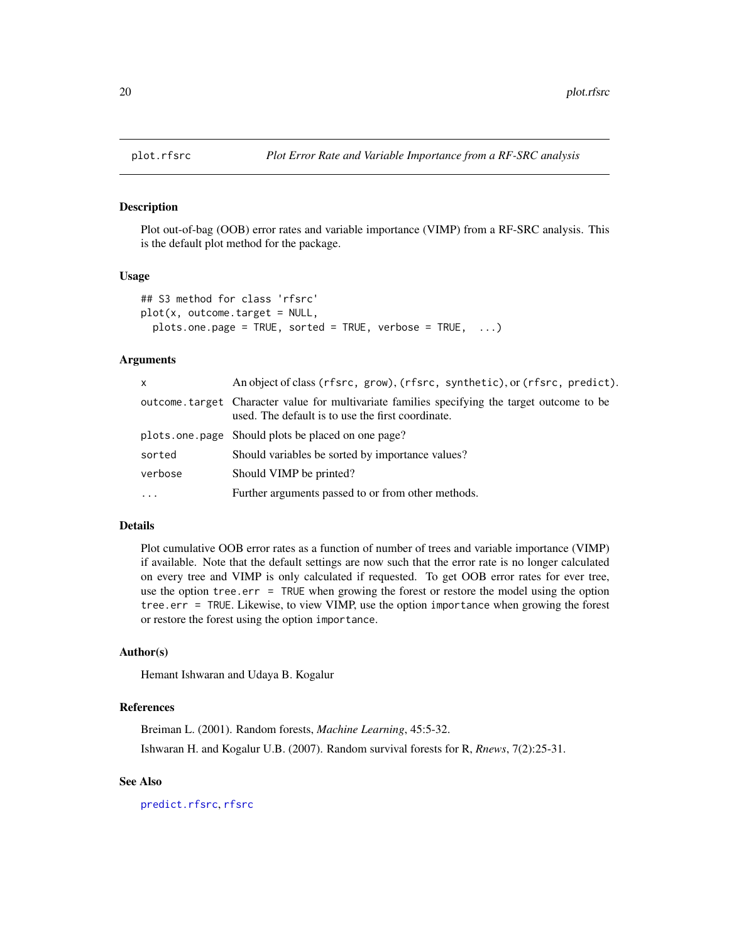<span id="page-19-1"></span><span id="page-19-0"></span>

#### Description

Plot out-of-bag (OOB) error rates and variable importance (VIMP) from a RF-SRC analysis. This is the default plot method for the package.

#### Usage

```
## S3 method for class 'rfsrc'
plot(x, outcome.target = NULL,
 plots.one.page = TRUE, sorted = TRUE, verbose = TRUE, ...)
```
# Arguments

| X.       | An object of class (rfsrc, grow), (rfsrc, synthetic), or (rfsrc, predict).                                                                        |
|----------|---------------------------------------------------------------------------------------------------------------------------------------------------|
|          | outcome target Character value for multivariate families specifying the target outcome to be<br>used. The default is to use the first coordinate. |
|          | plots.one.page Should plots be placed on one page?                                                                                                |
| sorted   | Should variables be sorted by importance values?                                                                                                  |
| verbose  | Should VIMP be printed?                                                                                                                           |
| $\cdots$ | Further arguments passed to or from other methods.                                                                                                |

# Details

Plot cumulative OOB error rates as a function of number of trees and variable importance (VIMP) if available. Note that the default settings are now such that the error rate is no longer calculated on every tree and VIMP is only calculated if requested. To get OOB error rates for ever tree, use the option tree.err = TRUE when growing the forest or restore the model using the option tree.err = TRUE. Likewise, to view VIMP, use the option importance when growing the forest or restore the forest using the option importance.

#### Author(s)

Hemant Ishwaran and Udaya B. Kogalur

# References

Breiman L. (2001). Random forests, *Machine Learning*, 45:5-32. Ishwaran H. and Kogalur U.B. (2007). Random survival forests for R, *Rnews*, 7(2):25-31.

# See Also

[predict.rfsrc](#page-27-1), [rfsrc](#page-36-1)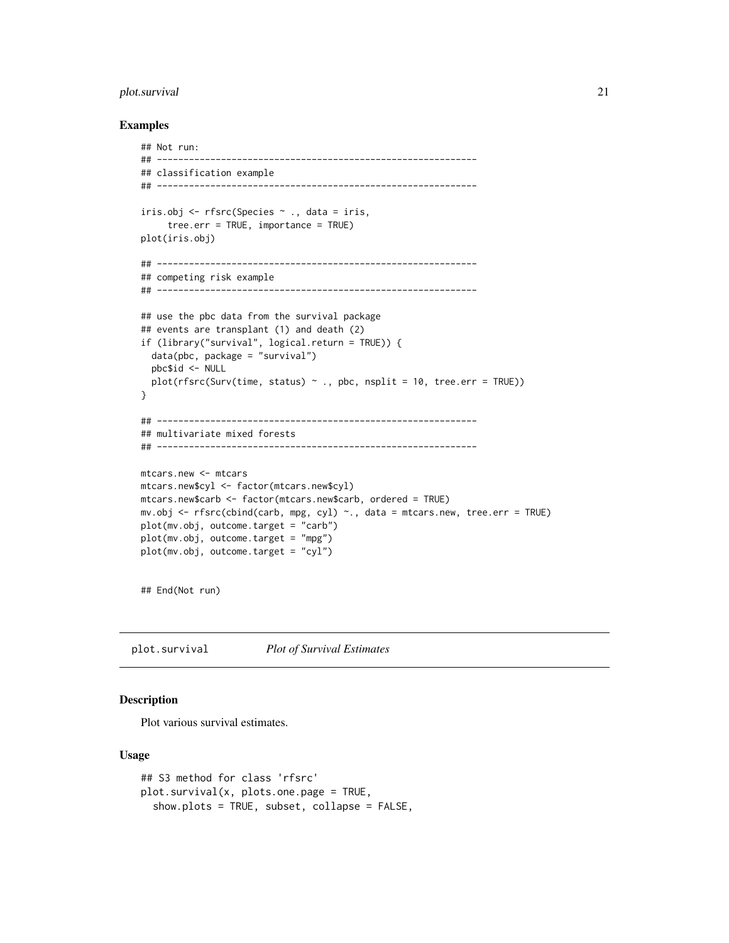# <span id="page-20-0"></span>plot.survival 21

### Examples

```
## Not run:
## ------------------------------------------------------------
## classification example
## ------------------------------------------------------------
iris.obj <- rfsrc(Species ~ ., data = iris,
     tree.err = TRUE, importance = TRUE)
plot(iris.obj)
## ------------------------------------------------------------
## competing risk example
## ------------------------------------------------------------
## use the pbc data from the survival package
## events are transplant (1) and death (2)
if (library("survival", logical.return = TRUE)) {
  data(pbc, package = "survival")
  pbc$id <- NULL
  plot(rfsrc(Surv(time, status) ~ ~ ., pbc, nsplit = 10, tree.err = TRUE))}
## ------------------------------------------------------------
## multivariate mixed forests
## ------------------------------------------------------------
mtcars.new <- mtcars
mtcars.new$cyl <- factor(mtcars.new$cyl)
mtcars.new$carb <- factor(mtcars.new$carb, ordered = TRUE)
mv.obj <- rfsrc(cbind(carb, mpg, cyl) ~., data = mtcars.new, tree.err = TRUE)
plot(mv.obj, outcome.target = "carb")
plot(mv.obj, outcome.target = "mpg")
plot(mv.obj, outcome.target = "cyl")
```
## End(Not run)

<span id="page-20-1"></span>plot.survival *Plot of Survival Estimates*

# Description

Plot various survival estimates.

#### Usage

```
## S3 method for class 'rfsrc'
plot.survival(x, plots.one.page = TRUE,
  show.plots = TRUE, subset, collapse = FALSE,
```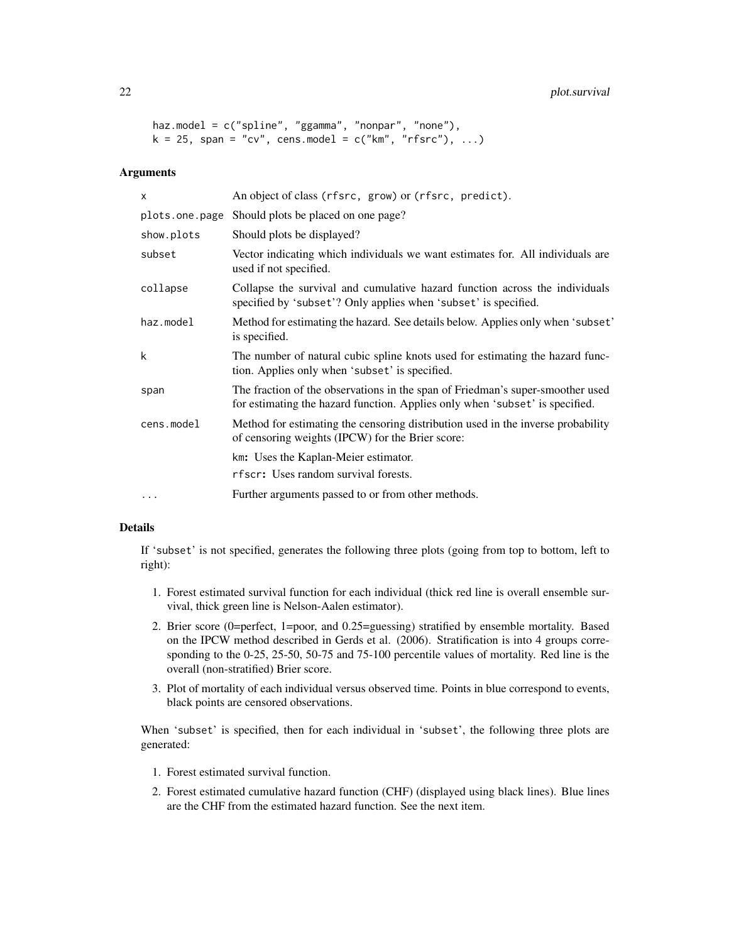# 22 plot.survival

```
haz.model = c("spline", "ggamma", "nonpar", "none"),
k = 25, span = "cv", cens.model = c("km", "rfsrc"), ...)
```
#### Arguments

| $\mathsf{x}$   | An object of class (rfsrc, grow) or (rfsrc, predict).                                                                                                          |
|----------------|----------------------------------------------------------------------------------------------------------------------------------------------------------------|
| plots.one.page | Should plots be placed on one page?                                                                                                                            |
| show.plots     | Should plots be displayed?                                                                                                                                     |
| subset         | Vector indicating which individuals we want estimates for. All individuals are<br>used if not specified.                                                       |
| collapse       | Collapse the survival and cumulative hazard function across the individuals<br>specified by 'subset'? Only applies when 'subset' is specified.                 |
| haz.model      | Method for estimating the hazard. See details below. Applies only when 'subset'<br>is specified.                                                               |
| k              | The number of natural cubic spline knots used for estimating the hazard func-<br>tion. Applies only when 'subset' is specified.                                |
| span           | The fraction of the observations in the span of Friedman's super-smoother used<br>for estimating the hazard function. Applies only when 'subset' is specified. |
| cens.model     | Method for estimating the censoring distribution used in the inverse probability<br>of censoring weights (IPCW) for the Brier score:                           |
|                | km: Uses the Kaplan-Meier estimator.                                                                                                                           |
|                | rfscr: Uses random survival forests.                                                                                                                           |
|                | Further arguments passed to or from other methods.                                                                                                             |
|                |                                                                                                                                                                |

# Details

If 'subset' is not specified, generates the following three plots (going from top to bottom, left to right):

- 1. Forest estimated survival function for each individual (thick red line is overall ensemble survival, thick green line is Nelson-Aalen estimator).
- 2. Brier score (0=perfect, 1=poor, and 0.25=guessing) stratified by ensemble mortality. Based on the IPCW method described in Gerds et al. (2006). Stratification is into 4 groups corresponding to the 0-25, 25-50, 50-75 and 75-100 percentile values of mortality. Red line is the overall (non-stratified) Brier score.
- 3. Plot of mortality of each individual versus observed time. Points in blue correspond to events, black points are censored observations.

When 'subset' is specified, then for each individual in 'subset', the following three plots are generated:

- 1. Forest estimated survival function.
- 2. Forest estimated cumulative hazard function (CHF) (displayed using black lines). Blue lines are the CHF from the estimated hazard function. See the next item.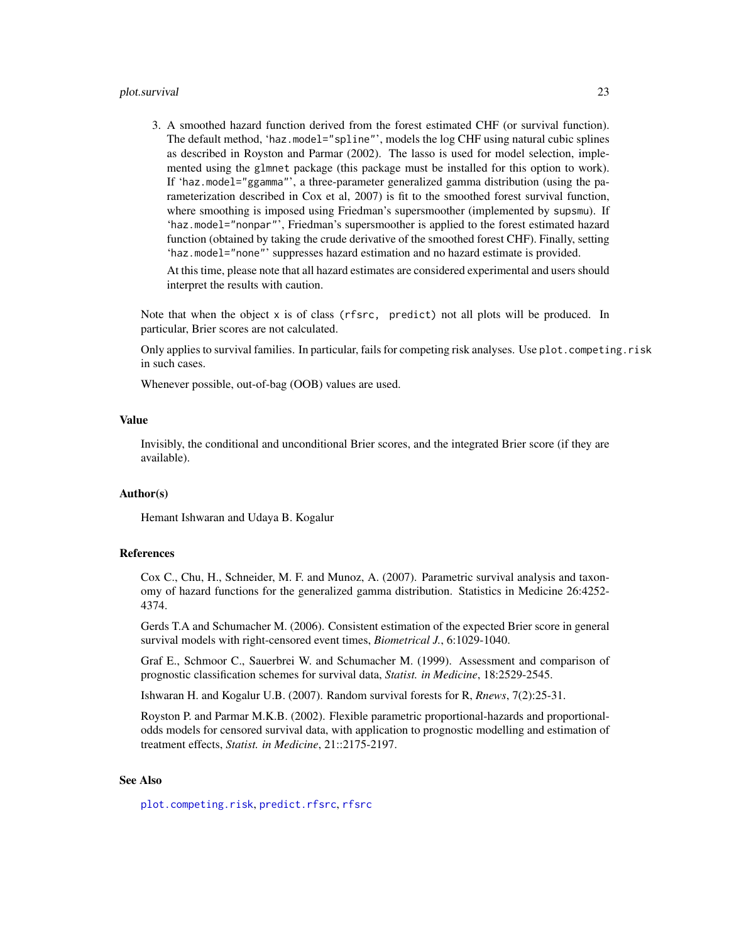#### plot.survival 23

3. A smoothed hazard function derived from the forest estimated CHF (or survival function). The default method, 'haz.model="spline"', models the log CHF using natural cubic splines as described in Royston and Parmar (2002). The lasso is used for model selection, implemented using the glmnet package (this package must be installed for this option to work). If 'haz.model="ggamma"', a three-parameter generalized gamma distribution (using the parameterization described in Cox et al, 2007) is fit to the smoothed forest survival function, where smoothing is imposed using Friedman's supersmoother (implemented by supsmu). If 'haz.model="nonpar"', Friedman's supersmoother is applied to the forest estimated hazard function (obtained by taking the crude derivative of the smoothed forest CHF). Finally, setting 'haz.model="none"' suppresses hazard estimation and no hazard estimate is provided.

At this time, please note that all hazard estimates are considered experimental and users should interpret the results with caution.

Note that when the object x is of class (rfsrc, predict) not all plots will be produced. In particular, Brier scores are not calculated.

Only applies to survival families. In particular, fails for competing risk analyses. Use plot.competing.risk in such cases.

Whenever possible, out-of-bag (OOB) values are used.

#### Value

Invisibly, the conditional and unconditional Brier scores, and the integrated Brier score (if they are available).

#### Author(s)

Hemant Ishwaran and Udaya B. Kogalur

# References

Cox C., Chu, H., Schneider, M. F. and Munoz, A. (2007). Parametric survival analysis and taxonomy of hazard functions for the generalized gamma distribution. Statistics in Medicine 26:4252- 4374.

Gerds T.A and Schumacher M. (2006). Consistent estimation of the expected Brier score in general survival models with right-censored event times, *Biometrical J.*, 6:1029-1040.

Graf E., Schmoor C., Sauerbrei W. and Schumacher M. (1999). Assessment and comparison of prognostic classification schemes for survival data, *Statist. in Medicine*, 18:2529-2545.

Ishwaran H. and Kogalur U.B. (2007). Random survival forests for R, *Rnews*, 7(2):25-31.

Royston P. and Parmar M.K.B. (2002). Flexible parametric proportional-hazards and proportionalodds models for censored survival data, with application to prognostic modelling and estimation of treatment effects, *Statist. in Medicine*, 21::2175-2197.

# See Also

[plot.competing.risk](#page-17-1), [predict.rfsrc](#page-27-1), [rfsrc](#page-36-1)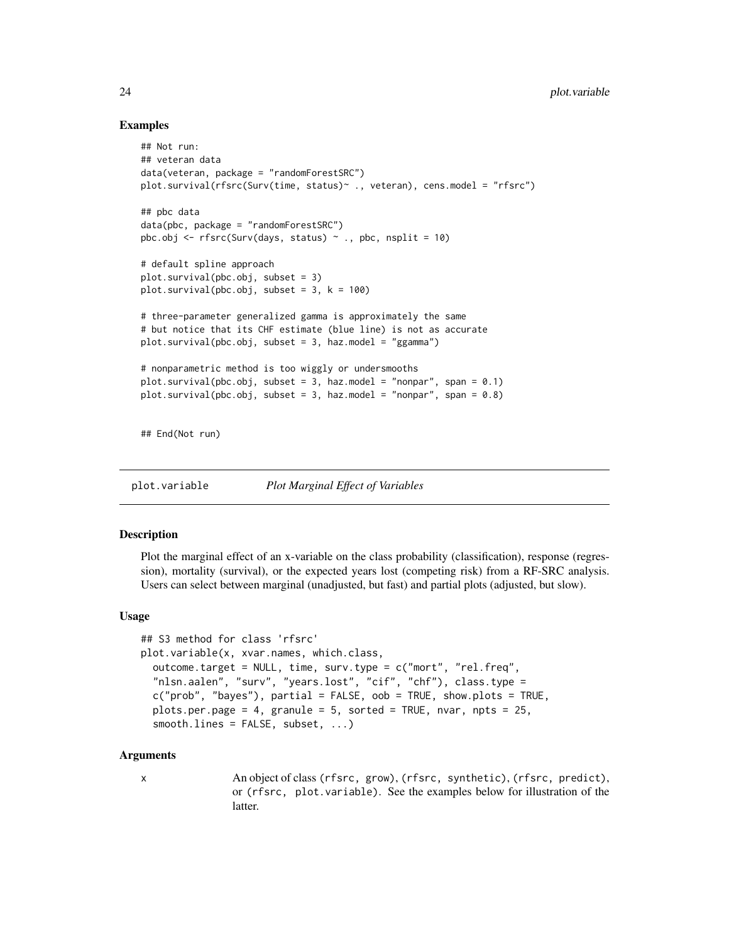# Examples

```
## Not run:
## veteran data
data(veteran, package = "randomForestSRC")
plot.survival(rfsrc(Surv(time, status)~ ., veteran), cens.model = "rfsrc")
## pbc data
data(pbc, package = "randomForestSRC")
pbc.obj \leq rfsrc(Surv(days, status) \sim ., pbc, nsplit = 10)
# default spline approach
plot.survival(pbc.obj, subset = 3)
plot.survival(pbc.obj, subset = 3, k = 100)
# three-parameter generalized gamma is approximately the same
# but notice that its CHF estimate (blue line) is not as accurate
plot.survival(pbc.obj, subset = 3, haz.model = "ggamma")
# nonparametric method is too wiggly or undersmooths
plot.survival(pbc.obj, subset = 3, haz.model = "nonpar", span = 0.1)
plot.survival(pbc.obj, subset = 3, haz.model = "nonpar", span = 0.8)
## End(Not run)
```
<span id="page-23-1"></span>plot.variable *Plot Marginal Effect of Variables*

# Description

Plot the marginal effect of an x-variable on the class probability (classification), response (regression), mortality (survival), or the expected years lost (competing risk) from a RF-SRC analysis. Users can select between marginal (unadjusted, but fast) and partial plots (adjusted, but slow).

# Usage

```
## S3 method for class 'rfsrc'
plot.variable(x, xvar.names, which.class,
  outcome.target = NULL, time, surv.type = c("mort", "rel.freq",
  "nlsn.aalen", "surv", "years.lost", "cif", "chf"), class.type =
  c("prob", "bayes"), partial = FALSE, oob = TRUE, show.plots = TRUE,
  plots.per.page = 4, granule = 5, sorted = TRUE, nvar, npts = 25,
  smooth.lines = FALSE, subset, ...)
```
#### Arguments

x An object of class (rfsrc, grow), (rfsrc, synthetic), (rfsrc, predict), or (rfsrc, plot.variable). See the examples below for illustration of the latter.

<span id="page-23-0"></span>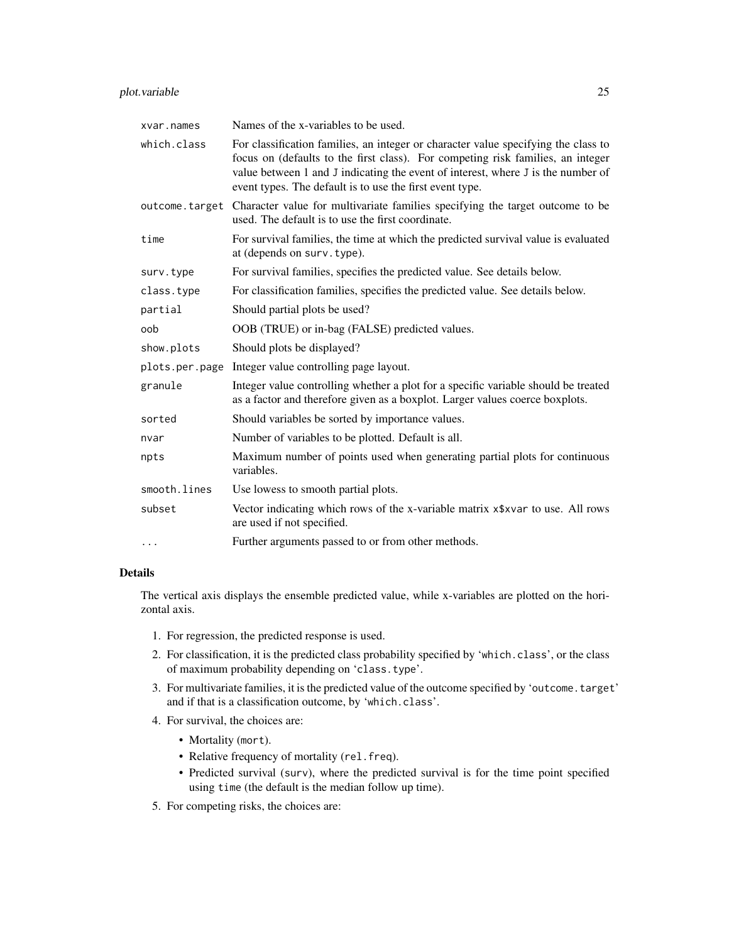# plot.variable 25

| xvar.names     | Names of the x-variables to be used.                                                                                                                                                                                                                                                                                  |  |  |  |
|----------------|-----------------------------------------------------------------------------------------------------------------------------------------------------------------------------------------------------------------------------------------------------------------------------------------------------------------------|--|--|--|
| which.class    | For classification families, an integer or character value specifying the class to<br>focus on (defaults to the first class). For competing risk families, an integer<br>value between 1 and J indicating the event of interest, where J is the number of<br>event types. The default is to use the first event type. |  |  |  |
| outcome.target | Character value for multivariate families specifying the target outcome to be<br>used. The default is to use the first coordinate.                                                                                                                                                                                    |  |  |  |
| time           | For survival families, the time at which the predicted survival value is evaluated<br>at (depends on surv. type).                                                                                                                                                                                                     |  |  |  |
| surv.type      | For survival families, specifies the predicted value. See details below.                                                                                                                                                                                                                                              |  |  |  |
| class.type     | For classification families, specifies the predicted value. See details below.                                                                                                                                                                                                                                        |  |  |  |
| partial        | Should partial plots be used?                                                                                                                                                                                                                                                                                         |  |  |  |
| oob            | OOB (TRUE) or in-bag (FALSE) predicted values.                                                                                                                                                                                                                                                                        |  |  |  |
| show.plots     | Should plots be displayed?                                                                                                                                                                                                                                                                                            |  |  |  |
| plots.per.page | Integer value controlling page layout.                                                                                                                                                                                                                                                                                |  |  |  |
| granule        | Integer value controlling whether a plot for a specific variable should be treated<br>as a factor and therefore given as a boxplot. Larger values coerce boxplots.                                                                                                                                                    |  |  |  |
| sorted         | Should variables be sorted by importance values.                                                                                                                                                                                                                                                                      |  |  |  |
| nvar           | Number of variables to be plotted. Default is all.                                                                                                                                                                                                                                                                    |  |  |  |
| npts           | Maximum number of points used when generating partial plots for continuous<br>variables.                                                                                                                                                                                                                              |  |  |  |
| smooth.lines   | Use lowess to smooth partial plots.                                                                                                                                                                                                                                                                                   |  |  |  |
| subset         | Vector indicating which rows of the x-variable matrix x\$xvar to use. All rows<br>are used if not specified.                                                                                                                                                                                                          |  |  |  |
| $\cdots$       | Further arguments passed to or from other methods.                                                                                                                                                                                                                                                                    |  |  |  |
|                |                                                                                                                                                                                                                                                                                                                       |  |  |  |

# Details

The vertical axis displays the ensemble predicted value, while x-variables are plotted on the horizontal axis.

- 1. For regression, the predicted response is used.
- 2. For classification, it is the predicted class probability specified by 'which.class', or the class of maximum probability depending on 'class.type'.
- 3. For multivariate families, it is the predicted value of the outcome specified by 'outcome.target' and if that is a classification outcome, by 'which.class'.
- 4. For survival, the choices are:
	- Mortality (mort).
	- Relative frequency of mortality (rel.freq).
	- Predicted survival (surv), where the predicted survival is for the time point specified using time (the default is the median follow up time).
- 5. For competing risks, the choices are: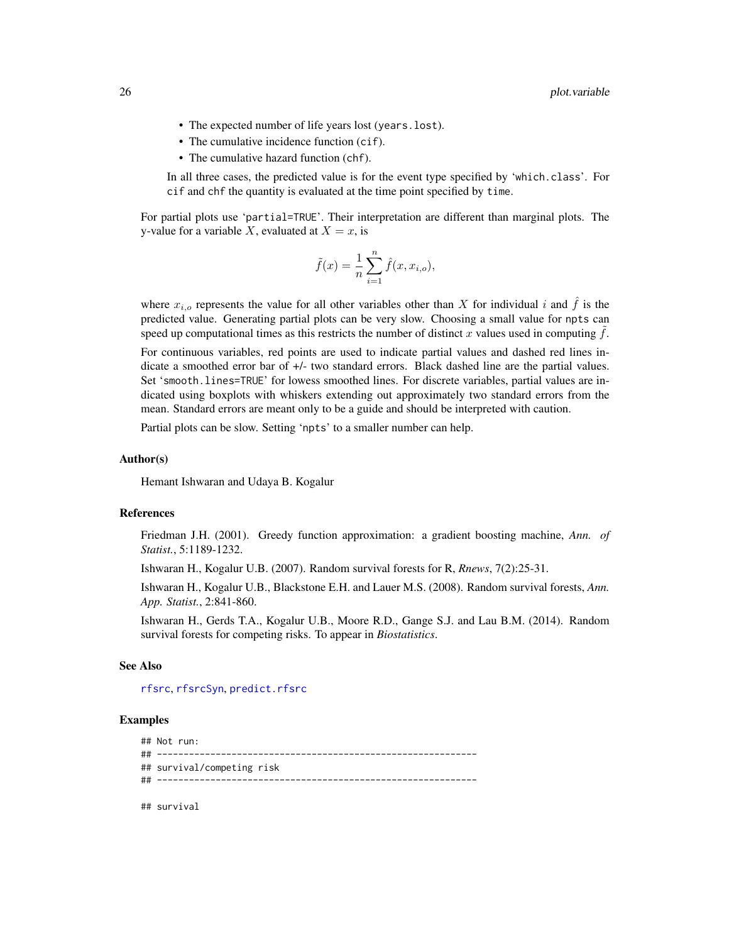- The expected number of life years lost (years.lost).
- The cumulative incidence function (cif).
- The cumulative hazard function (chf).

In all three cases, the predicted value is for the event type specified by 'which.class'. For cif and chf the quantity is evaluated at the time point specified by time.

For partial plots use 'partial=TRUE'. Their interpretation are different than marginal plots. The y-value for a variable X, evaluated at  $X = x$ , is

$$
\tilde{f}(x) = \frac{1}{n} \sum_{i=1}^{n} \hat{f}(x, x_{i,o}),
$$

where  $x_{i,o}$  represents the value for all other variables other than X for individual i and f is the predicted value. Generating partial plots can be very slow. Choosing a small value for npts can speed up computational times as this restricts the number of distinct x values used in computing  $\hat{f}$ .

For continuous variables, red points are used to indicate partial values and dashed red lines indicate a smoothed error bar of +/- two standard errors. Black dashed line are the partial values. Set 'smooth.lines=TRUE' for lowess smoothed lines. For discrete variables, partial values are indicated using boxplots with whiskers extending out approximately two standard errors from the mean. Standard errors are meant only to be a guide and should be interpreted with caution.

Partial plots can be slow. Setting 'npts' to a smaller number can help.

#### Author(s)

Hemant Ishwaran and Udaya B. Kogalur

#### References

Friedman J.H. (2001). Greedy function approximation: a gradient boosting machine, *Ann. of Statist.*, 5:1189-1232.

Ishwaran H., Kogalur U.B. (2007). Random survival forests for R, *Rnews*, 7(2):25-31.

Ishwaran H., Kogalur U.B., Blackstone E.H. and Lauer M.S. (2008). Random survival forests, *Ann. App. Statist.*, 2:841-860.

Ishwaran H., Gerds T.A., Kogalur U.B., Moore R.D., Gange S.J. and Lau B.M. (2014). Random survival forests for competing risks. To appear in *Biostatistics*.

#### See Also

[rfsrc](#page-36-1), [rfsrcSyn](#page-53-1), [predict.rfsrc](#page-27-1)

```
## Not run:
## ------------------------------------------------------------
## survival/competing risk
## ------------------------------------------------------------
## survival
```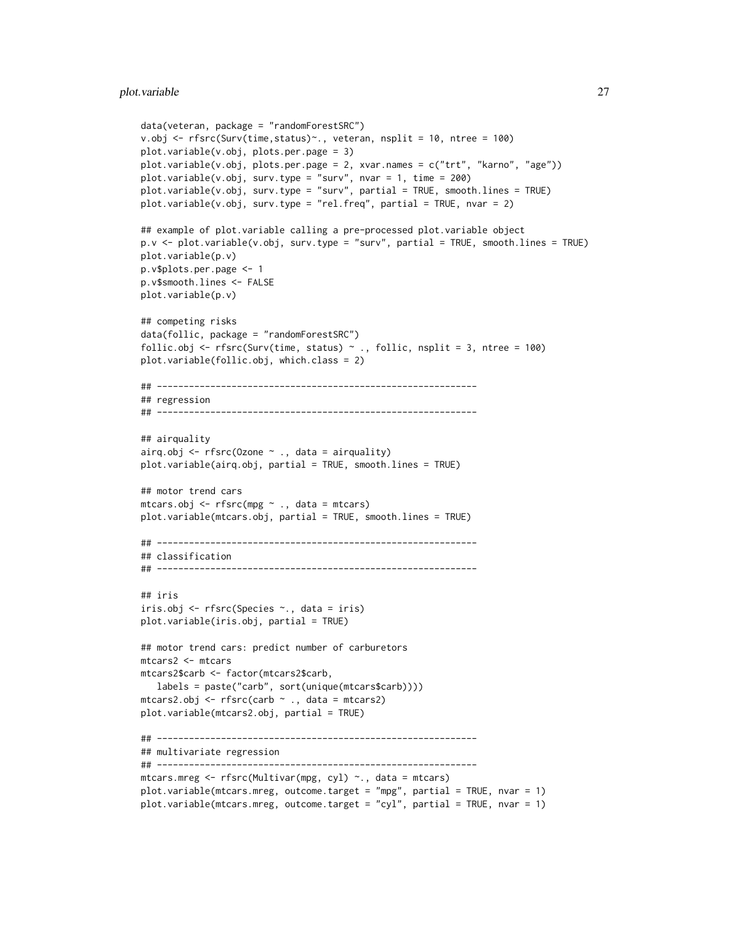```
data(veteran, package = "randomForestSRC")
v.obj <- rfsrc(Surv(time,status)~., veteran, nsplit = 10, ntree = 100)
plot.variable(v.obj, plots.per.page = 3)
plot.variable(v.obj, plots.per.page = 2, xvar.names = c("trt", "karno", "age"))plot.variable(v.obj, surv.type = "surv", nvar = 1, time = 200)plot.variable(v.obj, surv.type = "surv", partial = TRUE, smooth.lines = TRUE)
plot.variable(v.obj, surv.type = "rel.freq", partial = TRUE, nvar = 2)## example of plot.variable calling a pre-processed plot.variable object
p.v <- plot.variable(v.obj, surv.type = "surv", partial = TRUE, smooth.lines = TRUE)
plot.variable(p.v)
p.v$plots.per.page <- 1
p.v$smooth.lines <- FALSE
plot.variable(p.v)
## competing risks
data(follic, package = "randomForestSRC")
follic.obj <- rfsrc(Surv(time, status) \sim ., follic, nsplit = 3, ntree = 100)
plot.variable(follic.obj, which.class = 2)
## ------------------------------------------------------------
## regression
## ------------------------------------------------------------
## airquality
airq.obj \leq rfsrc(Ozone \sim ., data = airquality)plot.variable(airq.obj, partial = TRUE, smooth.lines = TRUE)
## motor trend cars
mtcars.obj <- rfsrc(mpg ~ ., data = mtcars)
plot.variable(mtcars.obj, partial = TRUE, smooth.lines = TRUE)
## ------------------------------------------------------------
## classification
## ------------------------------------------------------------
## iris
iris.obj <- rfsrc(Species ~., data = iris)
plot.variable(iris.obj, partial = TRUE)
## motor trend cars: predict number of carburetors
mtcars2 <- mtcars
mtcars2$carb <- factor(mtcars2$carb,
   labels = paste("carb", sort(unique(mtcars$carb))))
mtcars2.obj < -rfsrc(carb ~ ., data = mtcars2)plot.variable(mtcars2.obj, partial = TRUE)
## ------------------------------------------------------------
## multivariate regression
## ------------------------------------------------------------
mtcars.mreg <- rfsrc(Multivar(mpg, cyl) ~., data = mtcars)
plot.variable(mtcars.mreg, outcome.target = "mpg", partial = TRUE, nvar = 1)
plot.variable(mtcars.mreg, outcome.target = "cyl", partial = TRUE, nvar = 1)
```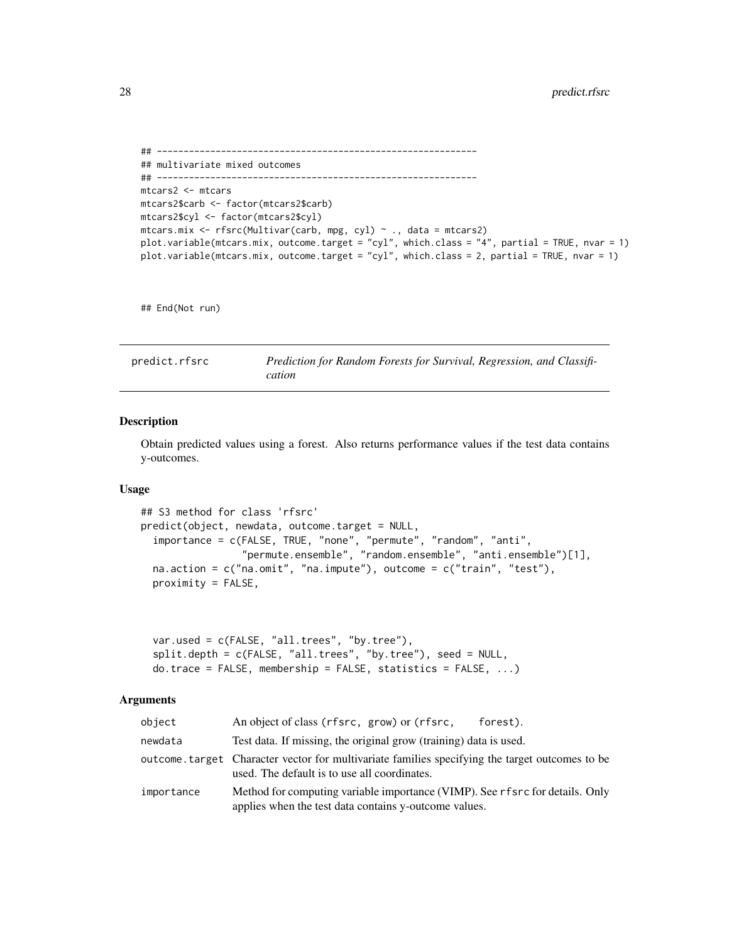```
## ------------------------------------------------------------
## multivariate mixed outcomes
## ------------------------------------------------------------
mtcars2 <- mtcars
mtcars2$carb <- factor(mtcars2$carb)
mtcars2$cyl <- factor(mtcars2$cyl)
mtcars.mix <- rfsrc(Multivar(carb, mpg, cyl) ~ ., data = mtcars2)
plot.variable(mtcars.mix, outcome.target = "cyl", which.class = "4", partial = TRUE, nvar = 1)
plot.variable(mtcars.mix, outcome.target = "cyl", which.class = 2, partial = TRUE, nvar = 1)
```
## End(Not run)

<span id="page-27-1"></span>predict.rfsrc *Prediction for Random Forests for Survival, Regression, and Classification*

#### Description

Obtain predicted values using a forest. Also returns performance values if the test data contains y-outcomes.

# Usage

```
## S3 method for class 'rfsrc'
predict(object, newdata, outcome.target = NULL,
  importance = c(FALSE, TRUE, "none", "permute", "random", "anti",
                 "permute.ensemble", "random.ensemble", "anti.ensemble")[1],
  na. action = c("na.omit", "na. impute"), outcome = c("train", "test"),proximity = FALSE,
```

```
var.used = c(FALSE, "all.trees", "by.tree"),
split.depth = c(FALSE, "all.trees", "by.tree"), seed = NULL,
do.trace = FALSE, membership = FALSE, statistics = FALSE, ...)
```
#### Arguments

| object     | An object of class (rfsrc, grow) or (rfsrc,<br>forest).                                                                                         |
|------------|-------------------------------------------------------------------------------------------------------------------------------------------------|
| newdata    | Test data. If missing, the original grow (training) data is used.                                                                               |
|            | outcome. target Character vector for multivariate families specifying the target outcomes to be<br>used. The default is to use all coordinates. |
| importance | Method for computing variable importance (VIMP). See rfsrc for details. Only<br>applies when the test data contains y-outcome values.           |

<span id="page-27-0"></span>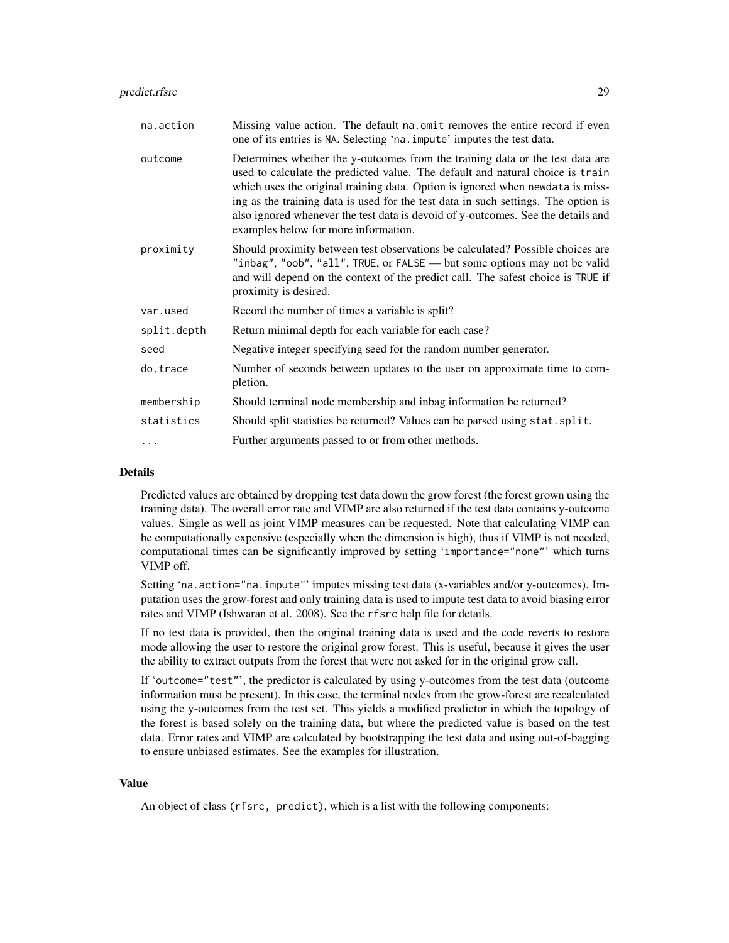| na.action   | Missing value action. The default na.omit removes the entire record if even<br>one of its entries is NA. Selecting 'na. impute' imputes the test data.                                                                                                                                                                                                                                                                                                              |  |
|-------------|---------------------------------------------------------------------------------------------------------------------------------------------------------------------------------------------------------------------------------------------------------------------------------------------------------------------------------------------------------------------------------------------------------------------------------------------------------------------|--|
| outcome     | Determines whether the y-outcomes from the training data or the test data are<br>used to calculate the predicted value. The default and natural choice is train<br>which uses the original training data. Option is ignored when newdata is miss-<br>ing as the training data is used for the test data in such settings. The option is<br>also ignored whenever the test data is devoid of y-outcomes. See the details and<br>examples below for more information. |  |
| proximity   | Should proximity between test observations be calculated? Possible choices are<br>"inbag", "oob", "all", TRUE, or FALSE — but some options may not be valid<br>and will depend on the context of the predict call. The safest choice is TRUE if<br>proximity is desired.                                                                                                                                                                                            |  |
| var.used    | Record the number of times a variable is split?                                                                                                                                                                                                                                                                                                                                                                                                                     |  |
| split.depth | Return minimal depth for each variable for each case?                                                                                                                                                                                                                                                                                                                                                                                                               |  |
| seed        | Negative integer specifying seed for the random number generator.                                                                                                                                                                                                                                                                                                                                                                                                   |  |
| do.trace    | Number of seconds between updates to the user on approximate time to com-<br>pletion.                                                                                                                                                                                                                                                                                                                                                                               |  |
| membership  | Should terminal node membership and inbag information be returned?                                                                                                                                                                                                                                                                                                                                                                                                  |  |
| statistics  | Should split statistics be returned? Values can be parsed using stat. split.                                                                                                                                                                                                                                                                                                                                                                                        |  |
|             | Further arguments passed to or from other methods.                                                                                                                                                                                                                                                                                                                                                                                                                  |  |

# Details

Predicted values are obtained by dropping test data down the grow forest (the forest grown using the training data). The overall error rate and VIMP are also returned if the test data contains y-outcome values. Single as well as joint VIMP measures can be requested. Note that calculating VIMP can be computationally expensive (especially when the dimension is high), thus if VIMP is not needed, computational times can be significantly improved by setting 'importance="none"' which turns VIMP off.

Setting 'na.action="na.impute"' imputes missing test data (x-variables and/or y-outcomes). Imputation uses the grow-forest and only training data is used to impute test data to avoid biasing error rates and VIMP (Ishwaran et al. 2008). See the rfsrc help file for details.

If no test data is provided, then the original training data is used and the code reverts to restore mode allowing the user to restore the original grow forest. This is useful, because it gives the user the ability to extract outputs from the forest that were not asked for in the original grow call.

If 'outcome="test"', the predictor is calculated by using y-outcomes from the test data (outcome information must be present). In this case, the terminal nodes from the grow-forest are recalculated using the y-outcomes from the test set. This yields a modified predictor in which the topology of the forest is based solely on the training data, but where the predicted value is based on the test data. Error rates and VIMP are calculated by bootstrapping the test data and using out-of-bagging to ensure unbiased estimates. See the examples for illustration.

#### Value

An object of class (rfsrc, predict), which is a list with the following components: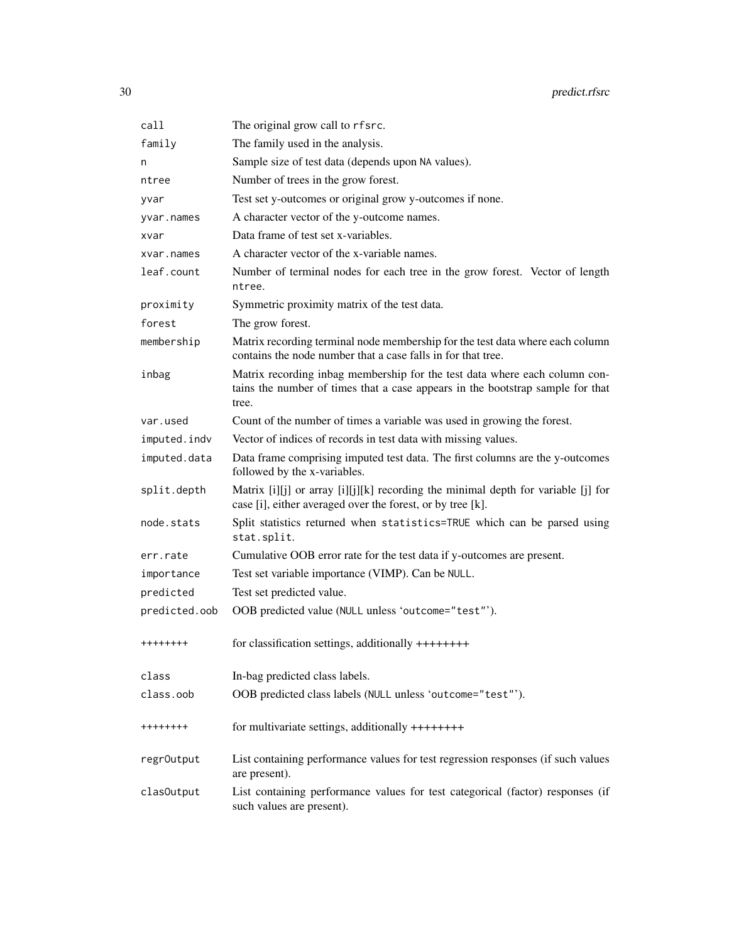30 predict.rfsrc

| call          | The original grow call to rfsrc.                                                                                                                                      |  |  |  |
|---------------|-----------------------------------------------------------------------------------------------------------------------------------------------------------------------|--|--|--|
| family        | The family used in the analysis.                                                                                                                                      |  |  |  |
| n             | Sample size of test data (depends upon NA values).                                                                                                                    |  |  |  |
| ntree         | Number of trees in the grow forest.                                                                                                                                   |  |  |  |
| yvar          | Test set y-outcomes or original grow y-outcomes if none.                                                                                                              |  |  |  |
| yvar.names    | A character vector of the y-outcome names.                                                                                                                            |  |  |  |
| xvar          | Data frame of test set x-variables.                                                                                                                                   |  |  |  |
| xvar.names    | A character vector of the x-variable names.                                                                                                                           |  |  |  |
| leaf.count    | Number of terminal nodes for each tree in the grow forest. Vector of length<br>ntree.                                                                                 |  |  |  |
| proximity     | Symmetric proximity matrix of the test data.                                                                                                                          |  |  |  |
| forest        | The grow forest.                                                                                                                                                      |  |  |  |
| membership    | Matrix recording terminal node membership for the test data where each column<br>contains the node number that a case falls in for that tree.                         |  |  |  |
| inbag         | Matrix recording inbag membership for the test data where each column con-<br>tains the number of times that a case appears in the bootstrap sample for that<br>tree. |  |  |  |
| var.used      | Count of the number of times a variable was used in growing the forest.                                                                                               |  |  |  |
| imputed.indv  | Vector of indices of records in test data with missing values.                                                                                                        |  |  |  |
| imputed.data  | Data frame comprising imputed test data. The first columns are the y-outcomes<br>followed by the x-variables.                                                         |  |  |  |
| split.depth   | Matrix [i][j] or array [i][j][k] recording the minimal depth for variable [j] for<br>case [i], either averaged over the forest, or by tree [k].                       |  |  |  |
| node.stats    | Split statistics returned when statistics=TRUE which can be parsed using<br>stat.split.                                                                               |  |  |  |
| err.rate      | Cumulative OOB error rate for the test data if y-outcomes are present.                                                                                                |  |  |  |
| importance    | Test set variable importance (VIMP). Can be NULL.                                                                                                                     |  |  |  |
| predicted     | Test set predicted value.                                                                                                                                             |  |  |  |
| predicted.oob | OOB predicted value (NULL unless 'outcome="test"').                                                                                                                   |  |  |  |
| ++++++++      | for classification settings, additionally ++++++++                                                                                                                    |  |  |  |
| class         | In-bag predicted class labels.                                                                                                                                        |  |  |  |
| class.oob     | OOB predicted class labels (NULL unless 'outcome="test"').                                                                                                            |  |  |  |
| ++++++++      | for multivariate settings, additionally ++++++++                                                                                                                      |  |  |  |
| regr0utput    | List containing performance values for test regression responses (if such values<br>are present).                                                                     |  |  |  |
| clas0utput    | List containing performance values for test categorical (factor) responses (if<br>such values are present).                                                           |  |  |  |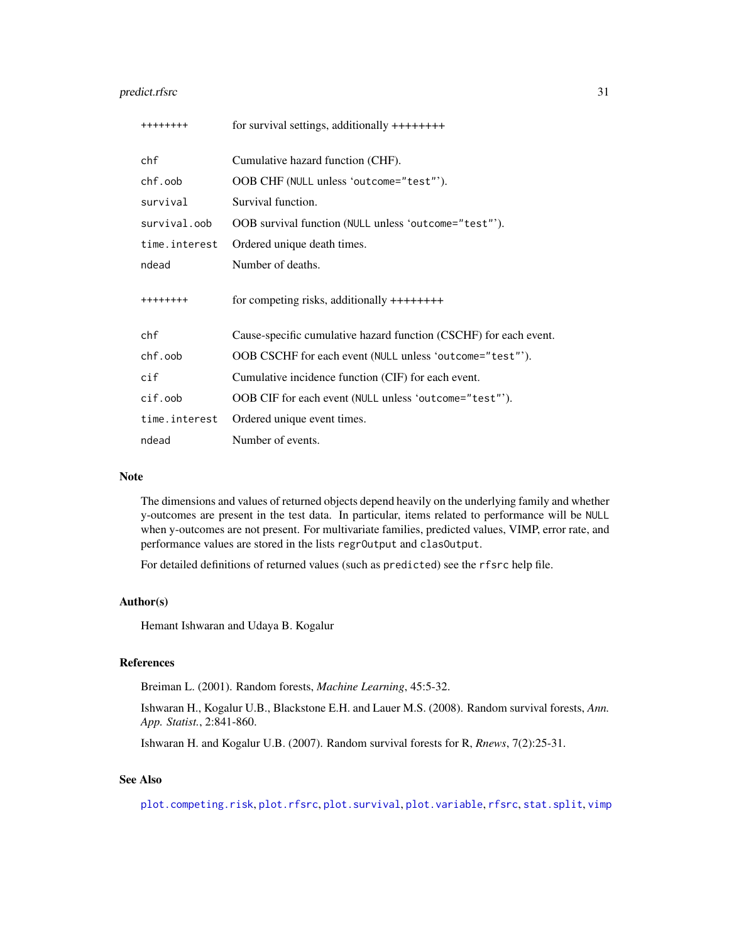# predict.rfsrc 31

| ++++++++       | for survival settings, additionally $++++++$                      |
|----------------|-------------------------------------------------------------------|
| chf            | Cumulative hazard function (CHF).                                 |
| chf.oob        | OOB CHF (NULL unless 'outcome="test"').                           |
| survival       | Survival function.                                                |
| survival.oob   | OOB survival function (NULL unless 'outcome="test"').             |
| time.interest  | Ordered unique death times.                                       |
| ndead          | Number of deaths.                                                 |
| ++++++++       | for competing risks, additionally $++++++$                        |
| chf            | Cause-specific cumulative hazard function (CSCHF) for each event. |
| chf.oob        | OOB CSCHF for each event (NULL unless 'outcome="test"').          |
| $\mathsf{cif}$ | Cumulative incidence function (CIF) for each event.               |
| cif.oob        | OOB CIF for each event (NULL unless 'outcome="test"').            |
| time.interest  | Ordered unique event times.                                       |
| ndead          | Number of events.                                                 |

#### Note

The dimensions and values of returned objects depend heavily on the underlying family and whether y-outcomes are present in the test data. In particular, items related to performance will be NULL when y-outcomes are not present. For multivariate families, predicted values, VIMP, error rate, and performance values are stored in the lists regrOutput and clasOutput.

For detailed definitions of returned values (such as predicted) see the rfsrc help file.

# Author(s)

Hemant Ishwaran and Udaya B. Kogalur

# References

Breiman L. (2001). Random forests, *Machine Learning*, 45:5-32.

Ishwaran H., Kogalur U.B., Blackstone E.H. and Lauer M.S. (2008). Random survival forests, *Ann. App. Statist.*, 2:841-860.

Ishwaran H. and Kogalur U.B. (2007). Random survival forests for R, *Rnews*, 7(2):25-31.

# See Also

[plot.competing.risk](#page-17-1), [plot.rfsrc](#page-19-1), [plot.survival](#page-20-1), [plot.variable](#page-23-1), [rfsrc](#page-36-1), [stat.split](#page-56-1), [vimp](#page-66-1)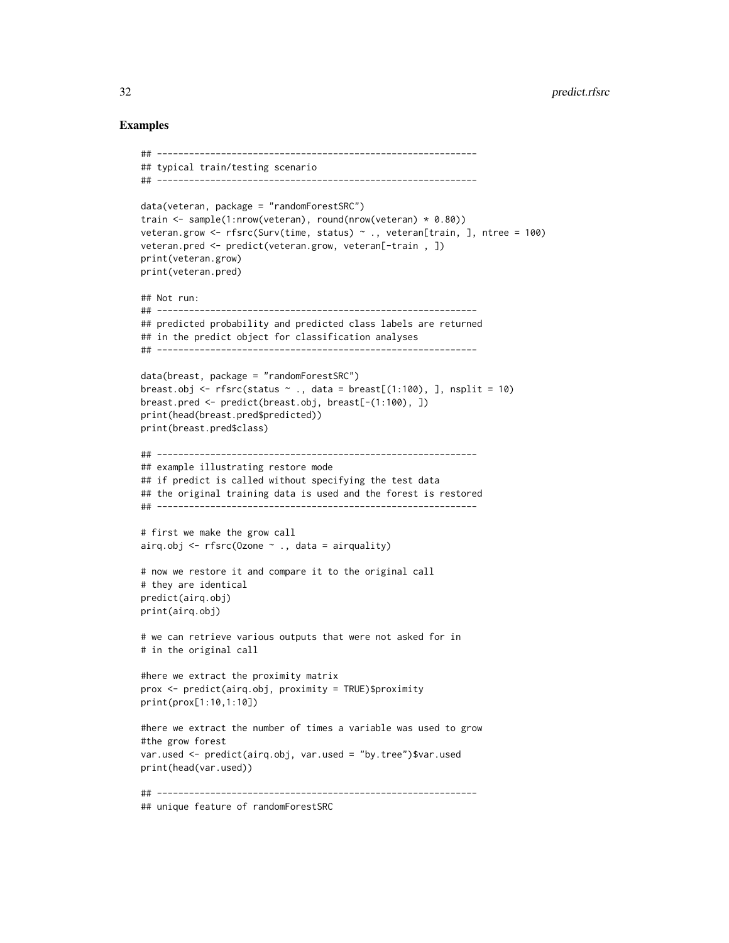```
## ------------------------------------------------------------
## typical train/testing scenario
## ------------------------------------------------------------
data(veteran, package = "randomForestSRC")
train <- sample(1:nrow(veteran), round(nrow(veteran) * 0.80))
veteran.grow <- rfsrc(Surv(time, status) ~ ., veteran[train, ], ntree = 100)
veteran.pred <- predict(veteran.grow, veteran[-train , ])
print(veteran.grow)
print(veteran.pred)
## Not run:
## ------------------------------------------------------------
## predicted probability and predicted class labels are returned
## in the predict object for classification analyses
## ------------------------------------------------------------
data(breast, package = "randomForestSRC")
breast.obj <- rfsrc(status \sim ., data = breast[(1:100), ], nsplit = 10)
breast.pred <- predict(breast.obj, breast[-(1:100), ])
print(head(breast.pred$predicted))
print(breast.pred$class)
## ------------------------------------------------------------
## example illustrating restore mode
## if predict is called without specifying the test data
## the original training data is used and the forest is restored
## ------------------------------------------------------------
# first we make the grow call
airq.obj \leq rfsrc(Ozone \sim ., data = airquality)
# now we restore it and compare it to the original call
# they are identical
predict(airq.obj)
print(airq.obj)
# we can retrieve various outputs that were not asked for in
# in the original call
#here we extract the proximity matrix
prox <- predict(airq.obj, proximity = TRUE)$proximity
print(prox[1:10,1:10])
#here we extract the number of times a variable was used to grow
#the grow forest
var.used <- predict(airq.obj, var.used = "by.tree")$var.used
print(head(var.used))
## ------------------------------------------------------------
## unique feature of randomForestSRC
```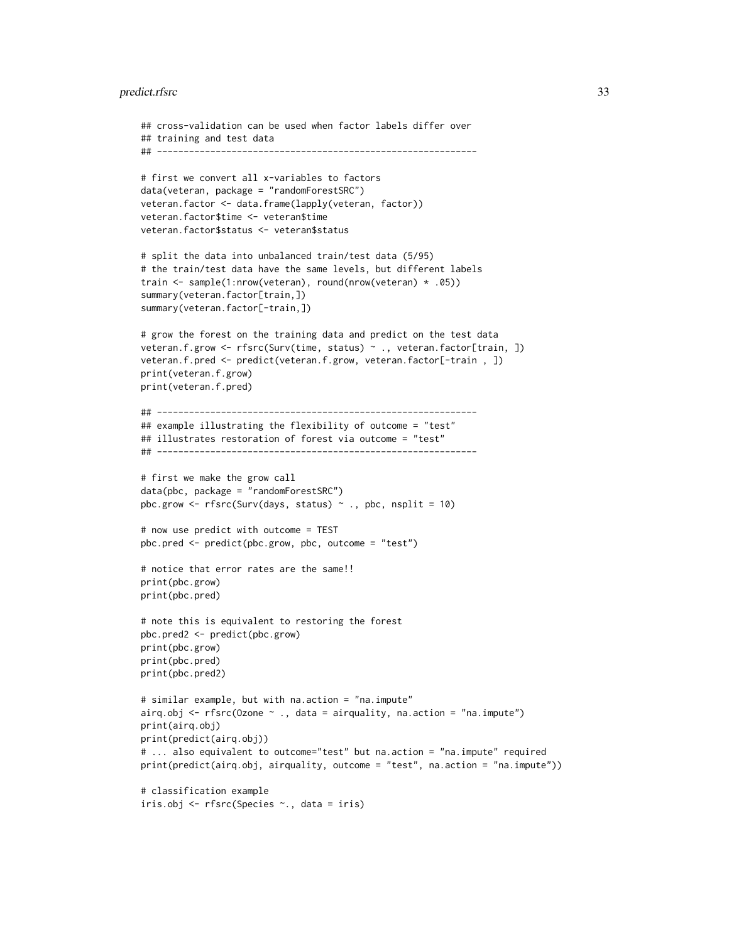# predict.rfsrc 33

```
## cross-validation can be used when factor labels differ over
## training and test data
## ------------------------------------------------------------
# first we convert all x-variables to factors
data(veteran, package = "randomForestSRC")
veteran.factor <- data.frame(lapply(veteran, factor))
veteran.factor$time <- veteran$time
veteran.factor$status <- veteran$status
# split the data into unbalanced train/test data (5/95)
# the train/test data have the same levels, but different labels
train <- sample(1:nrow(veteran), round(nrow(veteran) * .05))
summary(veteran.factor[train,])
summary(veteran.factor[-train,])
# grow the forest on the training data and predict on the test data
veteran.f.grow <- rfsrc(Surv(time, status) ~ ., veteran.factor[train, ])
veteran.f.pred <- predict(veteran.f.grow, veteran.factor[-train , ])
print(veteran.f.grow)
print(veteran.f.pred)
## ------------------------------------------------------------
## example illustrating the flexibility of outcome = "test"
## illustrates restoration of forest via outcome = "test"
## ------------------------------------------------------------
# first we make the grow call
data(pbc, package = "randomForestSRC")
pbc.grow \leq rfsrc(Surv(days, status) \sim ., pbc, nsplit = 10)
# now use predict with outcome = TEST
pbc.pred <- predict(pbc.grow, pbc, outcome = "test")
# notice that error rates are the same!!
print(pbc.grow)
print(pbc.pred)
# note this is equivalent to restoring the forest
pbc.pred2 <- predict(pbc.grow)
print(pbc.grow)
print(pbc.pred)
print(pbc.pred2)
# similar example, but with na.action = "na.impute"
airq.obj \leq rfsrc(Ozone \sim ., data = airquality, na.action = "na.impute")
print(airq.obj)
print(predict(airq.obj))
# ... also equivalent to outcome="test" but na.action = "na.impute" required
print(predict(airq.obj, airquality, outcome = "test", na.action = "na.impute"))
# classification example
iris.obj <- rfsrc(Species ~., data = iris)
```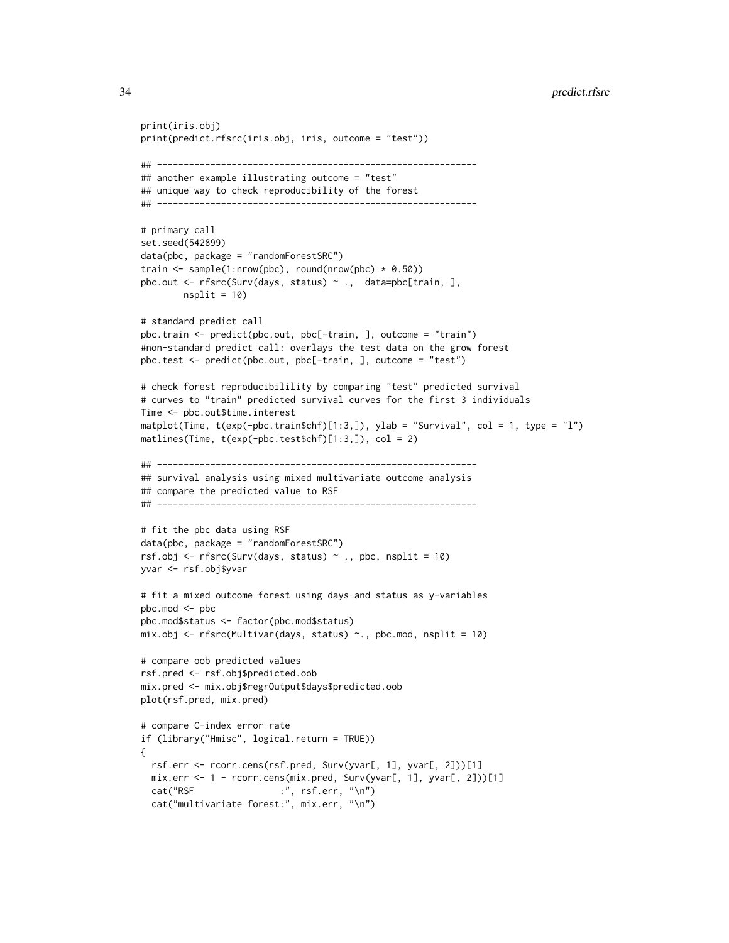```
print(iris.obj)
print(predict.rfsrc(iris.obj, iris, outcome = "test"))
## ------------------------------------------------------------
## another example illustrating outcome = "test"
## unique way to check reproducibility of the forest
## ------------------------------------------------------------
# primary call
set.seed(542899)
data(pbc, package = "randomForestSRC")
train \leq sample(1:nrow(pbc), round(nrow(pbc) \star 0.50))
pbc.out <- rfsrc(Surv(days, status) ~ ., data=pbc[train, ],
        nsplit = 10# standard predict call
pbc.train <- predict(pbc.out, pbc[-train, ], outcome = "train")
#non-standard predict call: overlays the test data on the grow forest
pbc.test <- predict(pbc.out, pbc[-train, ], outcome = "test")
# check forest reproducibilility by comparing "test" predicted survival
# curves to "train" predicted survival curves for the first 3 individuals
Time <- pbc.out$time.interest
matplot(Time, t(exp(-pbc.train$chf)[1:3,]), ylab = "Survival", col = 1, type = "l")
matlines(Time, t(exp(-pbc.test$chf)[1:3,]), col = 2)
## ------------------------------------------------------------
## survival analysis using mixed multivariate outcome analysis
## compare the predicted value to RSF
## ------------------------------------------------------------
# fit the pbc data using RSF
data(pbc, package = "randomForestSRC")
rsf.obj <- rfsrc(Surv(days, status) \sim ., pbc, nsplit = 10)
yvar <- rsf.obj$yvar
# fit a mixed outcome forest using days and status as y-variables
pbc.mod <- pbc
pbc.mod$status <- factor(pbc.mod$status)
mix.obj \leftarrow rfsrc(Multivar(days, status) \sim ., pbc.mod, nsplit = 10)# compare oob predicted values
rsf.pred <- rsf.obj$predicted.oob
mix.pred <- mix.obj$regrOutput$days$predicted.oob
plot(rsf.pred, mix.pred)
# compare C-index error rate
if (library("Hmisc", logical.return = TRUE))
{
  rsf.err <- rcorr.cens(rsf.pred, Surv(yvar[, 1], yvar[, 2]))[1]
  mix.err <- 1 - rcorr.cens(mix.pred, Surv(yvar[, 1], yvar[, 2]))[1]
  cat("RSF :", rsf.err, "\n")
  cat("multivariate forest:", mix.err, "\n")
```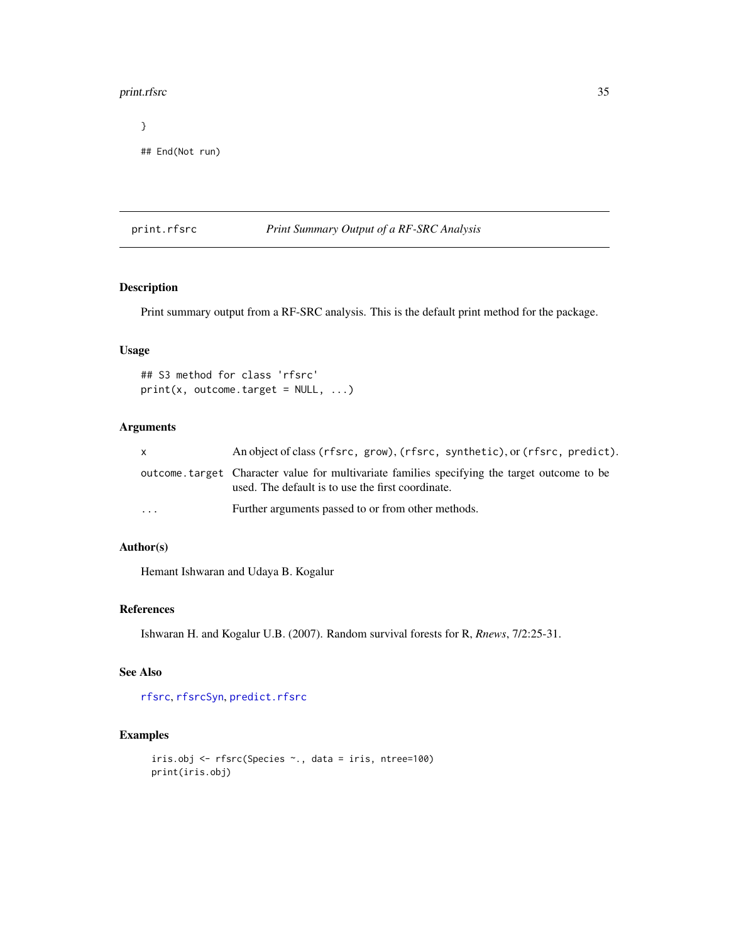#### <span id="page-34-0"></span>print.rfsrc 35

} ## End(Not run)

# <span id="page-34-1"></span>print.rfsrc *Print Summary Output of a RF-SRC Analysis*

# Description

Print summary output from a RF-SRC analysis. This is the default print method for the package.

# Usage

```
## S3 method for class 'rfsrc'
print(x, outcome.target = NULL, ...)
```
# Arguments

| $\mathsf{x}$ | An object of class (rfsrc, grow), (rfsrc, synthetic), or (rfsrc, predict).                                                                        |
|--------------|---------------------------------------------------------------------------------------------------------------------------------------------------|
|              | outcome target Character value for multivariate families specifying the target outcome to be<br>used. The default is to use the first coordinate. |
| $\cdot$      | Further arguments passed to or from other methods.                                                                                                |

# Author(s)

Hemant Ishwaran and Udaya B. Kogalur

# References

Ishwaran H. and Kogalur U.B. (2007). Random survival forests for R, *Rnews*, 7/2:25-31.

# See Also

[rfsrc](#page-36-1), [rfsrcSyn](#page-53-1), [predict.rfsrc](#page-27-1)

```
iris.obj <- rfsrc(Species ~., data = iris, ntree=100)
print(iris.obj)
```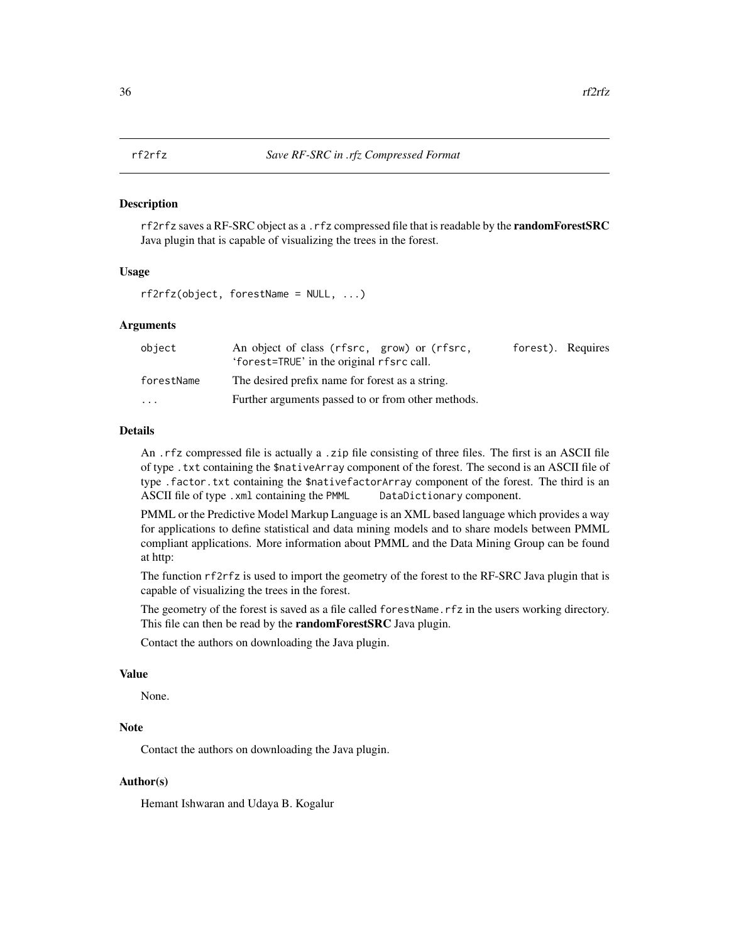#### <span id="page-35-1"></span><span id="page-35-0"></span>Description

rf2rfz saves a RF-SRC object as a .rfz compressed file that is readable by the **randomForestSRC** Java plugin that is capable of visualizing the trees in the forest.

#### Usage

rf2rfz(object, forestName = NULL, ...)

#### Arguments

| object                  | An object of class (rfsrc, grow) or (rfsrc,<br>'forest=TRUE' in the original rfsrc call. | forest). Requires |  |
|-------------------------|------------------------------------------------------------------------------------------|-------------------|--|
| forestName              | The desired prefix name for forest as a string.                                          |                   |  |
| $\cdot$ $\cdot$ $\cdot$ | Further arguments passed to or from other methods.                                       |                   |  |

# Details

An .rfz compressed file is actually a .zip file consisting of three files. The first is an ASCII file of type .txt containing the \$nativeArray component of the forest. The second is an ASCII file of type .factor.txt containing the \$nativefactorArray component of the forest. The third is an ASCII file of type . xml containing the PMML DataDictionary component.

PMML or the Predictive Model Markup Language is an XML based language which provides a way for applications to define statistical and data mining models and to share models between PMML compliant applications. More information about PMML and the Data Mining Group can be found at http:

The function rf2rfz is used to import the geometry of the forest to the RF-SRC Java plugin that is capable of visualizing the trees in the forest.

The geometry of the forest is saved as a file called forestName.rfz in the users working directory. This file can then be read by the **randomForestSRC** Java plugin.

Contact the authors on downloading the Java plugin.

# Value

None.

# Note

Contact the authors on downloading the Java plugin.

#### Author(s)

Hemant Ishwaran and Udaya B. Kogalur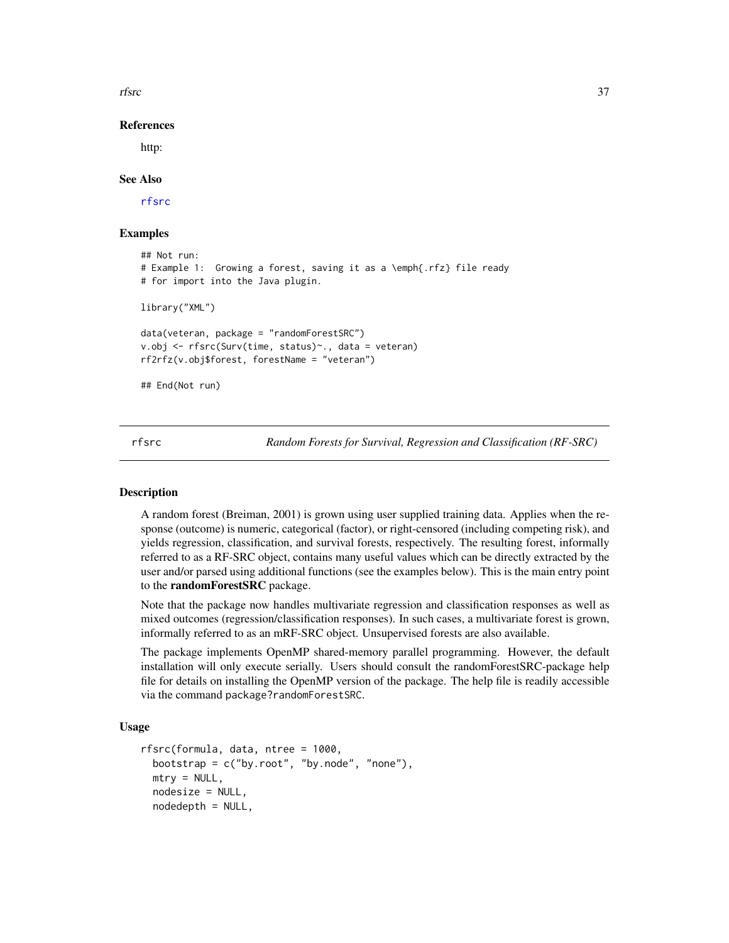<span id="page-36-1"></span>rfsrc 37

References

http:

## See Also

[rfsrc](#page-36-0)

# Examples

```
## Not run:
# Example 1: Growing a forest, saving it as a \emph{.rfz} file ready
# for import into the Java plugin.
library("XML")
data(veteran, package = "randomForestSRC")
v.obj <- rfsrc(Surv(time, status)~., data = veteran)
rf2rfz(v.obj$forest, forestName = "veteran")
## End(Not run)
```
<span id="page-36-0"></span>rfsrc *Random Forests for Survival, Regression and Classification (RF-SRC)*

## Description

A random forest (Breiman, 2001) is grown using user supplied training data. Applies when the response (outcome) is numeric, categorical (factor), or right-censored (including competing risk), and yields regression, classification, and survival forests, respectively. The resulting forest, informally referred to as a RF-SRC object, contains many useful values which can be directly extracted by the user and/or parsed using additional functions (see the examples below). This is the main entry point to the randomForestSRC package.

Note that the package now handles multivariate regression and classification responses as well as mixed outcomes (regression/classification responses). In such cases, a multivariate forest is grown, informally referred to as an mRF-SRC object. Unsupervised forests are also available.

The package implements OpenMP shared-memory parallel programming. However, the default installation will only execute serially. Users should consult the randomForestSRC-package help file for details on installing the OpenMP version of the package. The help file is readily accessible via the command package?randomForestSRC.

# Usage

```
rfsrc(formula, data, ntree = 1000,
 bootstrap = c("by(root", "by-node", "none"),
 mtry = NULL,nodesize = NULL,
  nodedepth = NULL,
```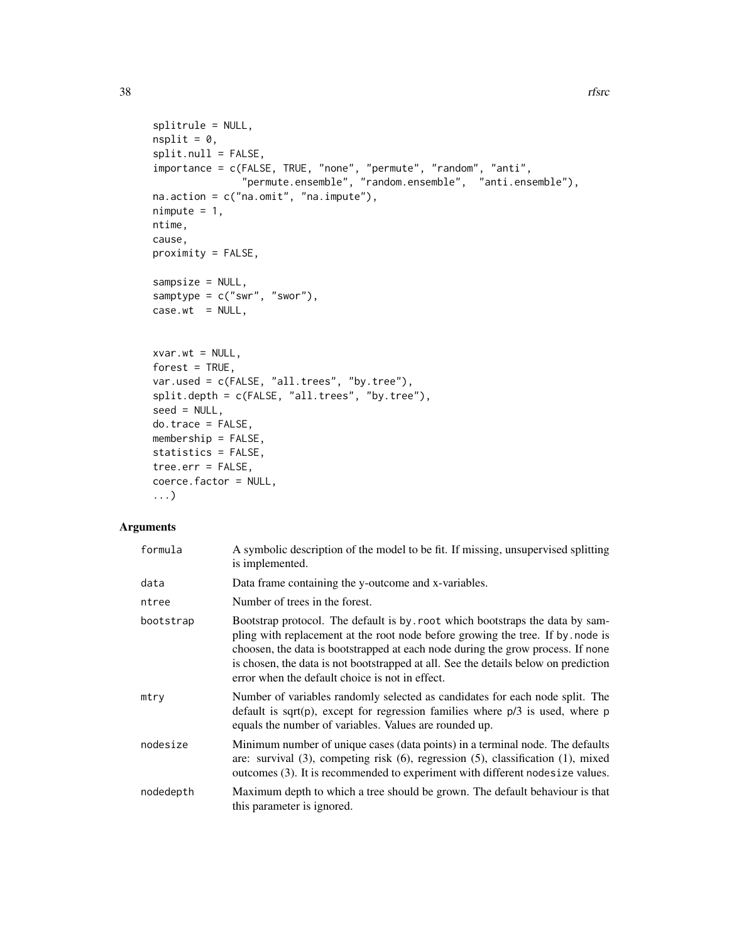```
splitrule = NULL,
nsplit = 0,split.null = FALSE,importance = c(FALSE, TRUE, "none", "permute", "random", "anti",
               "permute.ensemble", "random.ensemble", "anti.ensemble"),
na.action = c("na.omit", "na.impute"),
nimpute = 1,
ntime,
cause,
proximity = FALSE,
sampsize = NULL,
samptype = c("swr", "swor"),
case.wt = NULL,xvar.wt = NULL,forest = TRUE,
var.used = c(FALSE, "all.trees", "by.tree"),
split.depth = c(FALSE, "all.trees", "by.tree"),
seed = NULL,
do.trace = FALSE,
membership = FALSE,
statistics = FALSE,
tree.err = FALSE,
coerce.factor = NULL,
...)
```
## Arguments

| formula   | A symbolic description of the model to be fit. If missing, unsupervised splitting<br>is implemented.                                                                                                                                                                                                                                                                                        |
|-----------|---------------------------------------------------------------------------------------------------------------------------------------------------------------------------------------------------------------------------------------------------------------------------------------------------------------------------------------------------------------------------------------------|
| data      | Data frame containing the y-outcome and x-variables.                                                                                                                                                                                                                                                                                                                                        |
| ntree     | Number of trees in the forest.                                                                                                                                                                                                                                                                                                                                                              |
| bootstrap | Bootstrap protocol. The default is by root which bootstraps the data by sam-<br>pling with replacement at the root node before growing the tree. If by node is<br>choosen, the data is bootstrapped at each node during the grow process. If none<br>is chosen, the data is not bootstrapped at all. See the details below on prediction<br>error when the default choice is not in effect. |
| mtry      | Number of variables randomly selected as candidates for each node split. The<br>default is sqrt(p), except for regression families where $p/3$ is used, where p<br>equals the number of variables. Values are rounded up.                                                                                                                                                                   |
| nodesize  | Minimum number of unique cases (data points) in a terminal node. The defaults<br>are: survival $(3)$ , competing risk $(6)$ , regression $(5)$ , classification $(1)$ , mixed<br>outcomes (3). It is recommended to experiment with different nodesize values.                                                                                                                              |
| nodedepth | Maximum depth to which a tree should be grown. The default behaviour is that<br>this parameter is ignored.                                                                                                                                                                                                                                                                                  |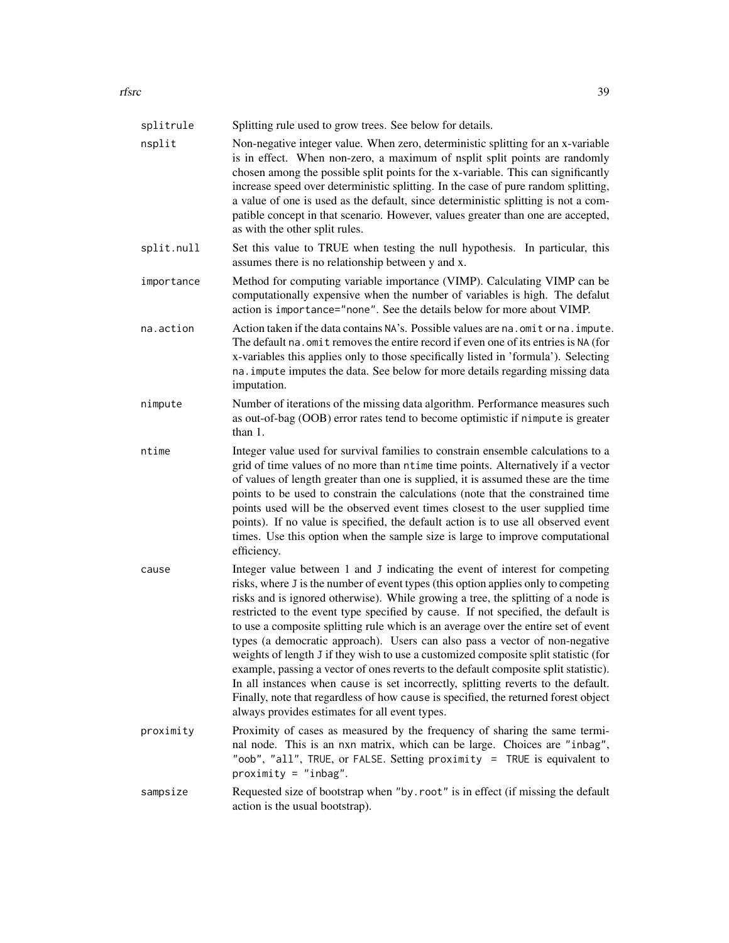| splitrule  | Splitting rule used to grow trees. See below for details.                                                                                                                                                                                                                                                                                                                                                                                                                                                                                                                                                                                                                                                                                                                                                                                                                                                                      |
|------------|--------------------------------------------------------------------------------------------------------------------------------------------------------------------------------------------------------------------------------------------------------------------------------------------------------------------------------------------------------------------------------------------------------------------------------------------------------------------------------------------------------------------------------------------------------------------------------------------------------------------------------------------------------------------------------------------------------------------------------------------------------------------------------------------------------------------------------------------------------------------------------------------------------------------------------|
| nsplit     | Non-negative integer value. When zero, deterministic splitting for an x-variable<br>is in effect. When non-zero, a maximum of nsplit split points are randomly<br>chosen among the possible split points for the x-variable. This can significantly<br>increase speed over deterministic splitting. In the case of pure random splitting,<br>a value of one is used as the default, since deterministic splitting is not a com-<br>patible concept in that scenario. However, values greater than one are accepted,<br>as with the other split rules.                                                                                                                                                                                                                                                                                                                                                                          |
| split.null | Set this value to TRUE when testing the null hypothesis. In particular, this<br>assumes there is no relationship between y and x.                                                                                                                                                                                                                                                                                                                                                                                                                                                                                                                                                                                                                                                                                                                                                                                              |
| importance | Method for computing variable importance (VIMP). Calculating VIMP can be<br>computationally expensive when the number of variables is high. The defalut<br>action is importance="none". See the details below for more about VIMP.                                                                                                                                                                                                                                                                                                                                                                                                                                                                                                                                                                                                                                                                                             |
| na.action  | Action taken if the data contains NA's. Possible values are na. omit or na. impute.<br>The default na. omit removes the entire record if even one of its entries is NA (for<br>x-variables this applies only to those specifically listed in 'formula'). Selecting<br>na. impute imputes the data. See below for more details regarding missing data<br>imputation.                                                                                                                                                                                                                                                                                                                                                                                                                                                                                                                                                            |
| nimpute    | Number of iterations of the missing data algorithm. Performance measures such<br>as out-of-bag (OOB) error rates tend to become optimistic if nimpute is greater<br>than 1.                                                                                                                                                                                                                                                                                                                                                                                                                                                                                                                                                                                                                                                                                                                                                    |
| ntime      | Integer value used for survival families to constrain ensemble calculations to a<br>grid of time values of no more than ntime time points. Alternatively if a vector<br>of values of length greater than one is supplied, it is assumed these are the time<br>points to be used to constrain the calculations (note that the constrained time<br>points used will be the observed event times closest to the user supplied time<br>points). If no value is specified, the default action is to use all observed event<br>times. Use this option when the sample size is large to improve computational<br>efficiency.                                                                                                                                                                                                                                                                                                          |
| cause      | Integer value between 1 and J indicating the event of interest for competing<br>risks, where J is the number of event types (this option applies only to competing<br>risks and is ignored otherwise). While growing a tree, the splitting of a node is<br>restricted to the event type specified by cause. If not specified, the default is<br>to use a composite splitting rule which is an average over the entire set of event<br>types (a democratic approach). Users can also pass a vector of non-negative<br>weights of length J if they wish to use a customized composite split statistic (for<br>example, passing a vector of ones reverts to the default composite split statistic).<br>In all instances when cause is set incorrectly, splitting reverts to the default.<br>Finally, note that regardless of how cause is specified, the returned forest object<br>always provides estimates for all event types. |
| proximity  | Proximity of cases as measured by the frequency of sharing the same termi-<br>nal node. This is an nxn matrix, which can be large. Choices are "inbag",<br>"oob", "all", TRUE, or FALSE. Setting proximity = TRUE is equivalent to<br>$proximity = "inbag".$                                                                                                                                                                                                                                                                                                                                                                                                                                                                                                                                                                                                                                                                   |
| sampsize   | Requested size of bootstrap when "by . root" is in effect (if missing the default<br>action is the usual bootstrap).                                                                                                                                                                                                                                                                                                                                                                                                                                                                                                                                                                                                                                                                                                                                                                                                           |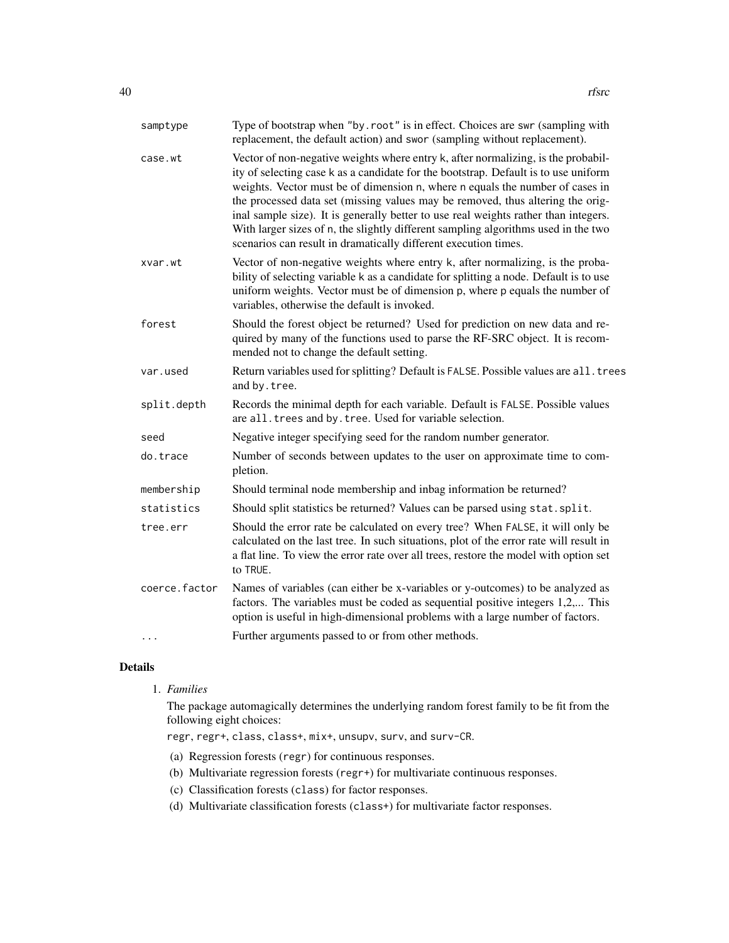| samptype      | Type of bootstrap when "by.root" is in effect. Choices are swr (sampling with<br>replacement, the default action) and swor (sampling without replacement).                                                                                                                                                                                                                                                                                                                                                                                                                                  |
|---------------|---------------------------------------------------------------------------------------------------------------------------------------------------------------------------------------------------------------------------------------------------------------------------------------------------------------------------------------------------------------------------------------------------------------------------------------------------------------------------------------------------------------------------------------------------------------------------------------------|
| case.wt       | Vector of non-negative weights where entry k, after normalizing, is the probabil-<br>ity of selecting case k as a candidate for the bootstrap. Default is to use uniform<br>weights. Vector must be of dimension n, where n equals the number of cases in<br>the processed data set (missing values may be removed, thus altering the orig-<br>inal sample size). It is generally better to use real weights rather than integers.<br>With larger sizes of n, the slightly different sampling algorithms used in the two<br>scenarios can result in dramatically different execution times. |
| xvar.wt       | Vector of non-negative weights where entry k, after normalizing, is the proba-<br>bility of selecting variable k as a candidate for splitting a node. Default is to use<br>uniform weights. Vector must be of dimension p, where p equals the number of<br>variables, otherwise the default is invoked.                                                                                                                                                                                                                                                                                     |
| forest        | Should the forest object be returned? Used for prediction on new data and re-<br>quired by many of the functions used to parse the RF-SRC object. It is recom-<br>mended not to change the default setting.                                                                                                                                                                                                                                                                                                                                                                                 |
| var.used      | Return variables used for splitting? Default is FALSE. Possible values are all. trees<br>and by.tree.                                                                                                                                                                                                                                                                                                                                                                                                                                                                                       |
| split.depth   | Records the minimal depth for each variable. Default is FALSE. Possible values<br>are all. trees and by. tree. Used for variable selection.                                                                                                                                                                                                                                                                                                                                                                                                                                                 |
| seed          | Negative integer specifying seed for the random number generator.                                                                                                                                                                                                                                                                                                                                                                                                                                                                                                                           |
| do.trace      | Number of seconds between updates to the user on approximate time to com-<br>pletion.                                                                                                                                                                                                                                                                                                                                                                                                                                                                                                       |
| membership    | Should terminal node membership and inbag information be returned?                                                                                                                                                                                                                                                                                                                                                                                                                                                                                                                          |
| statistics    | Should split statistics be returned? Values can be parsed using stat. split.                                                                                                                                                                                                                                                                                                                                                                                                                                                                                                                |
| tree.err      | Should the error rate be calculated on every tree? When FALSE, it will only be<br>calculated on the last tree. In such situations, plot of the error rate will result in<br>a flat line. To view the error rate over all trees, restore the model with option set<br>to TRUE.                                                                                                                                                                                                                                                                                                               |
| coerce.factor | Names of variables (can either be x-variables or y-outcomes) to be analyzed as<br>factors. The variables must be coded as sequential positive integers 1,2, This<br>option is useful in high-dimensional problems with a large number of factors.                                                                                                                                                                                                                                                                                                                                           |
| $\cdots$      | Further arguments passed to or from other methods.                                                                                                                                                                                                                                                                                                                                                                                                                                                                                                                                          |

# Details

1. *Families*

The package automagically determines the underlying random forest family to be fit from the following eight choices:

regr, regr+, class, class+, mix+, unsupv, surv, and surv-CR.

- (a) Regression forests (regr) for continuous responses.
- (b) Multivariate regression forests (regr+) for multivariate continuous responses.
- (c) Classification forests (class) for factor responses.
- (d) Multivariate classification forests (class+) for multivariate factor responses.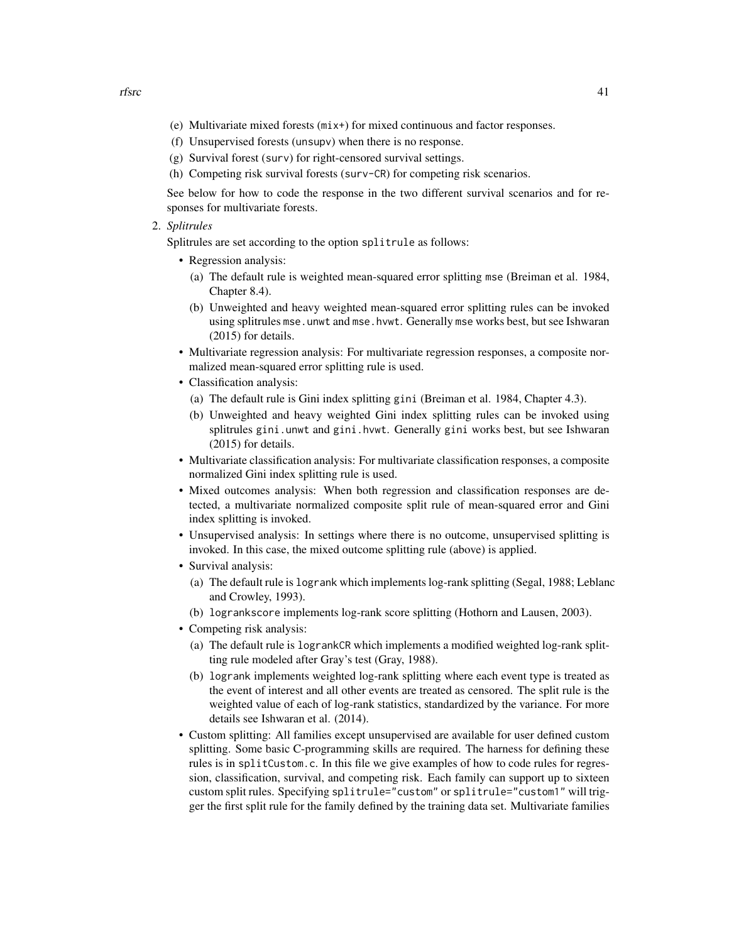- (e) Multivariate mixed forests (mix+) for mixed continuous and factor responses.
- (f) Unsupervised forests (unsupv) when there is no response.
- (g) Survival forest (surv) for right-censored survival settings.
- (h) Competing risk survival forests (surv-CR) for competing risk scenarios.

See below for how to code the response in the two different survival scenarios and for responses for multivariate forests.

2. *Splitrules*

Splitrules are set according to the option splitrule as follows:

- Regression analysis:
	- (a) The default rule is weighted mean-squared error splitting mse (Breiman et al. 1984, Chapter 8.4).
	- (b) Unweighted and heavy weighted mean-squared error splitting rules can be invoked using splitrules mse.unwt and mse.hvwt. Generally mse works best, but see Ishwaran (2015) for details.
- Multivariate regression analysis: For multivariate regression responses, a composite normalized mean-squared error splitting rule is used.
- Classification analysis:
	- (a) The default rule is Gini index splitting gini (Breiman et al. 1984, Chapter 4.3).
	- (b) Unweighted and heavy weighted Gini index splitting rules can be invoked using splitrules gini.unwt and gini.hvwt. Generally gini works best, but see Ishwaran (2015) for details.
- Multivariate classification analysis: For multivariate classification responses, a composite normalized Gini index splitting rule is used.
- Mixed outcomes analysis: When both regression and classification responses are detected, a multivariate normalized composite split rule of mean-squared error and Gini index splitting is invoked.
- Unsupervised analysis: In settings where there is no outcome, unsupervised splitting is invoked. In this case, the mixed outcome splitting rule (above) is applied.
- Survival analysis:
	- (a) The default rule is logrank which implements log-rank splitting (Segal, 1988; Leblanc and Crowley, 1993).
	- (b) logrankscore implements log-rank score splitting (Hothorn and Lausen, 2003).
- Competing risk analysis:
	- (a) The default rule is logrankCR which implements a modified weighted log-rank splitting rule modeled after Gray's test (Gray, 1988).
	- (b) logrank implements weighted log-rank splitting where each event type is treated as the event of interest and all other events are treated as censored. The split rule is the weighted value of each of log-rank statistics, standardized by the variance. For more details see Ishwaran et al. (2014).
- Custom splitting: All families except unsupervised are available for user defined custom splitting. Some basic C-programming skills are required. The harness for defining these rules is in splitCustom.c. In this file we give examples of how to code rules for regression, classification, survival, and competing risk. Each family can support up to sixteen custom split rules. Specifying splitrule="custom" or splitrule="custom1" will trigger the first split rule for the family defined by the training data set. Multivariate families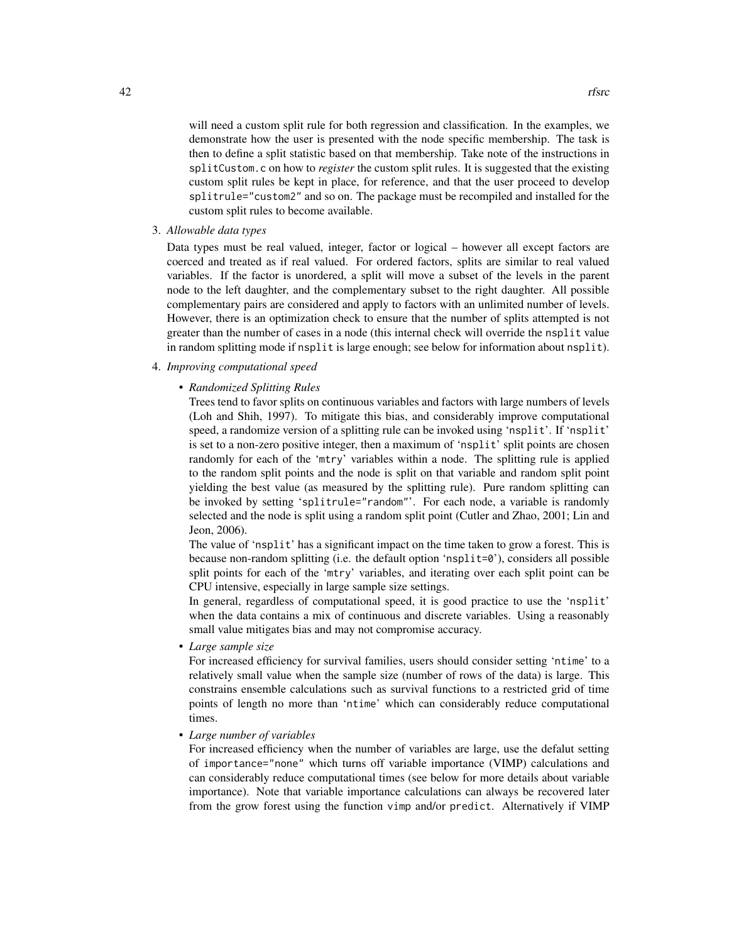will need a custom split rule for both regression and classification. In the examples, we demonstrate how the user is presented with the node specific membership. The task is then to define a split statistic based on that membership. Take note of the instructions in splitCustom.c on how to *register* the custom split rules. It is suggested that the existing custom split rules be kept in place, for reference, and that the user proceed to develop splitrule="custom2" and so on. The package must be recompiled and installed for the custom split rules to become available.

3. *Allowable data types*

Data types must be real valued, integer, factor or logical – however all except factors are coerced and treated as if real valued. For ordered factors, splits are similar to real valued variables. If the factor is unordered, a split will move a subset of the levels in the parent node to the left daughter, and the complementary subset to the right daughter. All possible complementary pairs are considered and apply to factors with an unlimited number of levels. However, there is an optimization check to ensure that the number of splits attempted is not greater than the number of cases in a node (this internal check will override the nsplit value in random splitting mode if nsplit is large enough; see below for information about nsplit).

## 4. *Improving computational speed*

## • *Randomized Splitting Rules*

Trees tend to favor splits on continuous variables and factors with large numbers of levels (Loh and Shih, 1997). To mitigate this bias, and considerably improve computational speed, a randomize version of a splitting rule can be invoked using 'nsplit'. If 'nsplit' is set to a non-zero positive integer, then a maximum of 'nsplit' split points are chosen randomly for each of the 'mtry' variables within a node. The splitting rule is applied to the random split points and the node is split on that variable and random split point yielding the best value (as measured by the splitting rule). Pure random splitting can be invoked by setting 'splitrule="random"'. For each node, a variable is randomly selected and the node is split using a random split point (Cutler and Zhao, 2001; Lin and Jeon, 2006).

The value of 'nsplit' has a significant impact on the time taken to grow a forest. This is because non-random splitting (i.e. the default option 'nsplit=0'), considers all possible split points for each of the 'mtry' variables, and iterating over each split point can be CPU intensive, especially in large sample size settings.

In general, regardless of computational speed, it is good practice to use the 'nsplit' when the data contains a mix of continuous and discrete variables. Using a reasonably small value mitigates bias and may not compromise accuracy.

• *Large sample size*

For increased efficiency for survival families, users should consider setting 'ntime' to a relatively small value when the sample size (number of rows of the data) is large. This constrains ensemble calculations such as survival functions to a restricted grid of time points of length no more than 'ntime' which can considerably reduce computational times.

• *Large number of variables*

For increased efficiency when the number of variables are large, use the defalut setting of importance="none" which turns off variable importance (VIMP) calculations and can considerably reduce computational times (see below for more details about variable importance). Note that variable importance calculations can always be recovered later from the grow forest using the function vimp and/or predict. Alternatively if VIMP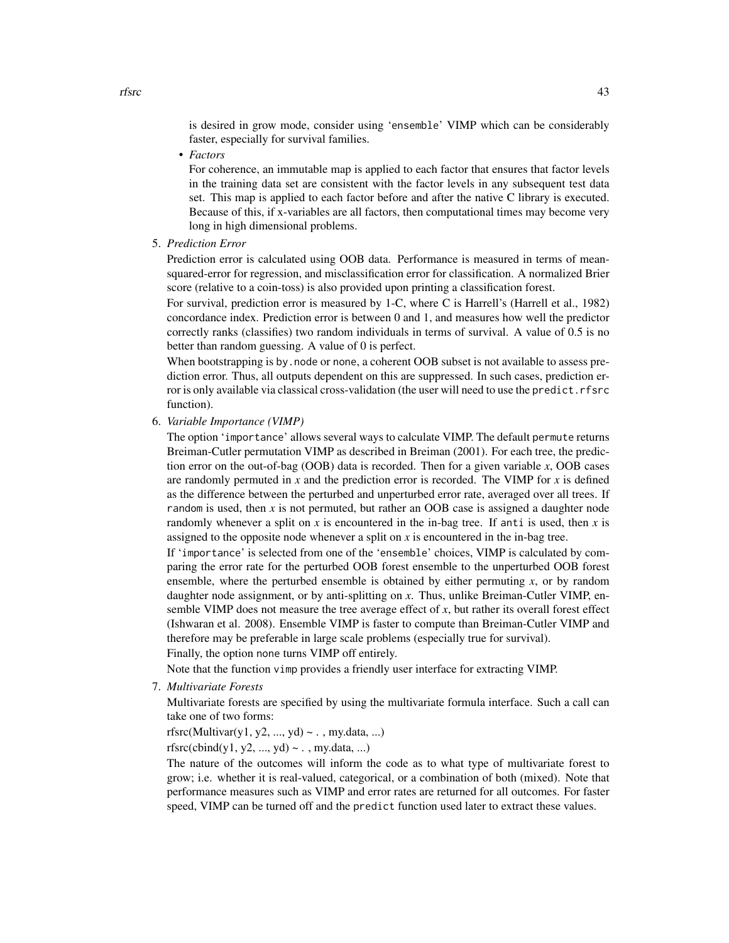is desired in grow mode, consider using 'ensemble' VIMP which can be considerably faster, especially for survival families.

• *Factors*

For coherence, an immutable map is applied to each factor that ensures that factor levels in the training data set are consistent with the factor levels in any subsequent test data set. This map is applied to each factor before and after the native C library is executed. Because of this, if x-variables are all factors, then computational times may become very long in high dimensional problems.

5. *Prediction Error*

Prediction error is calculated using OOB data. Performance is measured in terms of meansquared-error for regression, and misclassification error for classification. A normalized Brier score (relative to a coin-toss) is also provided upon printing a classification forest.

For survival, prediction error is measured by 1-C, where C is Harrell's (Harrell et al., 1982) concordance index. Prediction error is between 0 and 1, and measures how well the predictor correctly ranks (classifies) two random individuals in terms of survival. A value of 0.5 is no better than random guessing. A value of 0 is perfect.

When bootstrapping is by, node or none, a coherent OOB subset is not available to assess prediction error. Thus, all outputs dependent on this are suppressed. In such cases, prediction error is only available via classical cross-validation (the user will need to use the predict.rfsrc function).

6. *Variable Importance (VIMP)*

The option 'importance' allows several ways to calculate VIMP. The default permute returns Breiman-Cutler permutation VIMP as described in Breiman (2001). For each tree, the prediction error on the out-of-bag (OOB) data is recorded. Then for a given variable *x*, OOB cases are randomly permuted in *x* and the prediction error is recorded. The VIMP for *x* is defined as the difference between the perturbed and unperturbed error rate, averaged over all trees. If random is used, then *x* is not permuted, but rather an OOB case is assigned a daughter node randomly whenever a split on *x* is encountered in the in-bag tree. If anti is used, then *x* is assigned to the opposite node whenever a split on  $x$  is encountered in the in-bag tree.

If 'importance' is selected from one of the 'ensemble' choices, VIMP is calculated by comparing the error rate for the perturbed OOB forest ensemble to the unperturbed OOB forest ensemble, where the perturbed ensemble is obtained by either permuting *x*, or by random daughter node assignment, or by anti-splitting on *x*. Thus, unlike Breiman-Cutler VIMP, ensemble VIMP does not measure the tree average effect of  $x$ , but rather its overall forest effect (Ishwaran et al. 2008). Ensemble VIMP is faster to compute than Breiman-Cutler VIMP and therefore may be preferable in large scale problems (especially true for survival).

Finally, the option none turns VIMP off entirely.

Note that the function vimp provides a friendly user interface for extracting VIMP.

7. *Multivariate Forests*

Multivariate forests are specified by using the multivariate formula interface. Such a call can take one of two forms:

rfsrc(Multivar(y1, y2, ..., yd)  $\sim$  . , my.data, ...)

rfsrc(cbind(y1, y2, ..., yd)  $\sim$  ., my.data, ...)

The nature of the outcomes will inform the code as to what type of multivariate forest to grow; i.e. whether it is real-valued, categorical, or a combination of both (mixed). Note that performance measures such as VIMP and error rates are returned for all outcomes. For faster speed, VIMP can be turned off and the predict function used later to extract these values.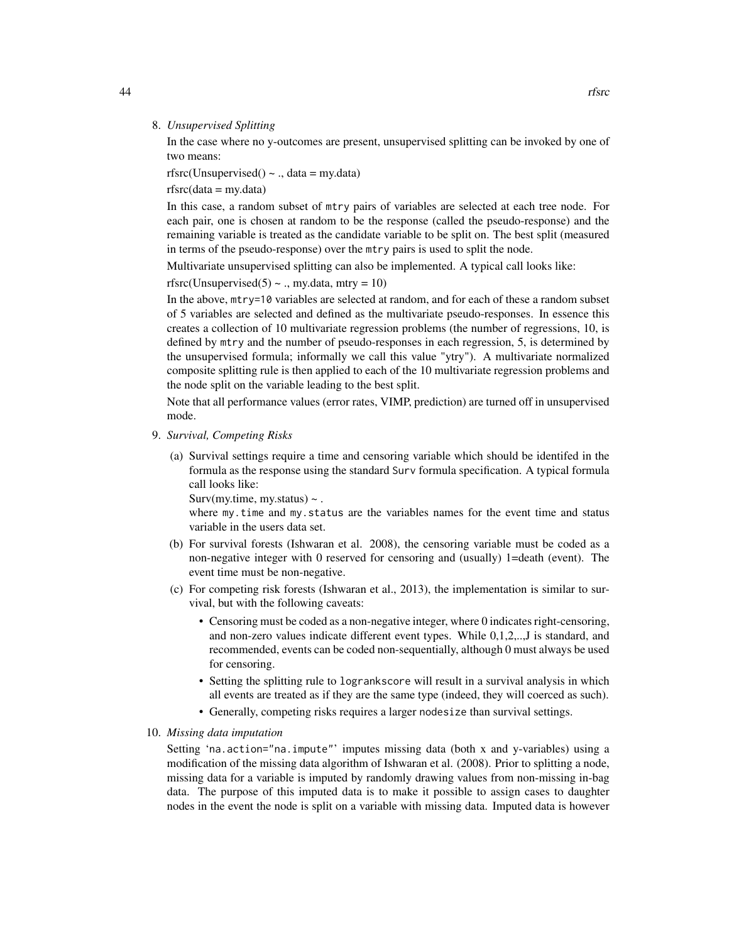#### 8. *Unsupervised Splitting*

In the case where no y-outcomes are present, unsupervised splitting can be invoked by one of two means:

rfsrc(Unsupervised()  $\sim$  ., data = my.data)

 $rfsrc(data = my.data)$ 

In this case, a random subset of mtry pairs of variables are selected at each tree node. For each pair, one is chosen at random to be the response (called the pseudo-response) and the remaining variable is treated as the candidate variable to be split on. The best split (measured in terms of the pseudo-response) over the mtry pairs is used to split the node.

Multivariate unsupervised splitting can also be implemented. A typical call looks like:

rfsrc(Unsupervised(5)  $\sim$  ., my.data, mtry = 10)

In the above, mtry=10 variables are selected at random, and for each of these a random subset of 5 variables are selected and defined as the multivariate pseudo-responses. In essence this creates a collection of 10 multivariate regression problems (the number of regressions, 10, is defined by mtry and the number of pseudo-responses in each regression, 5, is determined by the unsupervised formula; informally we call this value "ytry"). A multivariate normalized composite splitting rule is then applied to each of the 10 multivariate regression problems and the node split on the variable leading to the best split.

Note that all performance values (error rates, VIMP, prediction) are turned off in unsupervised mode.

- 9. *Survival, Competing Risks*
	- (a) Survival settings require a time and censoring variable which should be identifed in the formula as the response using the standard Surv formula specification. A typical formula call looks like:

Surv(my.time, my.status)  $\sim$ .

where my.time and my.status are the variables names for the event time and status variable in the users data set.

- (b) For survival forests (Ishwaran et al. 2008), the censoring variable must be coded as a non-negative integer with 0 reserved for censoring and (usually) 1=death (event). The event time must be non-negative.
- (c) For competing risk forests (Ishwaran et al., 2013), the implementation is similar to survival, but with the following caveats:
	- Censoring must be coded as a non-negative integer, where 0 indicates right-censoring, and non-zero values indicate different event types. While 0,1,2,..,J is standard, and recommended, events can be coded non-sequentially, although 0 must always be used for censoring.
	- Setting the splitting rule to logrankscore will result in a survival analysis in which all events are treated as if they are the same type (indeed, they will coerced as such).
	- Generally, competing risks requires a larger nodesize than survival settings.
- 10. *Missing data imputation*

Setting 'na.action="na.impute"' imputes missing data (both x and y-variables) using a modification of the missing data algorithm of Ishwaran et al. (2008). Prior to splitting a node, missing data for a variable is imputed by randomly drawing values from non-missing in-bag data. The purpose of this imputed data is to make it possible to assign cases to daughter nodes in the event the node is split on a variable with missing data. Imputed data is however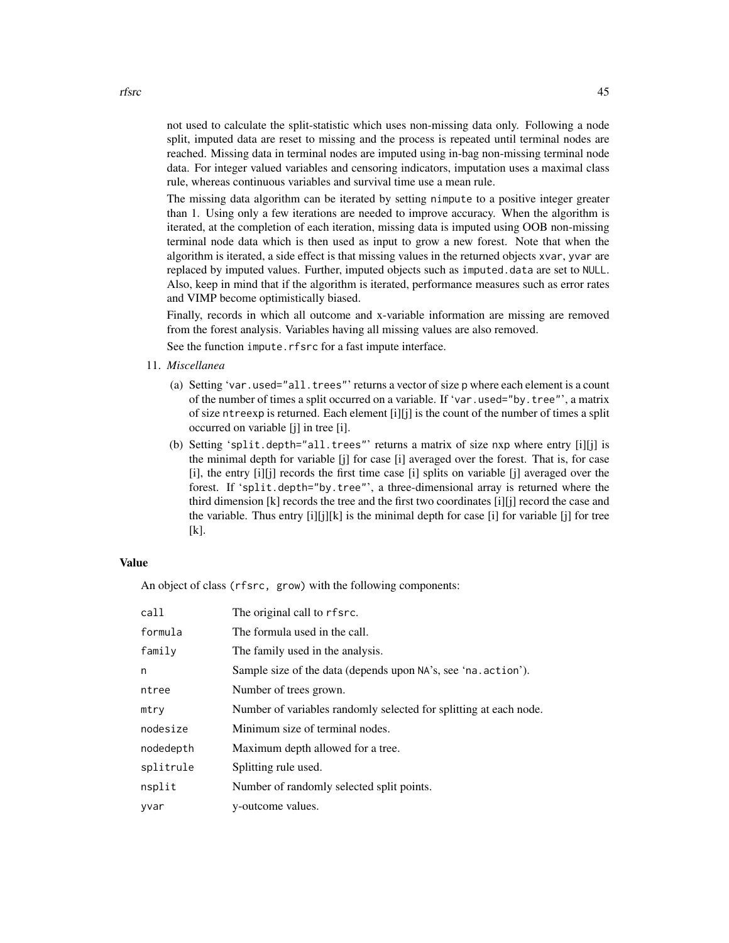not used to calculate the split-statistic which uses non-missing data only. Following a node split, imputed data are reset to missing and the process is repeated until terminal nodes are reached. Missing data in terminal nodes are imputed using in-bag non-missing terminal node data. For integer valued variables and censoring indicators, imputation uses a maximal class rule, whereas continuous variables and survival time use a mean rule.

The missing data algorithm can be iterated by setting nimpute to a positive integer greater than 1. Using only a few iterations are needed to improve accuracy. When the algorithm is iterated, at the completion of each iteration, missing data is imputed using OOB non-missing terminal node data which is then used as input to grow a new forest. Note that when the algorithm is iterated, a side effect is that missing values in the returned objects xvar, yvar are replaced by imputed values. Further, imputed objects such as imputed.data are set to NULL. Also, keep in mind that if the algorithm is iterated, performance measures such as error rates and VIMP become optimistically biased.

Finally, records in which all outcome and x-variable information are missing are removed from the forest analysis. Variables having all missing values are also removed.

See the function impute.rfsrc for a fast impute interface.

- 11. *Miscellanea*
	- (a) Setting 'var.used="all.trees"' returns a vector of size p where each element is a count of the number of times a split occurred on a variable. If 'var.used="by.tree"', a matrix of size ntreexp is returned. Each element  $[i][j]$  is the count of the number of times a split occurred on variable [j] in tree [i].
	- (b) Setting 'split.depth="all.trees"' returns a matrix of size nxp where entry [i][j] is the minimal depth for variable [j] for case [i] averaged over the forest. That is, for case [i], the entry [i][j] records the first time case [i] splits on variable [j] averaged over the forest. If 'split.depth="by.tree"', a three-dimensional array is returned where the third dimension [k] records the tree and the first two coordinates [i][j] record the case and the variable. Thus entry [i][j][k] is the minimal depth for case [i] for variable [j] for tree [k].

#### Value

An object of class (rfsrc, grow) with the following components:

| call      | The original call to rfsrc.                                       |
|-----------|-------------------------------------------------------------------|
| formula   | The formula used in the call.                                     |
| family    | The family used in the analysis.                                  |
| n         | Sample size of the data (depends upon NA's, see 'na. action').    |
| ntree     | Number of trees grown.                                            |
| mtry      | Number of variables randomly selected for splitting at each node. |
| nodesize  | Minimum size of terminal nodes.                                   |
| nodedepth | Maximum depth allowed for a tree.                                 |
| splitrule | Splitting rule used.                                              |
| nsplit    | Number of randomly selected split points.                         |
| yvar      | y-outcome values.                                                 |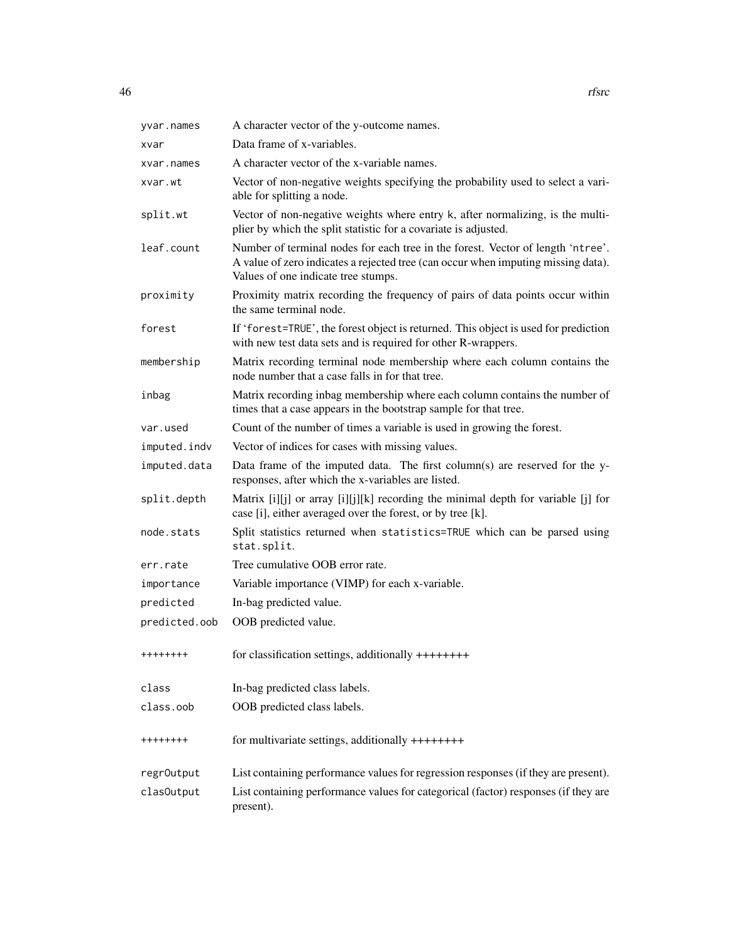| yvar.names    | A character vector of the y-outcome names.                                                                                                                                                                  |
|---------------|-------------------------------------------------------------------------------------------------------------------------------------------------------------------------------------------------------------|
| xvar          | Data frame of x-variables.                                                                                                                                                                                  |
| xvar.names    | A character vector of the x-variable names.                                                                                                                                                                 |
| xvar.wt       | Vector of non-negative weights specifying the probability used to select a vari-<br>able for splitting a node.                                                                                              |
| split.wt      | Vector of non-negative weights where entry k, after normalizing, is the multi-<br>plier by which the split statistic for a covariate is adjusted.                                                           |
| leaf.count    | Number of terminal nodes for each tree in the forest. Vector of length 'ntree'.<br>A value of zero indicates a rejected tree (can occur when imputing missing data).<br>Values of one indicate tree stumps. |
| proximity     | Proximity matrix recording the frequency of pairs of data points occur within<br>the same terminal node.                                                                                                    |
| forest        | If 'forest=TRUE', the forest object is returned. This object is used for prediction<br>with new test data sets and is required for other R-wrappers.                                                        |
| membership    | Matrix recording terminal node membership where each column contains the<br>node number that a case falls in for that tree.                                                                                 |
| inbag         | Matrix recording inbag membership where each column contains the number of<br>times that a case appears in the bootstrap sample for that tree.                                                              |
| var.used      | Count of the number of times a variable is used in growing the forest.                                                                                                                                      |
| imputed.indv  | Vector of indices for cases with missing values.                                                                                                                                                            |
| imputed.data  | Data frame of the imputed data. The first column(s) are reserved for the y-<br>responses, after which the x-variables are listed.                                                                           |
| split.depth   | Matrix [i][j] or array [i][j][k] recording the minimal depth for variable [j] for<br>case [i], either averaged over the forest, or by tree [k].                                                             |
| node.stats    | Split statistics returned when statistics=TRUE which can be parsed using<br>stat.split.                                                                                                                     |
| err.rate      | Tree cumulative OOB error rate.                                                                                                                                                                             |
| importance    | Variable importance (VIMP) for each x-variable.                                                                                                                                                             |
| predicted     | In-bag predicted value.                                                                                                                                                                                     |
| predicted.oob | OOB predicted value.                                                                                                                                                                                        |
|               | for classification settings, additionally ++++++++                                                                                                                                                          |
| class         | In-bag predicted class labels.                                                                                                                                                                              |
| class.oob     | OOB predicted class labels.                                                                                                                                                                                 |
| ++++++++      | for multivariate settings, additionally ++++++++                                                                                                                                                            |
| regr0utput    | List containing performance values for regression responses (if they are present).                                                                                                                          |
| clas0utput    | List containing performance values for categorical (factor) responses (if they are<br>present).                                                                                                             |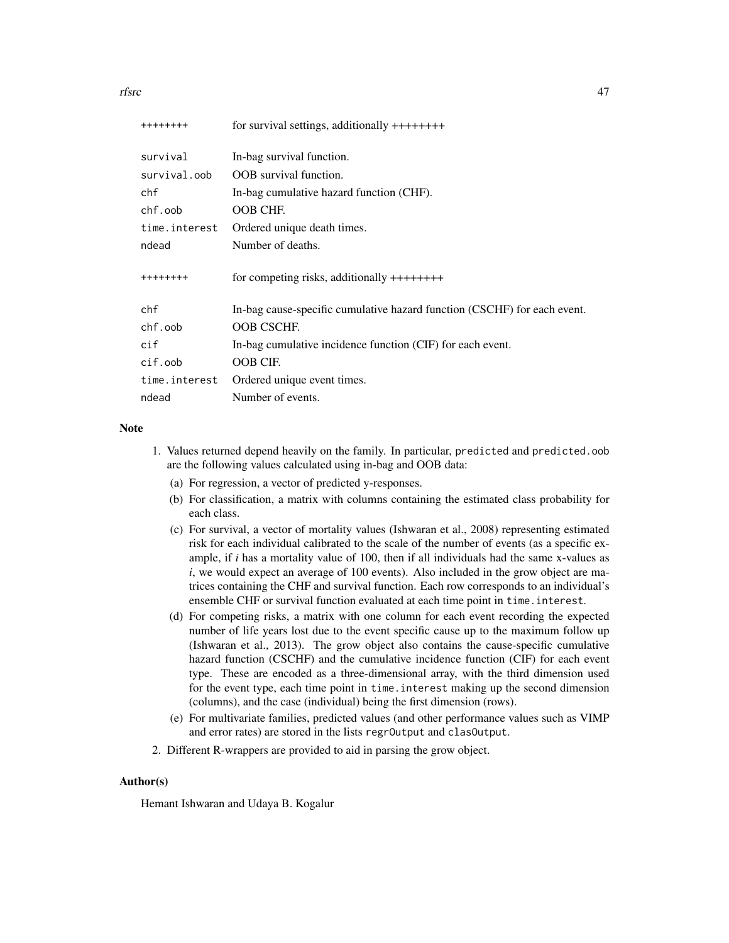rfsrc and the contract of the contract of the contract of the contract of the contract of the contract of the contract of the contract of the contract of the contract of the contract of the contract of the contract of the

| ++++++++            | for survival settings, additionally $++++++$                             |
|---------------------|--------------------------------------------------------------------------|
| survival            | In-bag survival function.                                                |
| survival.oob        | <b>OOB</b> survival function.                                            |
| chf                 | In-bag cumulative hazard function (CHF).                                 |
| chf.oob             | OOB CHF.                                                                 |
| time.interest       | Ordered unique death times.                                              |
| ndead               | Number of deaths.                                                        |
| ++++++++            | for competing risks, additionally $++++++$                               |
| chf                 | In-bag cause-specific cumulative hazard function (CSCHF) for each event. |
| chf.oob             | <b>OOB CSCHF.</b>                                                        |
| cif                 | In-bag cumulative incidence function (CIF) for each event.               |
| $\mathsf{cif.}$ oob | OOB CIF.                                                                 |
| time.interest       | Ordered unique event times.                                              |
| ndead               | Number of events.                                                        |

#### Note

- 1. Values returned depend heavily on the family. In particular, predicted and predicted.oob are the following values calculated using in-bag and OOB data:
	- (a) For regression, a vector of predicted y-responses.
	- (b) For classification, a matrix with columns containing the estimated class probability for each class.
	- (c) For survival, a vector of mortality values (Ishwaran et al., 2008) representing estimated risk for each individual calibrated to the scale of the number of events (as a specific example, if *i* has a mortality value of 100, then if all individuals had the same x-values as *i*, we would expect an average of 100 events). Also included in the grow object are matrices containing the CHF and survival function. Each row corresponds to an individual's ensemble CHF or survival function evaluated at each time point in time.interest.
	- (d) For competing risks, a matrix with one column for each event recording the expected number of life years lost due to the event specific cause up to the maximum follow up (Ishwaran et al., 2013). The grow object also contains the cause-specific cumulative hazard function (CSCHF) and the cumulative incidence function (CIF) for each event type. These are encoded as a three-dimensional array, with the third dimension used for the event type, each time point in time.interest making up the second dimension (columns), and the case (individual) being the first dimension (rows).
	- (e) For multivariate families, predicted values (and other performance values such as VIMP and error rates) are stored in the lists regrOutput and clasOutput.
- 2. Different R-wrappers are provided to aid in parsing the grow object.

# Author(s)

Hemant Ishwaran and Udaya B. Kogalur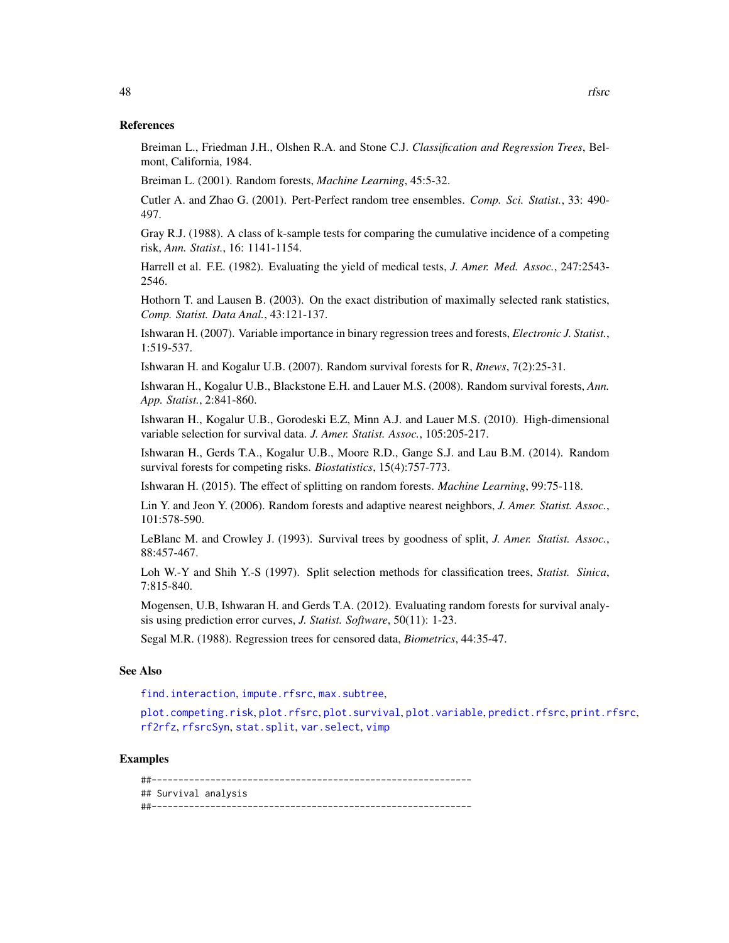<span id="page-47-0"></span>Breiman L., Friedman J.H., Olshen R.A. and Stone C.J. *Classification and Regression Trees*, Belmont, California, 1984.

Breiman L. (2001). Random forests, *Machine Learning*, 45:5-32.

Cutler A. and Zhao G. (2001). Pert-Perfect random tree ensembles. *Comp. Sci. Statist.*, 33: 490- 497.

Gray R.J. (1988). A class of k-sample tests for comparing the cumulative incidence of a competing risk, *Ann. Statist.*, 16: 1141-1154.

Harrell et al. F.E. (1982). Evaluating the yield of medical tests, *J. Amer. Med. Assoc.*, 247:2543- 2546.

Hothorn T. and Lausen B. (2003). On the exact distribution of maximally selected rank statistics, *Comp. Statist. Data Anal.*, 43:121-137.

Ishwaran H. (2007). Variable importance in binary regression trees and forests, *Electronic J. Statist.*, 1:519-537.

Ishwaran H. and Kogalur U.B. (2007). Random survival forests for R, *Rnews*, 7(2):25-31.

Ishwaran H., Kogalur U.B., Blackstone E.H. and Lauer M.S. (2008). Random survival forests, *Ann. App. Statist.*, 2:841-860.

Ishwaran H., Kogalur U.B., Gorodeski E.Z, Minn A.J. and Lauer M.S. (2010). High-dimensional variable selection for survival data. *J. Amer. Statist. Assoc.*, 105:205-217.

Ishwaran H., Gerds T.A., Kogalur U.B., Moore R.D., Gange S.J. and Lau B.M. (2014). Random survival forests for competing risks. *Biostatistics*, 15(4):757-773.

Ishwaran H. (2015). The effect of splitting on random forests. *Machine Learning*, 99:75-118.

Lin Y. and Jeon Y. (2006). Random forests and adaptive nearest neighbors, *J. Amer. Statist. Assoc.*, 101:578-590.

LeBlanc M. and Crowley J. (1993). Survival trees by goodness of split, *J. Amer. Statist. Assoc.*, 88:457-467.

Loh W.-Y and Shih Y.-S (1997). Split selection methods for classification trees, *Statist. Sinica*, 7:815-840.

Mogensen, U.B, Ishwaran H. and Gerds T.A. (2012). Evaluating random forests for survival analysis using prediction error curves, *J. Statist. Software*, 50(11): 1-23.

Segal M.R. (1988). Regression trees for censored data, *Biometrics*, 44:35-47.

#### See Also

find. interaction, [impute.rfsrc](#page-9-0), max. subtree,

[plot.competing.risk](#page-17-0), [plot.rfsrc](#page-19-0), [plot.survival](#page-20-0), [plot.variable](#page-23-0), [predict.rfsrc](#page-27-0), [print.rfsrc](#page-34-0), [rf2rfz](#page-35-0), [rfsrcSyn](#page-53-0), [stat.split](#page-56-0), [var.select](#page-58-0), [vimp](#page-66-0)

## Examples

##------------------------------------------------------------ ## Survival analysis ##------------------------------------------------------------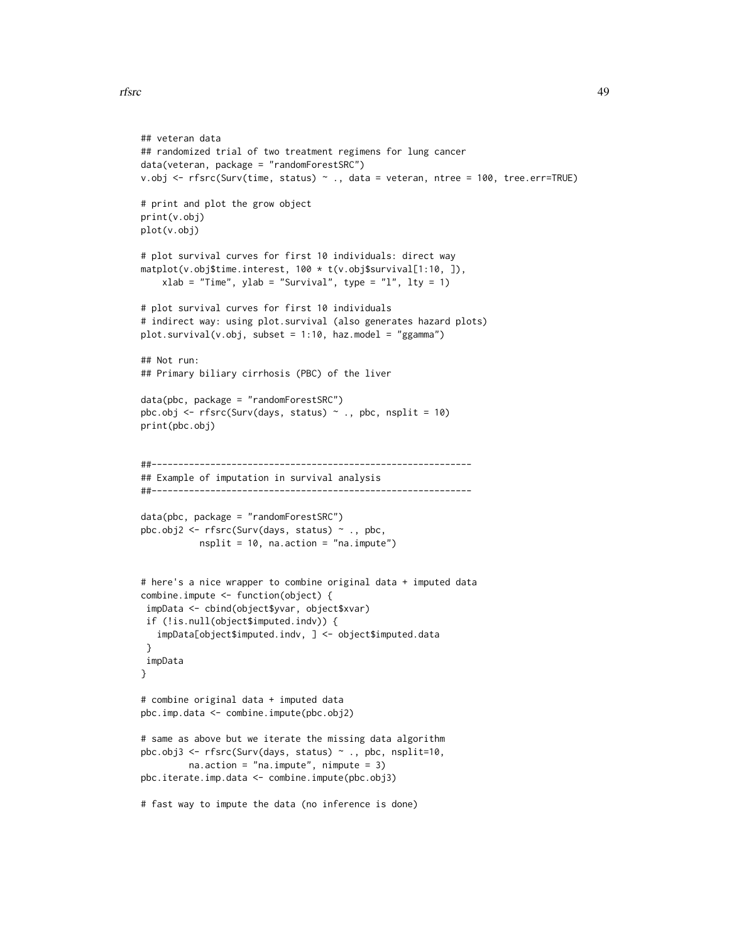```
## veteran data
## randomized trial of two treatment regimens for lung cancer
data(veteran, package = "randomForestSRC")
v.obj <- rfsrc(Surv(time, status) ~ ., data = veteran, ntree = 100, tree.err=TRUE)
# print and plot the grow object
print(v.obj)
plot(v.obj)
# plot survival curves for first 10 individuals: direct way
matplot(v.obj$time.interest, 100 * t(v.obj$survival[1:10, ]),
    xlab = "Time", ylab = "Survival", type = "l", lty = 1)# plot survival curves for first 10 individuals
# indirect way: using plot.survival (also generates hazard plots)
plot.survival(v.obj, subset = 1:10, haz.model = "ggamma")
## Not run:
## Primary biliary cirrhosis (PBC) of the liver
data(pbc, package = "randomForestSRC")
pbc.obj <- rfsrc(Surv(days, status) \sim ., pbc, nsplit = 10)
print(pbc.obj)
##------------------------------------------------------------
## Example of imputation in survival analysis
##------------------------------------------------------------
data(pbc, package = "randomForestSRC")
pbc.obj2 <- rfsrc(Surv(days, status) ~ ., pbc,
           nsplit = 10, na.action = "na.impute")
# here's a nice wrapper to combine original data + imputed data
combine.impute <- function(object) {
 impData <- cbind(object$yvar, object$xvar)
 if (!is.null(object$imputed.indv)) {
   impData[object$imputed.indv, ] <- object$imputed.data
 }
 impData
}
# combine original data + imputed data
pbc.imp.data <- combine.impute(pbc.obj2)
# same as above but we iterate the missing data algorithm
pbc.obj3 <- rfsrc(Surv(days, status) ~ ., pbc, nsplit=10,
        na.action = "na.impute", nimpute = 3)
pbc.iterate.imp.data <- combine.impute(pbc.obj3)
# fast way to impute the data (no inference is done)
```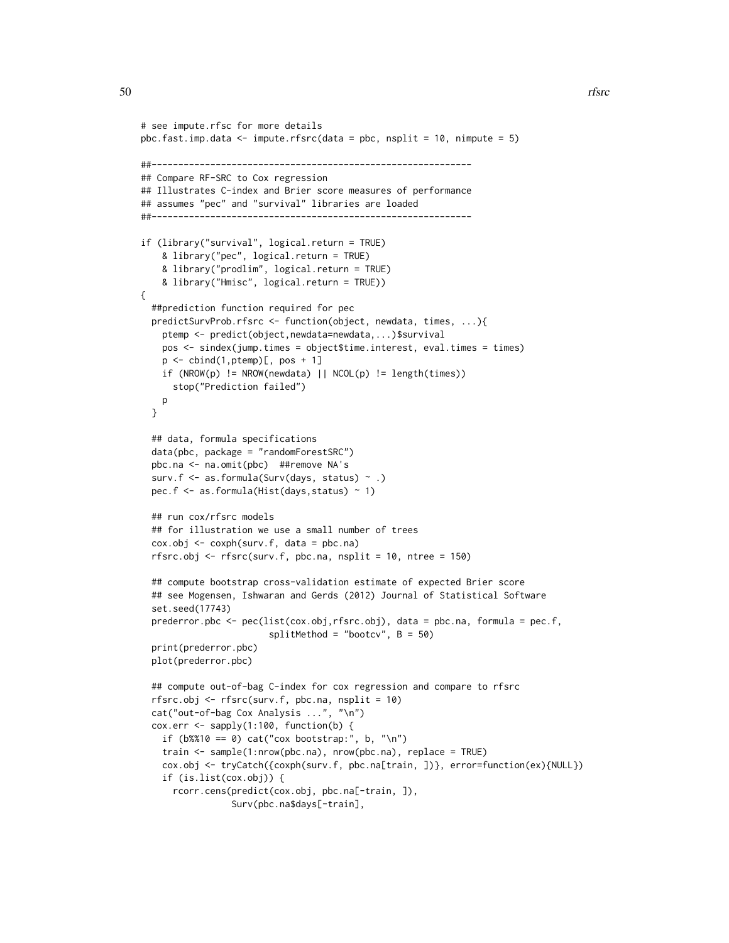```
# see impute.rfsc for more details
pbc.fast.imp.data <- impute.rfsrc(data = pbc, nsplit = 10, nimpute = 5)
##------------------------------------------------------------
## Compare RF-SRC to Cox regression
## Illustrates C-index and Brier score measures of performance
## assumes "pec" and "survival" libraries are loaded
##------------------------------------------------------------
if (library("survival", logical.return = TRUE)
    & library("pec", logical.return = TRUE)
    & library("prodlim", logical.return = TRUE)
    & library("Hmisc", logical.return = TRUE))
{
  ##prediction function required for pec
 predictSurvProb.rfsrc <- function(object, newdata, times, ...){
   ptemp <- predict(object,newdata=newdata,...)$survival
   pos <- sindex(jump.times = object$time.interest, eval.times = times)
   p \leftarrow \text{cbind}(1, \text{ptemp})[, pos + 1]
    if (NROW(p) != NROW(newdata) || NCOL(p) != length(times))stop("Prediction failed")
   p
 }
 ## data, formula specifications
 data(pbc, package = "randomForestSRC")
 pbc.na <- na.omit(pbc) ##remove NA's
 surv.f <- as.formula(Surv(days, status) ~ .)
 pec.f <- as.formula(Hist(days,status) ~ 1)
 ## run cox/rfsrc models
 ## for illustration we use a small number of trees
 cox.obj <- coxph(surv.f, data = pbc.na)
 rfsrc.obj <- rfsrc(surv.f, pbc.na, nsplit = 10, ntree = 150)
 ## compute bootstrap cross-validation estimate of expected Brier score
 ## see Mogensen, Ishwaran and Gerds (2012) Journal of Statistical Software
 set.seed(17743)
 prederror.pbc <- pec(list(cox.obj,rfsrc.obj), data = pbc.na, formula = pec.f,
                        splitMethod = "bootcv", B = 50)print(prederror.pbc)
 plot(prederror.pbc)
 ## compute out-of-bag C-index for cox regression and compare to rfsrc
 rfsrc.obj <- rfsrc(surv.f, pbc.na, nsplit = 10)
 cat("out-of-bag Cox Analysis ...", "\n")
 cox.err <- sapply(1:100, function(b) {
    if (b\%10 == 0) cat("cox bootstrap:", b, "\n")
    train <- sample(1:nrow(pbc.na), nrow(pbc.na), replace = TRUE)
    cox.obj <- tryCatch({coxph(surv.f, pbc.na[train, ])}, error=function(ex){NULL})
    if (is.list(cox.obj)) {
      rcorr.cens(predict(cox.obj, pbc.na[-train, ]),
                 Surv(pbc.na$days[-train],
```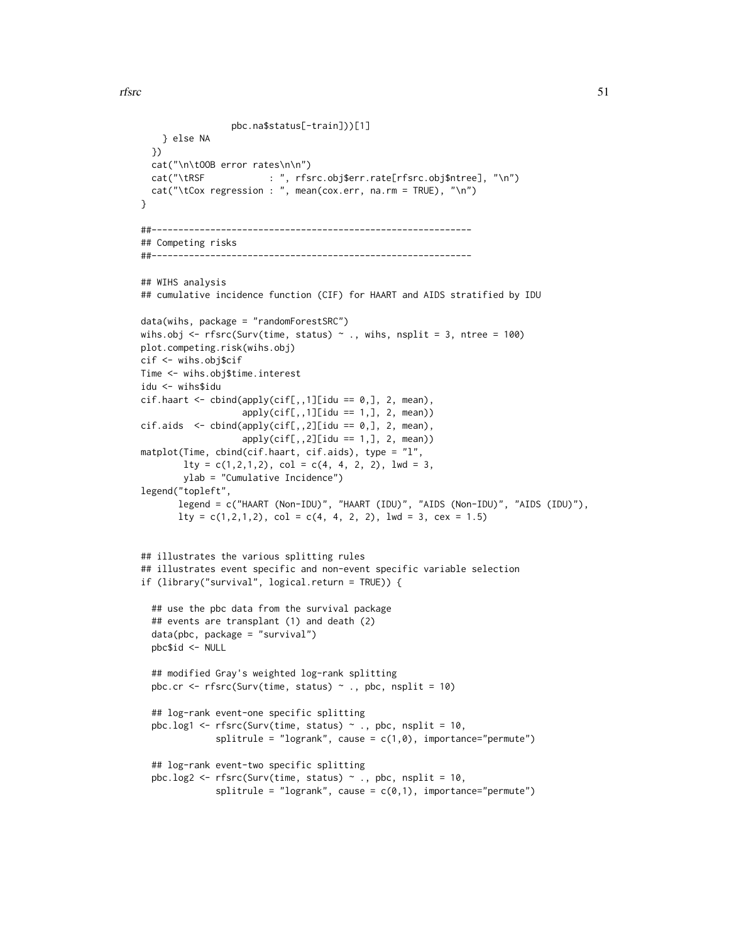```
pbc.na$status[-train]))[1]
   } else NA
  })
  cat("\n\tOOB error rates\n\n")
  cat("\tRSF : ", rfsrc.obj$err.rate[rfsrc.obj$ntree], "\n")
  cat("\tCox regression : ", mean(cox.err, na.rm = TRUE), "\n")
}
##------------------------------------------------------------
## Competing risks
##------------------------------------------------------------
## WIHS analysis
## cumulative incidence function (CIF) for HAART and AIDS stratified by IDU
data(wihs, package = "randomForestSRC")
wihs.obj <- rfsrc(Surv(time, status) \sim ., wihs, nsplit = 3, ntree = 100)
plot.competing.risk(wihs.obj)
cif <- wihs.obj$cif
Time <- wihs.obj$time.interest
idu <- wihs$idu
cif.haart \leftarrow \text{cbind}(\text{apply}(cif[,,.1][idu == 0,.], 2, mean),apply(cif[,,1][idu == 1,], 2, mean))cif. aids < - child(apply(cif[, ., 2][idu == 0, ], 2, mean),apply(cif[,,2][idu == 1,], 2, mean))matplot(Time, cbind(cif.haart, cif.aids), type = "l",
        lty = c(1,2,1,2), col = c(4, 4, 2, 2), lwd = 3,ylab = "Cumulative Incidence")
legend("topleft",
       legend = c("HAART (Non-IDU)", "HAART (IDU)", "AIDS (Non-IDU)", "AIDS (IDU)"),
       lty = c(1, 2, 1, 2), col = c(4, 4, 2, 2), lwd = 3, cex = 1.5)## illustrates the various splitting rules
## illustrates event specific and non-event specific variable selection
if (library("survival", logical.return = TRUE)) {
  ## use the pbc data from the survival package
  ## events are transplant (1) and death (2)
  data(pbc, package = "survival")
  pbc$id <- NULL
  ## modified Gray's weighted log-rank splitting
  pbc.cr \leq rfsrc(Surv(time, status) \sim ., pbc, nsplit = 10)
  ## log-rank event-one specific splitting
  pbc.log1 <- rfsrc(Surv(time, status) ~ ., pbc, nsplit = 10,
              splitrule = "logrank", cause = c(1, \emptyset), importance="permute")
  ## log-rank event-two specific splitting
  pbc.log2 <- rfsrc(Surv(time, status) \sim ., pbc, nsplit = 10,
              splitrule = "logrank", cause = c(0,1), importance="permute")
```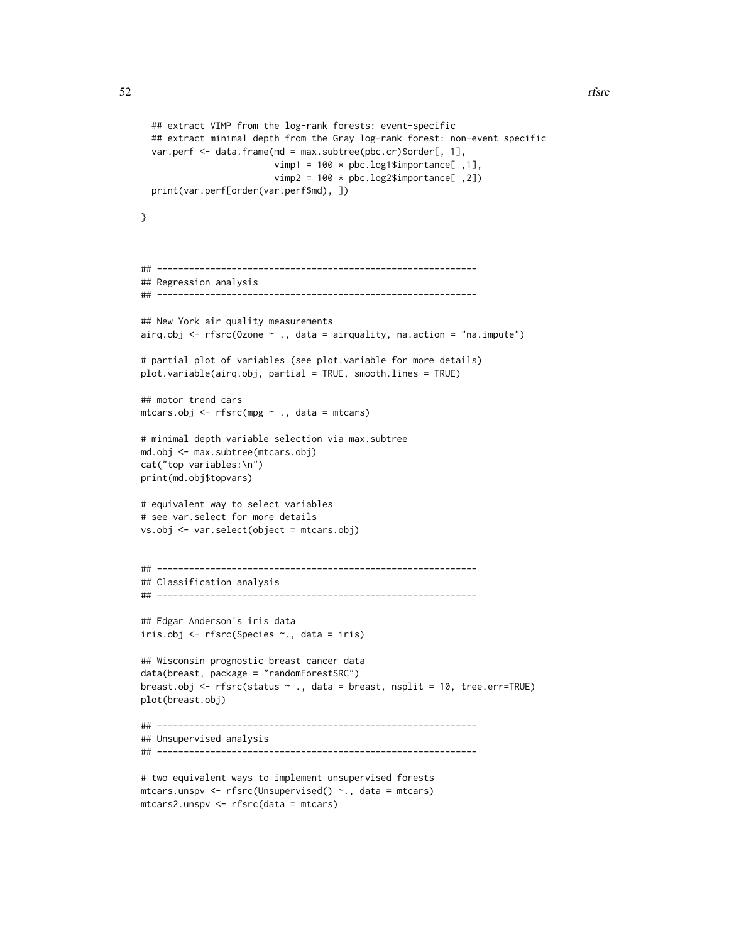```
## extract VIMP from the log-rank forests: event-specific
 ## extract minimal depth from the Gray log-rank forest: non-event specific
 var.perf <- data.frame(md = max.subtree(pbc.cr)$order[, 1],
                         vimp1 = 100 * pbc.log1$importance[,1],
                         vimp2 = 100 * pbc.log2$importance[, 2])print(var.perf[order(var.perf$md), ])
}
## ------------------------------------------------------------
## Regression analysis
## ------------------------------------------------------------
## New York air quality measurements
airq.obj \leq rfsrc(Ozone \sim ., data = airquality, na.action = "na.impute")
# partial plot of variables (see plot.variable for more details)
plot.variable(airq.obj, partial = TRUE, smooth.lines = TRUE)
## motor trend cars
mtcars.obj <- rfsrc(mpg ~ ., data = mtcars)
# minimal depth variable selection via max.subtree
md.obj <- max.subtree(mtcars.obj)
cat("top variables:\n")
print(md.obj$topvars)
# equivalent way to select variables
# see var.select for more details
vs.obj <- var.select(object = mtcars.obj)
## ------------------------------------------------------------
## Classification analysis
## ------------------------------------------------------------
## Edgar Anderson's iris data
iris.obj <- rfsrc(Species ~., data = iris)
## Wisconsin prognostic breast cancer data
data(breast, package = "randomForestSRC")
breast.obj <- rfsrc(status \sim ., data = breast, nsplit = 10, tree.err=TRUE)
plot(breast.obj)
## ------------------------------------------------------------
## Unsupervised analysis
## ------------------------------------------------------------
# two equivalent ways to implement unsupervised forests
```

```
mtcars.unspv <- rfsrc(Unsupervised() ~., data = mtcars)
mtcars2.unspv <- rfsrc(data = mtcars)
```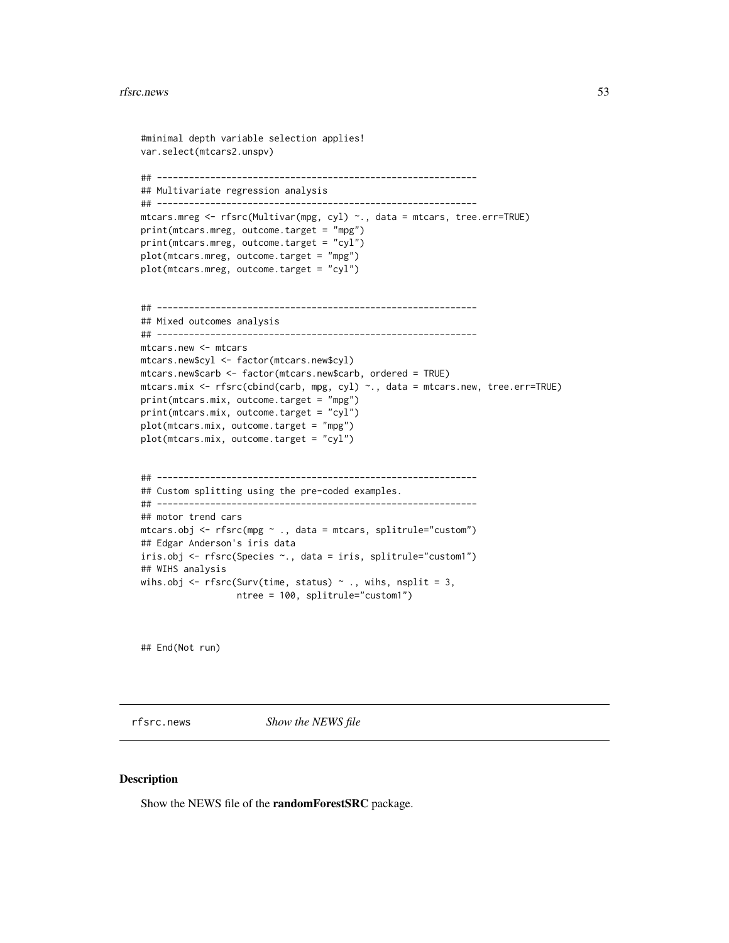```
#minimal depth variable selection applies!
var.select(mtcars2.unspv)
## ------------------------------------------------------------
## Multivariate regression analysis
## ------------------------------------------------------------
mtcars.mreg <- rfsrc(Multivar(mpg, cyl) ~., data = mtcars, tree.err=TRUE)
print(mtcars.mreg, outcome.target = "mpg")
print(mtcars.mreg, outcome.target = "cyl")
plot(mtcars.mreg, outcome.target = "mpg")
plot(mtcars.mreg, outcome.target = "cyl")
## ------------------------------------------------------------
## Mixed outcomes analysis
## ------------------------------------------------------------
mtcars.new <- mtcars
mtcars.new$cyl <- factor(mtcars.new$cyl)
mtcars.new$carb <- factor(mtcars.new$carb, ordered = TRUE)
mtcars.mix <- rfsrc(cbind(carb, mpg, cyl) ~., data = mtcars.new, tree.err=TRUE)
print(mtcars.mix, outcome.target = "mpg")
print(mtcars.mix, outcome.target = "cyl")
plot(mtcars.mix, outcome.target = "mpg")
plot(mtcars.mix, outcome.target = "cyl")
## ------------------------------------------------------------
## Custom splitting using the pre-coded examples.
## ------------------------------------------------------------
## motor trend cars
mtcars.obj <- rfsrc(mpg ~ ., data = mtcars, splitrule="custom")
## Edgar Anderson's iris data
iris.obj <- rfsrc(Species ~., data = iris, splitrule="custom1")
## WIHS analysis
wihs.obj <- rfsrc(Surv(time, status) \sim ., wihs, nsplit = 3,
                  ntree = 100, splitrule="custom1")
```
## End(Not run)

rfsrc.news *Show the NEWS file*

#### Description

Show the NEWS file of the randomForestSRC package.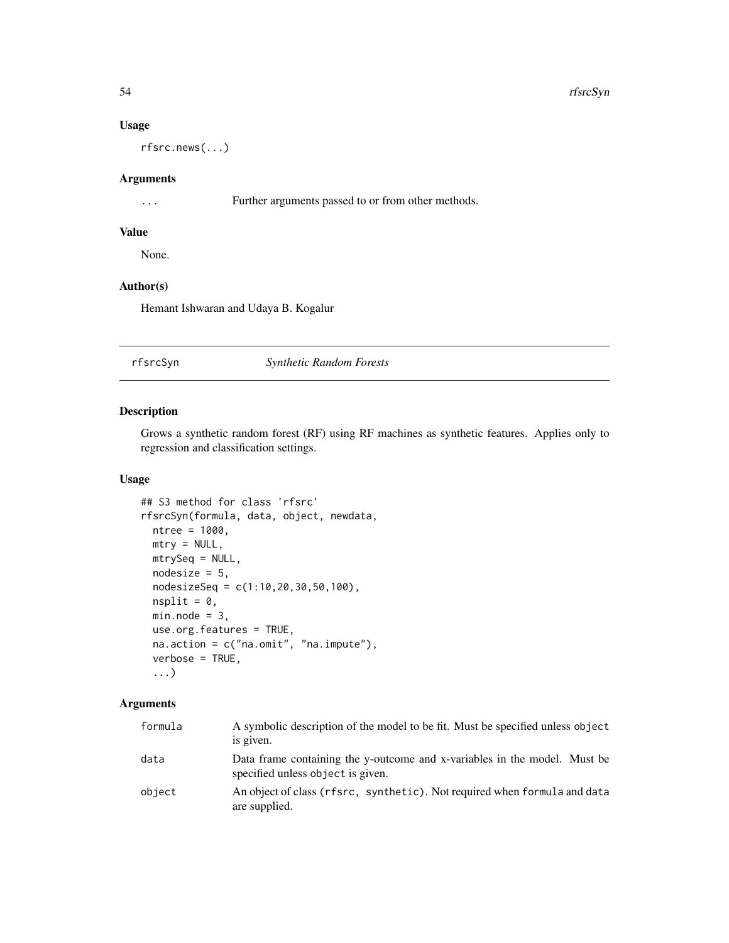# Usage

rfsrc.news(...)

## Arguments

... Further arguments passed to or from other methods.

# Value

None.

# Author(s)

Hemant Ishwaran and Udaya B. Kogalur

## <span id="page-53-0"></span>rfsrcSyn *Synthetic Random Forests*

## Description

Grows a synthetic random forest (RF) using RF machines as synthetic features. Applies only to regression and classification settings.

# Usage

```
## S3 method for class 'rfsrc'
rfsrcSyn(formula, data, object, newdata,
 ntree = 1000,
 mtry = NULL,mtrySeq = NULL,
 nodesize = 5,
 nodesizeSeq = c(1:10,20,30,50,100),
 nsplit = 0,min.node = 3,use.org.features = TRUE,
 na.action = c("na.omit", "na.impute"),
 verbose = TRUE,
  ...)
```
# Arguments

| formula | A symbolic description of the model to be fit. Must be specified unless object<br>is given.                    |
|---------|----------------------------------------------------------------------------------------------------------------|
| data    | Data frame containing the y-outcome and x-variables in the model. Must be<br>specified unless object is given. |
| object  | An object of class (rfsrc, synthetic). Not required when formula and data<br>are supplied.                     |

<span id="page-53-1"></span>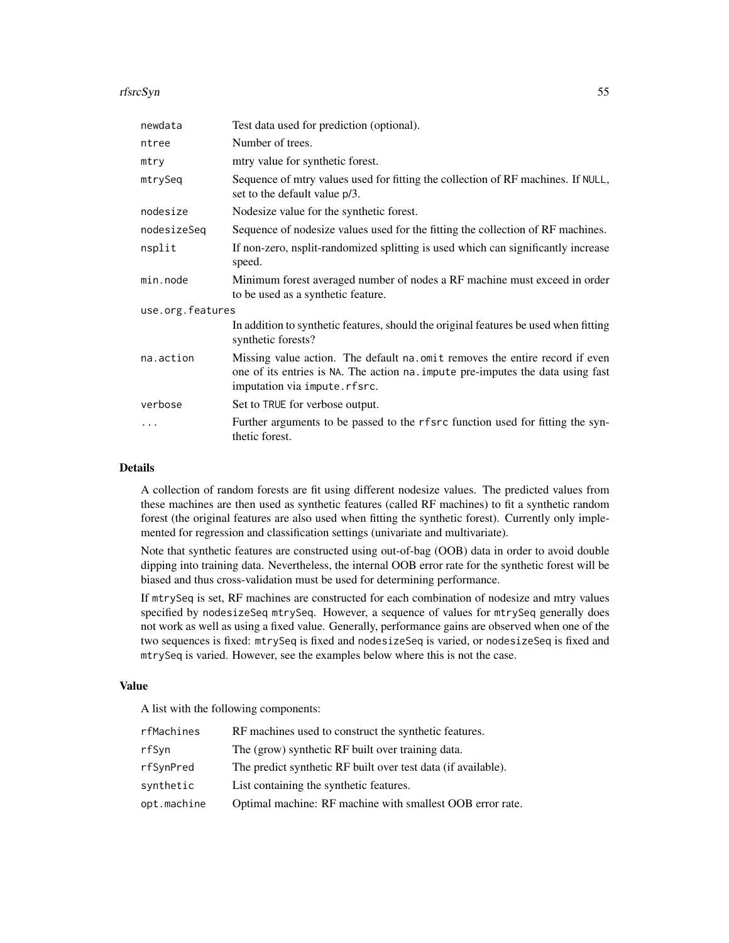#### rfsrcSyn 55

| newdata          | Test data used for prediction (optional).                                                                                                                                                       |  |
|------------------|-------------------------------------------------------------------------------------------------------------------------------------------------------------------------------------------------|--|
| ntree            | Number of trees.                                                                                                                                                                                |  |
| mtry             | mtry value for synthetic forest.                                                                                                                                                                |  |
| mtrySeq          | Sequence of mtry values used for fitting the collection of RF machines. If NULL,<br>set to the default value p/3.                                                                               |  |
| nodesize         | Nodesize value for the synthetic forest.                                                                                                                                                        |  |
| nodesizeSeq      | Sequence of nodesize values used for the fitting the collection of RF machines.                                                                                                                 |  |
| nsplit           | If non-zero, nsplit-randomized splitting is used which can significantly increase<br>speed.                                                                                                     |  |
| min.node         | Minimum forest averaged number of nodes a RF machine must exceed in order<br>to be used as a synthetic feature.                                                                                 |  |
| use.org.features |                                                                                                                                                                                                 |  |
|                  | In addition to synthetic features, should the original features be used when fitting<br>synthetic forests?                                                                                      |  |
| na.action        | Missing value action. The default na. omit removes the entire record if even<br>one of its entries is NA. The action na. impute pre-imputes the data using fast<br>imputation via impute.rfsrc. |  |
| verbose          | Set to TRUE for verbose output.                                                                                                                                                                 |  |
| .                | Further arguments to be passed to the rfsrc function used for fitting the syn-<br>thetic forest.                                                                                                |  |

#### Details

A collection of random forests are fit using different nodesize values. The predicted values from these machines are then used as synthetic features (called RF machines) to fit a synthetic random forest (the original features are also used when fitting the synthetic forest). Currently only implemented for regression and classification settings (univariate and multivariate).

Note that synthetic features are constructed using out-of-bag (OOB) data in order to avoid double dipping into training data. Nevertheless, the internal OOB error rate for the synthetic forest will be biased and thus cross-validation must be used for determining performance.

If mtrySeq is set, RF machines are constructed for each combination of nodesize and mtry values specified by nodesizeSeq mtrySeq. However, a sequence of values for mtrySeq generally does not work as well as using a fixed value. Generally, performance gains are observed when one of the two sequences is fixed: mtrySeq is fixed and nodesizeSeq is varied, or nodesizeSeq is fixed and mtrySeq is varied. However, see the examples below where this is not the case.

# Value

A list with the following components:

| rfMachines  | RF machines used to construct the synthetic features.         |
|-------------|---------------------------------------------------------------|
| rfSyn       | The (grow) synthetic RF built over training data.             |
| rfSynPred   | The predict synthetic RF built over test data (if available). |
| synthetic   | List containing the synthetic features.                       |
| opt.machine | Optimal machine: RF machine with smallest OOB error rate.     |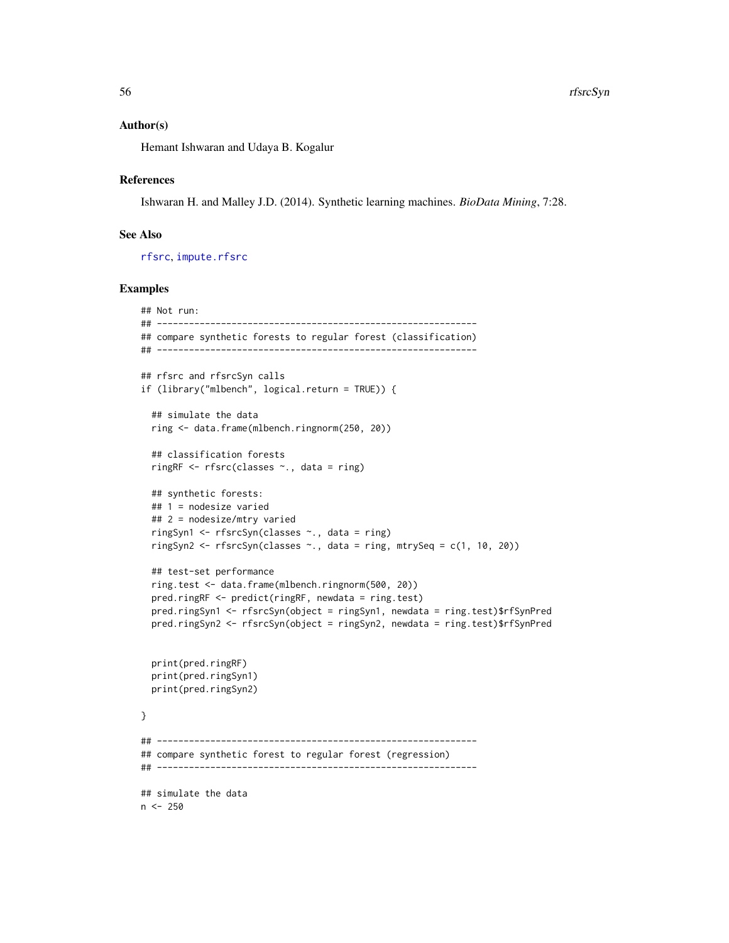### Author(s)

Hemant Ishwaran and Udaya B. Kogalur

## References

Ishwaran H. and Malley J.D. (2014). Synthetic learning machines. *BioData Mining*, 7:28.

# See Also

[rfsrc](#page-36-0), [impute.rfsrc](#page-9-0)

## Examples

```
## Not run:
## ------------------------------------------------------------
## compare synthetic forests to regular forest (classification)
## ------------------------------------------------------------
## rfsrc and rfsrcSyn calls
if (library("mlbench", logical.return = TRUE)) {
 ## simulate the data
 ring <- data.frame(mlbench.ringnorm(250, 20))
 ## classification forests
 ringRF <- rfsrc(classes ~., data = ring)
 ## synthetic forests:
 ## 1 = nodesize varied
 ## 2 = nodesize/mtry varied
 ringSyn1 <- rfsrcSyn(classes ~., data = ring)
 ringSyn2 <- rfsrcSyn(classes \sim., data = ring, mtrySeq = c(1, 10, 20))
 ## test-set performance
 ring.test <- data.frame(mlbench.ringnorm(500, 20))
 pred.ringRF <- predict(ringRF, newdata = ring.test)
 pred.ringSyn1 <- rfsrcSyn(object = ringSyn1, newdata = ring.test)$rfSynPred
 pred.ringSyn2 <- rfsrcSyn(object = ringSyn2, newdata = ring.test)$rfSynPred
 print(pred.ringRF)
 print(pred.ringSyn1)
 print(pred.ringSyn2)
}
## ------------------------------------------------------------
## compare synthetic forest to regular forest (regression)
## ------------------------------------------------------------
## simulate the data
n < -250
```
<span id="page-55-0"></span>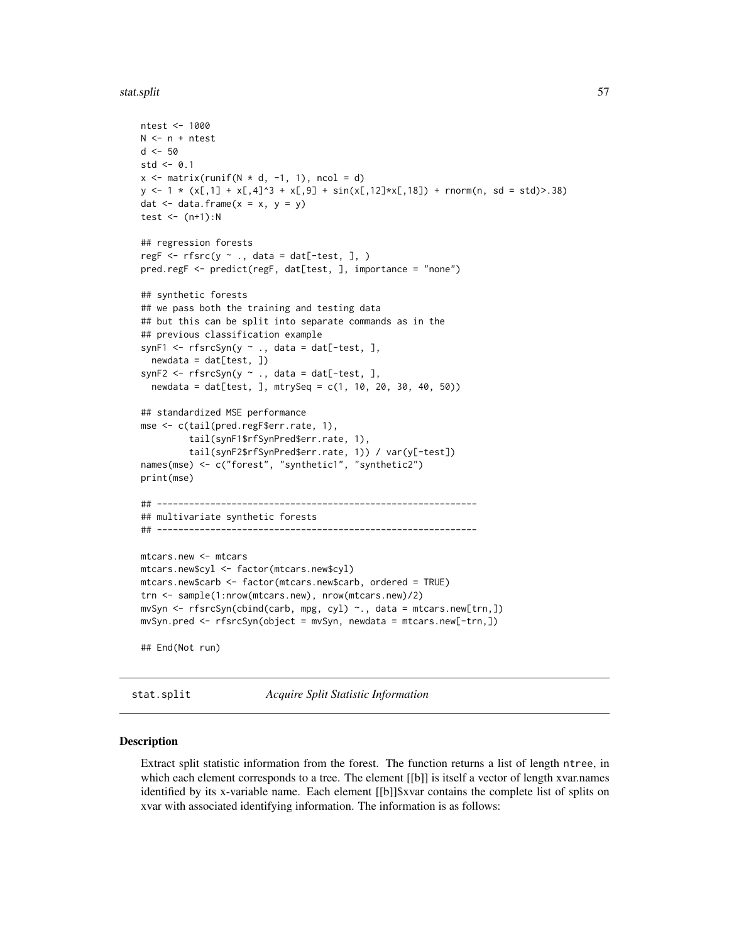<span id="page-56-1"></span>stat.split 57

```
ntest <- 1000
N < -n + ntest
d < -50std \leq 0.1x \le matrix(runif(N * d, -1, 1), ncol = d)
y \leftarrow 1 \times (x[,1] + x[,4]^3 + x[,9] + \sin(x[,12] \times x[,18]) + rnorm(n, sd = std)>.38)
dat \leq data.frame(x = x, y = y)
test \leftarrow (n+1):N
## regression forests
regF \leq rfsrc(y \sim ., data = dat[-test, ], )
pred.regF <- predict(regF, dat[test, ], importance = "none")
## synthetic forests
## we pass both the training and testing data
## but this can be split into separate commands as in the
## previous classification example
synF1 <- rfsrcSyn(y \sim ., data = dat[-test, ],newdata = dat[test, ])synF2 \leq rfsrcSyn(y \sim ., data = dat[-test, ],
  newdata = dat[test, ], mtrySeq = c(1, 10, 20, 30, 40, 50))
## standardized MSE performance
mse <- c(tail(pred.regF$err.rate, 1),
         tail(synF1$rfSynPred$err.rate, 1),
         tail(synF2$rfSynPred$err.rate, 1)) / var(y[-test])
names(mse) <- c("forest", "synthetic1", "synthetic2")
print(mse)
## ------------------------------------------------------------
## multivariate synthetic forests
## ------------------------------------------------------------
mtcars.new <- mtcars
mtcars.new$cyl <- factor(mtcars.new$cyl)
mtcars.new$carb <- factor(mtcars.new$carb, ordered = TRUE)
trn <- sample(1:nrow(mtcars.new), nrow(mtcars.new)/2)
mvSyn <- rfsrcSyn(cbind(carb, mpg, cyl) ~., data = mtcars.new[trn,])
mvSyn.pred <- rfsrcSyn(object = mvSyn, newdata = mtcars.new[-trn,])
## End(Not run)
```
<span id="page-56-0"></span>stat.split *Acquire Split Statistic Information*

## Description

Extract split statistic information from the forest. The function returns a list of length ntree, in which each element corresponds to a tree. The element [[b]] is itself a vector of length xvar.names identified by its x-variable name. Each element [[b]]\$xvar contains the complete list of splits on xvar with associated identifying information. The information is as follows: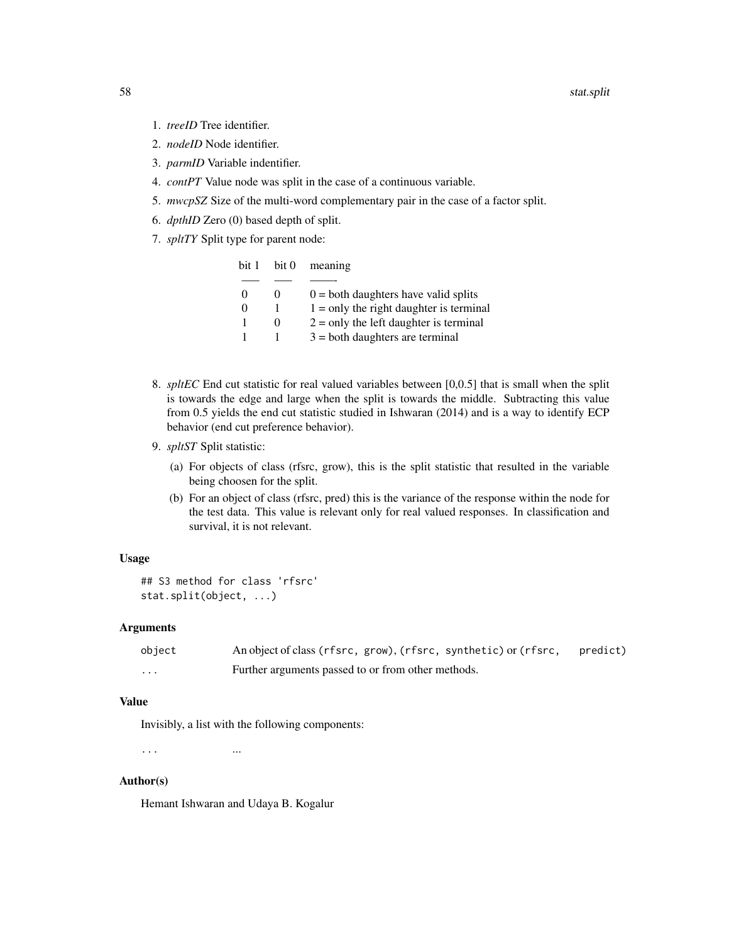- 1. *treeID* Tree identifier.
- 2. *nodeID* Node identifier.
- 3. *parmID* Variable indentifier.
- 4. *contPT* Value node was split in the case of a continuous variable.
- 5. *mwcpSZ* Size of the multi-word complementary pair in the case of a factor split.
- 6. *dpthID* Zero (0) based depth of split.
- 7. *spltTY* Split type for parent node:

| bit 1    | bit 0 | meaning                                   |
|----------|-------|-------------------------------------------|
|          |       |                                           |
| $\Omega$ |       | $0 =$ both daughters have valid splits    |
| 0        |       | $1 =$ only the right daughter is terminal |
|          |       | $2 =$ only the left daughter is terminal  |
|          |       | $3 =$ both daughters are terminal         |

- 8. *spltEC* End cut statistic for real valued variables between [0,0.5] that is small when the split is towards the edge and large when the split is towards the middle. Subtracting this value from 0.5 yields the end cut statistic studied in Ishwaran (2014) and is a way to identify ECP behavior (end cut preference behavior).
- 9. *spltST* Split statistic:
	- (a) For objects of class (rfsrc, grow), this is the split statistic that resulted in the variable being choosen for the split.
	- (b) For an object of class (rfsrc, pred) this is the variance of the response within the node for the test data. This value is relevant only for real valued responses. In classification and survival, it is not relevant.

# Usage

```
## S3 method for class 'rfsrc'
stat.split(object, ...)
```
# Arguments

| object   | An object of class (rfsrc, grow), (rfsrc, synthetic) or (rfsrc, | predict) |
|----------|-----------------------------------------------------------------|----------|
| $\cdots$ | Further arguments passed to or from other methods.              |          |

# Value

Invisibly, a list with the following components:

... ...

#### Author(s)

Hemant Ishwaran and Udaya B. Kogalur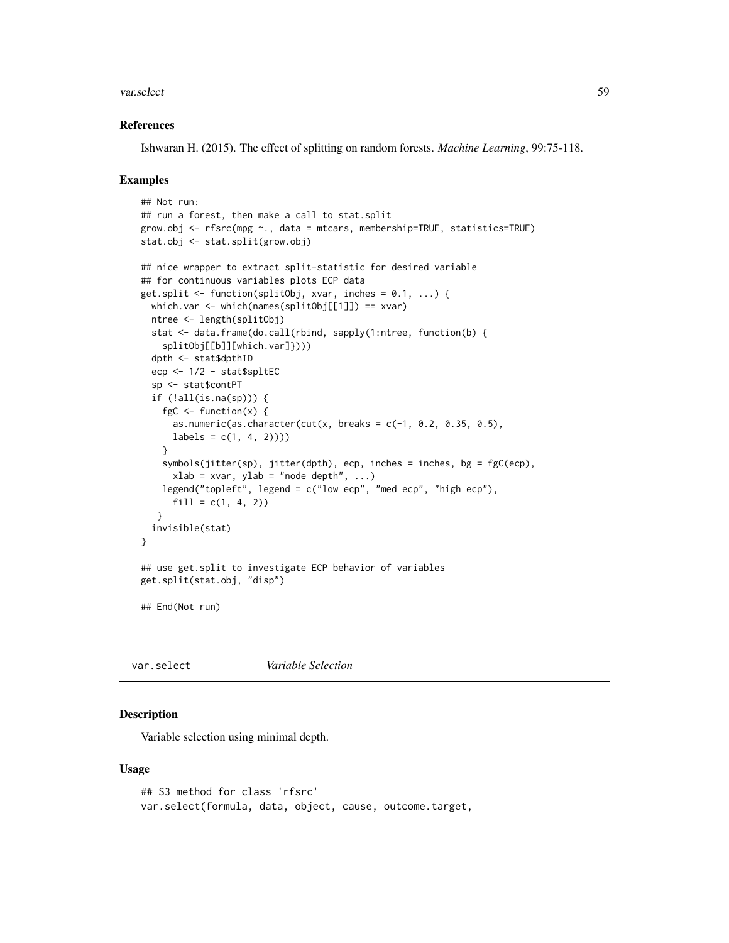#### <span id="page-58-1"></span>var.select 59

## References

Ishwaran H. (2015). The effect of splitting on random forests. *Machine Learning*, 99:75-118.

## Examples

```
## Not run:
## run a forest, then make a call to stat.split
grow.obj <- rfsrc(mpg ~., data = mtcars, membership=TRUE, statistics=TRUE)
stat.obj <- stat.split(grow.obj)
## nice wrapper to extract split-statistic for desired variable
## for continuous variables plots ECP data
get.split <- function(splitObj, xvar, inches = 0.1, ...) {
 which.var <- which(names(splitObj[[1]]) == xvar)
 ntree <- length(splitObj)
 stat <- data.frame(do.call(rbind, sapply(1:ntree, function(b) {
    splitObj[[b]][which.var]})))
 dpth <- stat$dpthID
 ecp <- 1/2 - stat$spltEC
 sp <- stat$contPT
 if (!all(is.na(sp))) {
   fgC \leftarrow function(x) {
     as.numeric(as.character(cut(x, breaks = c(-1, 0.2, 0.35, 0.5),
     labels = c(1, 4, 2))))}
    symbols(jitter(sp), jitter(dpth), ecp, inches = inches, bg = fgC(ecp),
     xlab = xvar, ylab = "node depth", ...)legend("topleft", legend = c("low ecp", "med ecp", "high ecp"),
     fill = c(1, 4, 2))}
 invisible(stat)
}
## use get.split to investigate ECP behavior of variables
get.split(stat.obj, "disp")
## End(Not run)
```
<span id="page-58-0"></span>var.select *Variable Selection*

# Description

Variable selection using minimal depth.

#### Usage

```
## S3 method for class 'rfsrc'
var.select(formula, data, object, cause, outcome.target,
```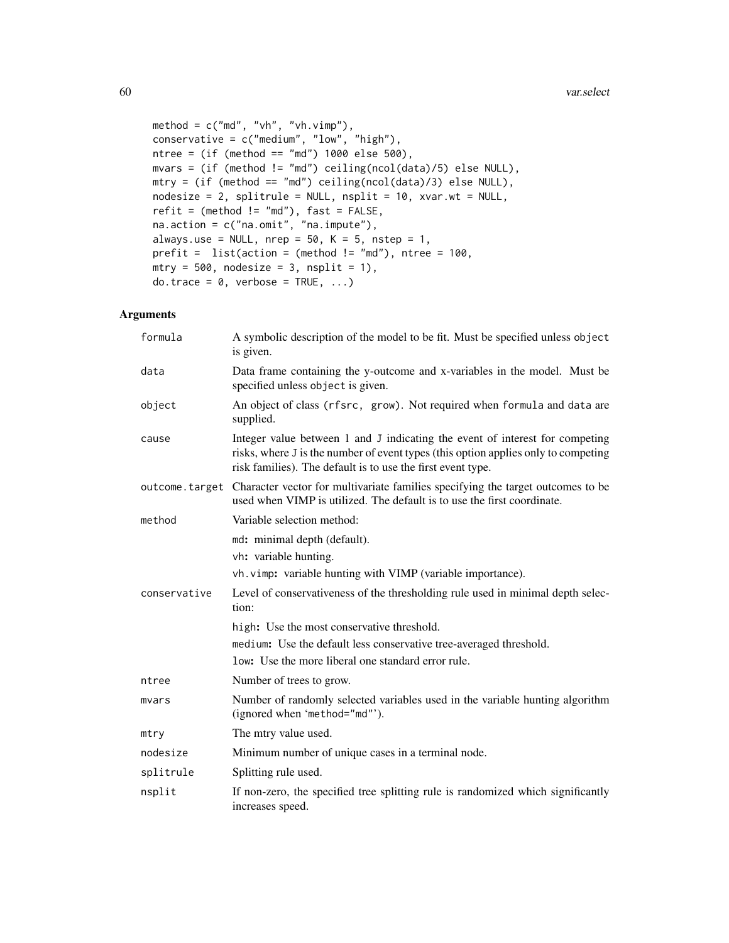```
method = c("md", "vh", "vh.vimp"),
conservative = c("medium", "low", "high"),
ntree = (if (method == "md") 1000 else 500),mvars = (if (method != "md") ceiling(ncol(data)/5) else NULL),
mtry = (if (method == "md") ceiling(ncol(data)/3) else NULL),
nodesize = 2, splitrule = NULL, nsplit = 10, xvar.wt = NULL,
refit = (method != "md"), fast = FALSE,
na.action = c("na.omit", "na.impute"),
always.use = NULL, nrep = 50, K = 5, nstep = 1,
prefit = list(action = (method != "md"), ntree = 100,
mtry = 500, nodesize = 3, nsplit = 1),
do.trace = 0, verbose = TRUE, ...)
```
# Arguments

| formula      | A symbolic description of the model to be fit. Must be specified unless object<br>is given.                                                                                                                                       |
|--------------|-----------------------------------------------------------------------------------------------------------------------------------------------------------------------------------------------------------------------------------|
| data         | Data frame containing the y-outcome and x-variables in the model. Must be<br>specified unless object is given.                                                                                                                    |
| object       | An object of class (rfsrc, grow). Not required when formula and data are<br>supplied.                                                                                                                                             |
| cause        | Integer value between 1 and J indicating the event of interest for competing<br>risks, where J is the number of event types (this option applies only to competing<br>risk families). The default is to use the first event type. |
|              | outcome. target Character vector for multivariate families specifying the target outcomes to be<br>used when VIMP is utilized. The default is to use the first coordinate.                                                        |
| method       | Variable selection method:                                                                                                                                                                                                        |
|              | md: minimal depth (default).                                                                                                                                                                                                      |
|              | vh: variable hunting.                                                                                                                                                                                                             |
|              | vh. vimp: variable hunting with VIMP (variable importance).                                                                                                                                                                       |
| conservative | Level of conservativeness of the thresholding rule used in minimal depth selec-<br>tion:                                                                                                                                          |
|              | high: Use the most conservative threshold.                                                                                                                                                                                        |
|              | medium: Use the default less conservative tree-averaged threshold.                                                                                                                                                                |
|              | low: Use the more liberal one standard error rule.                                                                                                                                                                                |
| ntree        | Number of trees to grow.                                                                                                                                                                                                          |
| mvars        | Number of randomly selected variables used in the variable hunting algorithm<br>(ignored when 'method="md"').                                                                                                                     |
| mtry         | The mtry value used.                                                                                                                                                                                                              |
| nodesize     | Minimum number of unique cases in a terminal node.                                                                                                                                                                                |
| splitrule    | Splitting rule used.                                                                                                                                                                                                              |
| nsplit       | If non-zero, the specified tree splitting rule is randomized which significantly<br>increases speed.                                                                                                                              |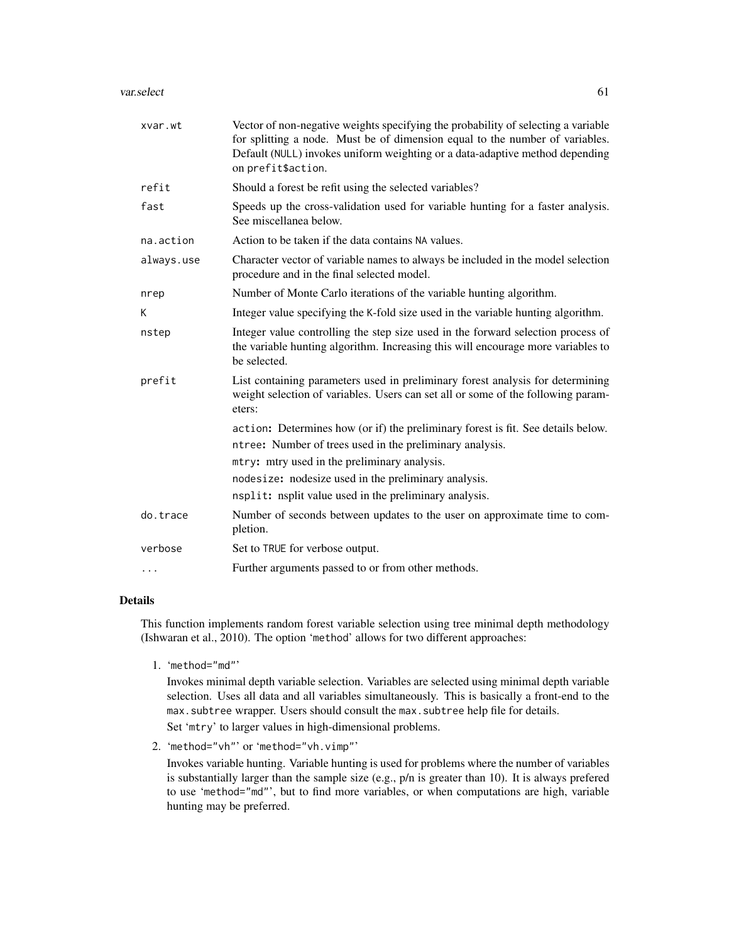#### var.select 61

| xvar.wt    | Vector of non-negative weights specifying the probability of selecting a variable<br>for splitting a node. Must be of dimension equal to the number of variables.<br>Default (NULL) invokes uniform weighting or a data-adaptive method depending<br>on prefit\$action. |
|------------|-------------------------------------------------------------------------------------------------------------------------------------------------------------------------------------------------------------------------------------------------------------------------|
| refit      | Should a forest be refit using the selected variables?                                                                                                                                                                                                                  |
| fast       | Speeds up the cross-validation used for variable hunting for a faster analysis.<br>See miscellanea below.                                                                                                                                                               |
| na.action  | Action to be taken if the data contains NA values.                                                                                                                                                                                                                      |
| always.use | Character vector of variable names to always be included in the model selection<br>procedure and in the final selected model.                                                                                                                                           |
| nrep       | Number of Monte Carlo iterations of the variable hunting algorithm.                                                                                                                                                                                                     |
| К          | Integer value specifying the K-fold size used in the variable hunting algorithm.                                                                                                                                                                                        |
| nstep      | Integer value controlling the step size used in the forward selection process of<br>the variable hunting algorithm. Increasing this will encourage more variables to<br>be selected.                                                                                    |
| prefit     | List containing parameters used in preliminary forest analysis for determining<br>weight selection of variables. Users can set all or some of the following param-<br>eters:                                                                                            |
|            | action: Determines how (or if) the preliminary forest is fit. See details below.                                                                                                                                                                                        |
|            | ntree: Number of trees used in the preliminary analysis.                                                                                                                                                                                                                |
|            | mtry: mtry used in the preliminary analysis.                                                                                                                                                                                                                            |
|            | nodesize: nodesize used in the preliminary analysis.                                                                                                                                                                                                                    |
|            | nsplit: nsplit value used in the preliminary analysis.                                                                                                                                                                                                                  |
| do.trace   | Number of seconds between updates to the user on approximate time to com-<br>pletion.                                                                                                                                                                                   |
| verbose    | Set to TRUE for verbose output.                                                                                                                                                                                                                                         |
| $\cdots$   | Further arguments passed to or from other methods.                                                                                                                                                                                                                      |

# Details

This function implements random forest variable selection using tree minimal depth methodology (Ishwaran et al., 2010). The option 'method' allows for two different approaches:

1. 'method="md"'

Invokes minimal depth variable selection. Variables are selected using minimal depth variable selection. Uses all data and all variables simultaneously. This is basically a front-end to the max. subtree wrapper. Users should consult the max. subtree help file for details. Set 'mtry' to larger values in high-dimensional problems.

2. 'method="vh"' or 'method="vh.vimp"'

Invokes variable hunting. Variable hunting is used for problems where the number of variables is substantially larger than the sample size (e.g., p/n is greater than 10). It is always prefered to use 'method="md"', but to find more variables, or when computations are high, variable hunting may be preferred.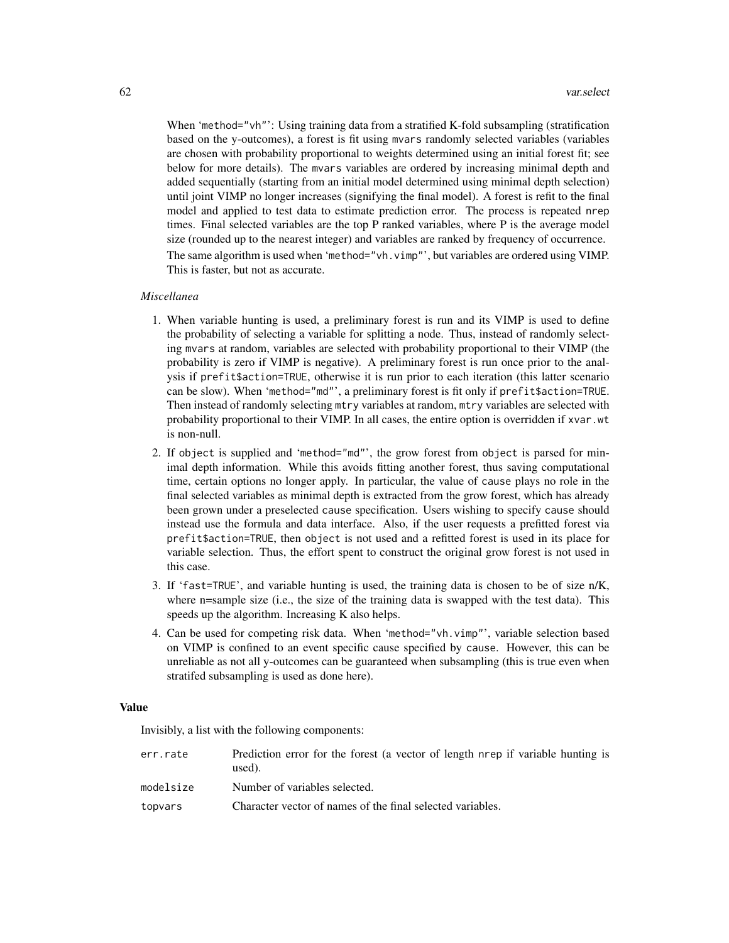When 'method="vh"': Using training data from a stratified K-fold subsampling (stratification based on the y-outcomes), a forest is fit using mvars randomly selected variables (variables are chosen with probability proportional to weights determined using an initial forest fit; see below for more details). The mvars variables are ordered by increasing minimal depth and added sequentially (starting from an initial model determined using minimal depth selection) until joint VIMP no longer increases (signifying the final model). A forest is refit to the final model and applied to test data to estimate prediction error. The process is repeated nrep times. Final selected variables are the top P ranked variables, where P is the average model size (rounded up to the nearest integer) and variables are ranked by frequency of occurrence. The same algorithm is used when 'method="vh.vimp"', but variables are ordered using VIMP. This is faster, but not as accurate.

# *Miscellanea*

- 1. When variable hunting is used, a preliminary forest is run and its VIMP is used to define the probability of selecting a variable for splitting a node. Thus, instead of randomly selecting mvars at random, variables are selected with probability proportional to their VIMP (the probability is zero if VIMP is negative). A preliminary forest is run once prior to the analysis if prefit\$action=TRUE, otherwise it is run prior to each iteration (this latter scenario can be slow). When 'method="md"', a preliminary forest is fit only if prefit\$action=TRUE. Then instead of randomly selecting mtry variables at random, mtry variables are selected with probability proportional to their VIMP. In all cases, the entire option is overridden if xvar.wt is non-null.
- 2. If object is supplied and 'method="md"', the grow forest from object is parsed for minimal depth information. While this avoids fitting another forest, thus saving computational time, certain options no longer apply. In particular, the value of cause plays no role in the final selected variables as minimal depth is extracted from the grow forest, which has already been grown under a preselected cause specification. Users wishing to specify cause should instead use the formula and data interface. Also, if the user requests a prefitted forest via prefit\$action=TRUE, then object is not used and a refitted forest is used in its place for variable selection. Thus, the effort spent to construct the original grow forest is not used in this case.
- 3. If 'fast=TRUE', and variable hunting is used, the training data is chosen to be of size n/K, where n=sample size (i.e., the size of the training data is swapped with the test data). This speeds up the algorithm. Increasing K also helps.
- 4. Can be used for competing risk data. When 'method="vh.vimp"', variable selection based on VIMP is confined to an event specific cause specified by cause. However, this can be unreliable as not all y-outcomes can be guaranteed when subsampling (this is true even when stratifed subsampling is used as done here).

# Value

Invisibly, a list with the following components:

| err.rate  | Prediction error for the forest (a vector of length nrep if variable hunting is<br>used). |
|-----------|-------------------------------------------------------------------------------------------|
| modelsize | Number of variables selected.                                                             |
| topvars   | Character vector of names of the final selected variables.                                |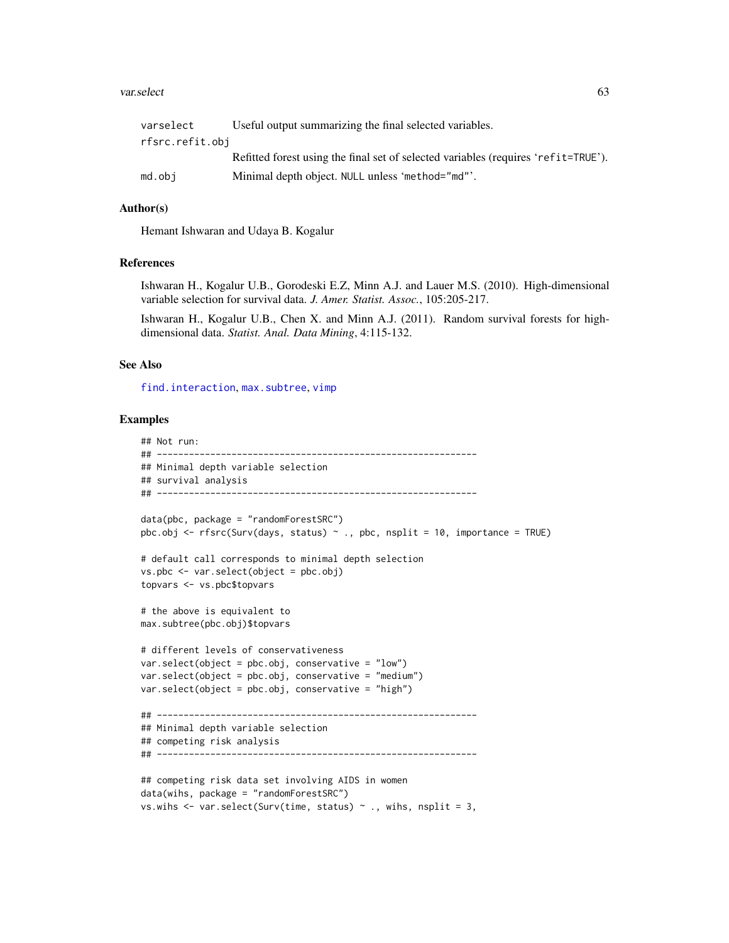#### <span id="page-62-0"></span>var.select 63

| varselect       | Useful output summarizing the final selected variables.                            |
|-----------------|------------------------------------------------------------------------------------|
| rfsrc.refit.obj |                                                                                    |
|                 | Refitted forest using the final set of selected variables (requires 'refit=TRUE'). |
| md.obi          | Minimal depth object. NULL unless 'method="md"'.                                   |

# Author(s)

Hemant Ishwaran and Udaya B. Kogalur

## References

Ishwaran H., Kogalur U.B., Gorodeski E.Z, Minn A.J. and Lauer M.S. (2010). High-dimensional variable selection for survival data. *J. Amer. Statist. Assoc.*, 105:205-217.

Ishwaran H., Kogalur U.B., Chen X. and Minn A.J. (2011). Random survival forests for highdimensional data. *Statist. Anal. Data Mining*, 4:115-132.

## See Also

find. interaction, max. subtree, [vimp](#page-66-0)

# Examples

```
## Not run:
## ------------------------------------------------------------
## Minimal depth variable selection
## survival analysis
## ------------------------------------------------------------
data(pbc, package = "randomForestSRC")
pbc.obj <- rfsrc(Surv(days, status) \sim ., pbc, nsplit = 10, importance = TRUE)
# default call corresponds to minimal depth selection
vs.pbc <- var.select(object = pbc.obj)
topvars <- vs.pbc$topvars
# the above is equivalent to
max.subtree(pbc.obj)$topvars
# different levels of conservativeness
var.select(object = pbc.obj, conservative = "low")
var.select(object = pbc.obj, conservative = "medium")
var.select(object = pbc.obj, conservative = "high")
## ------------------------------------------------------------
## Minimal depth variable selection
## competing risk analysis
## ------------------------------------------------------------
## competing risk data set involving AIDS in women
data(wihs, package = "randomForestSRC")
vs.wihs \leq var.select(Surv(time, status) \sim ., wihs, nsplit = 3,
```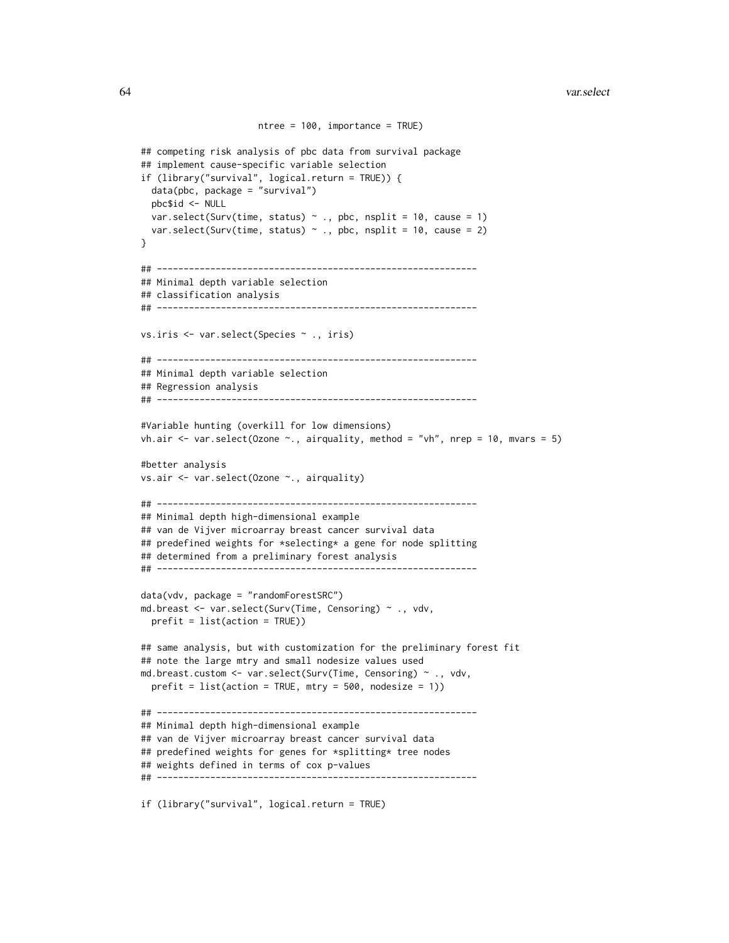```
ntree = 100, importance = TRUE)
## competing risk analysis of pbc data from survival package
## implement cause-specific variable selection
if (library("survival", logical.return = TRUE)) {
 data(pbc, package = "survival")
 pbc$id <- NULL
 var.select(Surv(time, status) \sim ., pbc, nsplit = 10, cause = 1)
 var.select(Surv(time, status) \sim ., pbc, nsplit = 10, cause = 2)
}
## ------------------------------------------------------------
## Minimal depth variable selection
## classification analysis
## ------------------------------------------------------------
vs.iris <- var.select(Species ~ ., iris)
## ------------------------------------------------------------
## Minimal depth variable selection
## Regression analysis
## ------------------------------------------------------------
#Variable hunting (overkill for low dimensions)
vh.air \le var.select(Ozone \le., airquality, method = "vh", nrep = 10, mvars = 5)
#better analysis
vs.air <- var.select(Ozone ~., airquality)
## ------------------------------------------------------------
## Minimal depth high-dimensional example
## van de Vijver microarray breast cancer survival data
## predefined weights for *selecting* a gene for node splitting
## determined from a preliminary forest analysis
## ------------------------------------------------------------
data(vdv, package = "randomForestSRC")
md.breast <- var.select(Surv(Time, Censoring) ~ ., vdv,
 prefit = list(action = TRUE))
## same analysis, but with customization for the preliminary forest fit
## note the large mtry and small nodesize values used
md.breast.custom <- var.select(Surv(Time, Censoring) ~ ., vdv,
 prefix = list(action = TRUE, mtry = 500, nodesize = 1))## ------------------------------------------------------------
## Minimal depth high-dimensional example
## van de Vijver microarray breast cancer survival data
## predefined weights for genes for *splitting* tree nodes
## weights defined in terms of cox p-values
## ------------------------------------------------------------
```
if (library("survival", logical.return = TRUE)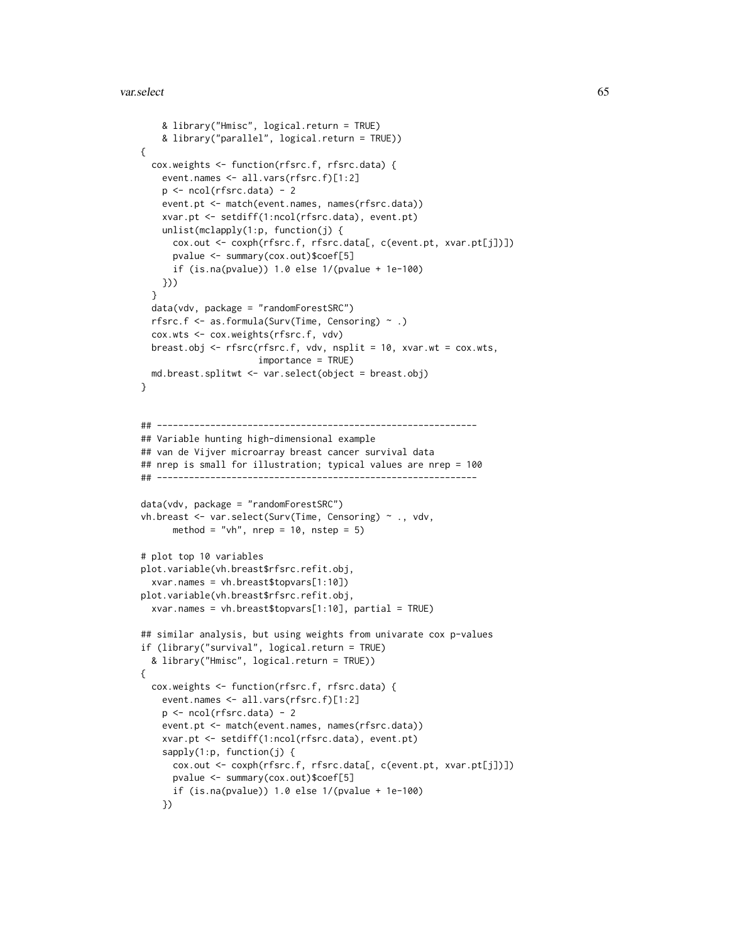#### var.select 65

```
& library("Hmisc", logical.return = TRUE)
   & library("parallel", logical.return = TRUE))
{
 cox.weights <- function(rfsrc.f, rfsrc.data) {
   event.names <- all.vars(rfsrc.f)[1:2]
   p <- ncol(rfsrc.data) - 2
   event.pt <- match(event.names, names(rfsrc.data))
   xvar.pt <- setdiff(1:ncol(rfsrc.data), event.pt)
   unlist(mclapply(1:p, function(j) {
     cox.out <- coxph(rfsrc.f, rfsrc.data[, c(event.pt, xvar.pt[j])])
     pvalue <- summary(cox.out)$coef[5]
     if (is.na(pvalue)) 1.0 else 1/(pvalue + 1e-100)
   }))
 }
 data(vdv, package = "randomForestSRC")
 rfsrc.f <- as.formula(Surv(Time, Censoring) ~ .)
 cox.wts <- cox.weights(rfsrc.f, vdv)
 breast.obj <- rfsrc(rfsrc.f, vdv, nsplit = 10, xvar.wt = cox.wts,
                      importance = TRUE)
 md.breast.splitwt <- var.select(object = breast.obj)
}
## ------------------------------------------------------------
## Variable hunting high-dimensional example
## van de Vijver microarray breast cancer survival data
## nrep is small for illustration; typical values are nrep = 100
## ------------------------------------------------------------
data(vdv, package = "randomForestSRC")
vh.breast <- var.select(Surv(Time, Censoring) ~ ., vdv,
     method = "vh", nrep = 10, nstep = 5)
# plot top 10 variables
plot.variable(vh.breast$rfsrc.refit.obj,
 xvar.names = vh.breast$topvars[1:10])
plot.variable(vh.breast$rfsrc.refit.obj,
 xvar.names = vh.breast$topvars[1:10], partial = TRUE)
## similar analysis, but using weights from univarate cox p-values
if (library("survival", logical.return = TRUE)
 & library("Hmisc", logical.return = TRUE))
{
 cox.weights <- function(rfsrc.f, rfsrc.data) {
    event.names <- all.vars(rfsrc.f)[1:2]
   p <- ncol(rfsrc.data) - 2
   event.pt <- match(event.names, names(rfsrc.data))
   xvar.pt <- setdiff(1:ncol(rfsrc.data), event.pt)
    sapply(1:p, function(j) {
     cox.out <- coxph(rfsrc.f, rfsrc.data[, c(event.pt, xvar.pt[j])])
     pvalue <- summary(cox.out)$coef[5]
     if (is.na(pvalue)) 1.0 else 1/(pvalue + 1e-100)
    })
```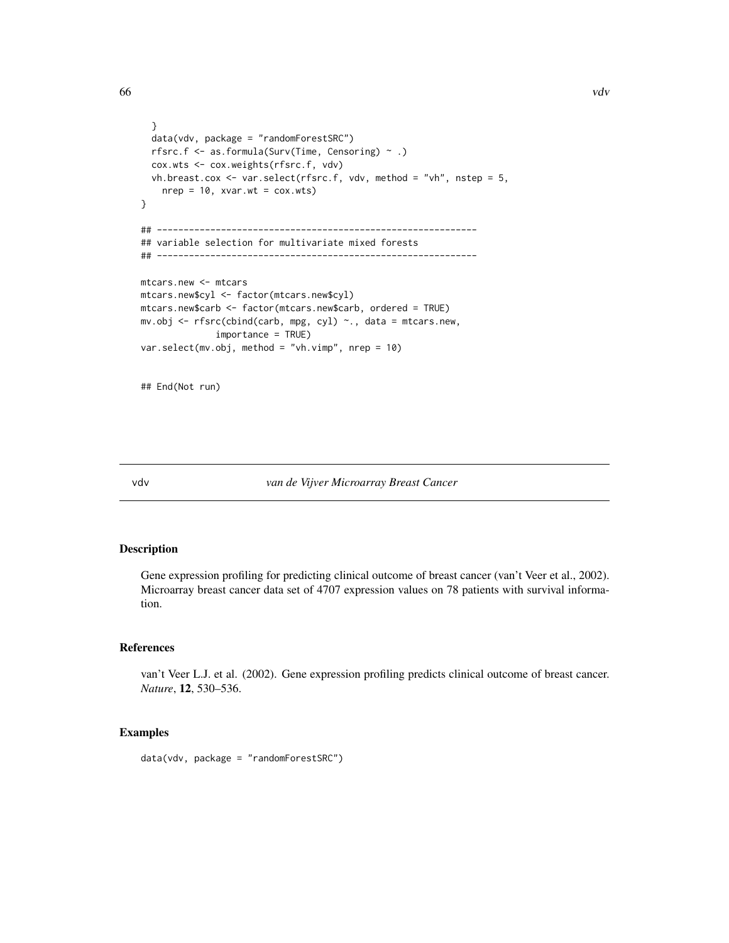```
}
  data(vdv, package = "randomForestSRC")
  rfsrc.f <- as.formula(Surv(Time, Censoring) ~ .)
  cox.wts <- cox.weights(rfsrc.f, vdv)
  vh.breast.cox \leq var.select(rfsrc.f, vdv, method = "vh", nstep = 5,
   nrep = 10, xvar.wt = cov.wts)}
## ------------------------------------------------------------
## variable selection for multivariate mixed forests
## ------------------------------------------------------------
mtcars.new <- mtcars
mtcars.new$cyl <- factor(mtcars.new$cyl)
mtcars.new$carb <- factor(mtcars.new$carb, ordered = TRUE)
mv.obj <- rfsrc(cbind(carb, mpg, cyl) ~., data = mtcars.new,
              importance = TRUE)
var.select(mv.obj, method = "vh.vimp", nrep = 10)
```
## End(Not run)

vdv *van de Vijver Microarray Breast Cancer*

# Description

Gene expression profiling for predicting clinical outcome of breast cancer (van't Veer et al., 2002). Microarray breast cancer data set of 4707 expression values on 78 patients with survival information.

# References

van't Veer L.J. et al. (2002). Gene expression profiling predicts clinical outcome of breast cancer. *Nature*, 12, 530–536.

# Examples

data(vdv, package = "randomForestSRC")

<span id="page-65-0"></span>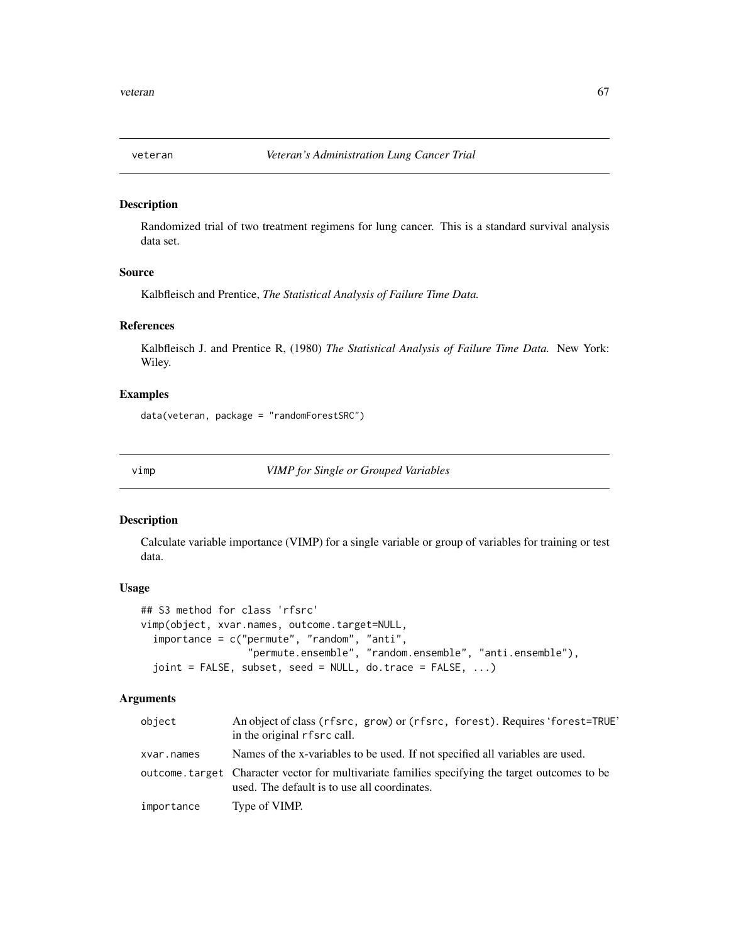<span id="page-66-1"></span>

## Description

Randomized trial of two treatment regimens for lung cancer. This is a standard survival analysis data set.

## Source

Kalbfleisch and Prentice, *The Statistical Analysis of Failure Time Data.*

# References

Kalbfleisch J. and Prentice R, (1980) *The Statistical Analysis of Failure Time Data.* New York: Wiley.

# Examples

data(veteran, package = "randomForestSRC")

<span id="page-66-0"></span>

vimp *VIMP for Single or Grouped Variables*

## Description

Calculate variable importance (VIMP) for a single variable or group of variables for training or test data.

# Usage

```
## S3 method for class 'rfsrc'
vimp(object, xvar.names, outcome.target=NULL,
  importance = c("permute", "random", "anti",
                  "permute.ensemble", "random.ensemble", "anti.ensemble"),
  joint = FALSE, subset, seed = NULL, do.trace = FALSE, ...)
```
## Arguments

| object     | An object of class (rfsrc, grow) or (rfsrc, forest). Requires 'forest=TRUE'<br>in the original rfsrc call.                                      |
|------------|-------------------------------------------------------------------------------------------------------------------------------------------------|
| xvar.names | Names of the x-variables to be used. If not specified all variables are used.                                                                   |
|            | outcome, target Character vector for multivariate families specifying the target outcomes to be<br>used. The default is to use all coordinates. |
| importance | Type of VIMP.                                                                                                                                   |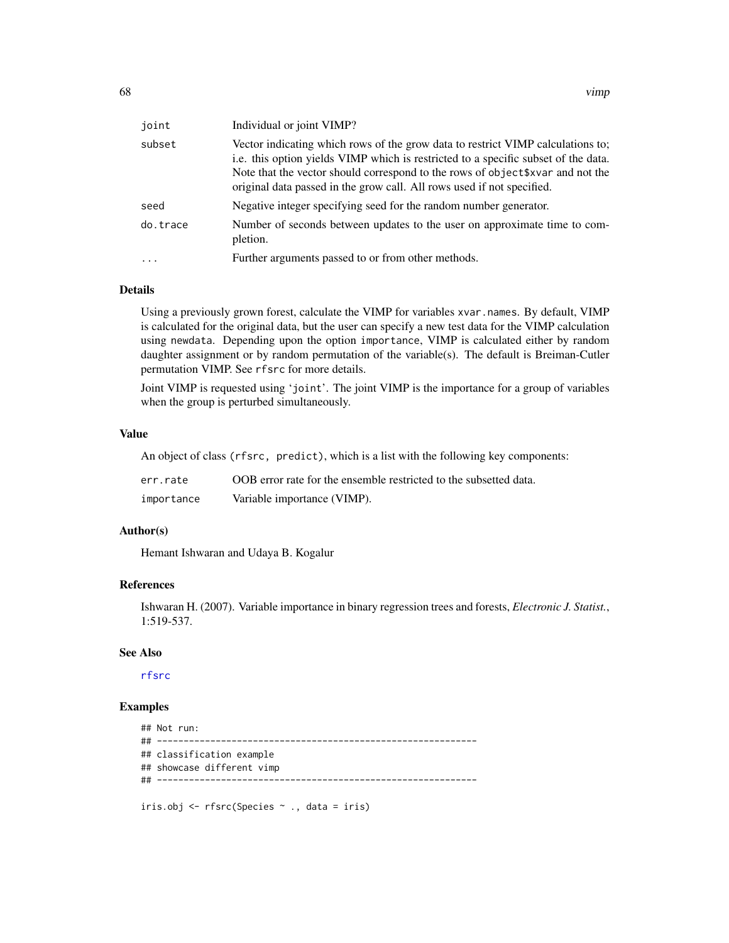<span id="page-67-0"></span>

| joint    | Individual or joint VIMP?                                                                                                                                                                                                                                                                                                          |
|----------|------------------------------------------------------------------------------------------------------------------------------------------------------------------------------------------------------------------------------------------------------------------------------------------------------------------------------------|
| subset   | Vector indicating which rows of the grow data to restrict VIMP calculations to;<br>i.e. this option yields VIMP which is restricted to a specific subset of the data.<br>Note that the vector should correspond to the rows of object \$xvar and not the<br>original data passed in the grow call. All rows used if not specified. |
| seed     | Negative integer specifying seed for the random number generator.                                                                                                                                                                                                                                                                  |
| do.trace | Number of seconds between updates to the user on approximate time to com-<br>pletion.                                                                                                                                                                                                                                              |
| $\ddots$ | Further arguments passed to or from other methods.                                                                                                                                                                                                                                                                                 |

# Details

Using a previously grown forest, calculate the VIMP for variables xvar.names. By default, VIMP is calculated for the original data, but the user can specify a new test data for the VIMP calculation using newdata. Depending upon the option importance, VIMP is calculated either by random daughter assignment or by random permutation of the variable(s). The default is Breiman-Cutler permutation VIMP. See rfsrc for more details.

Joint VIMP is requested using 'joint'. The joint VIMP is the importance for a group of variables when the group is perturbed simultaneously.

#### Value

An object of class (rfsrc, predict), which is a list with the following key components:

| err.rate   | OOB error rate for the ensemble restricted to the subsetted data. |
|------------|-------------------------------------------------------------------|
| importance | Variable importance (VIMP).                                       |

## Author(s)

Hemant Ishwaran and Udaya B. Kogalur

## References

Ishwaran H. (2007). Variable importance in binary regression trees and forests, *Electronic J. Statist.*, 1:519-537.

## See Also

[rfsrc](#page-36-0)

# Examples

```
## Not run:
## ------------------------------------------------------------
## classification example
## showcase different vimp
## ------------------------------------------------------------
iris.obj <- rfsrc(Species ~ ., data = iris)
```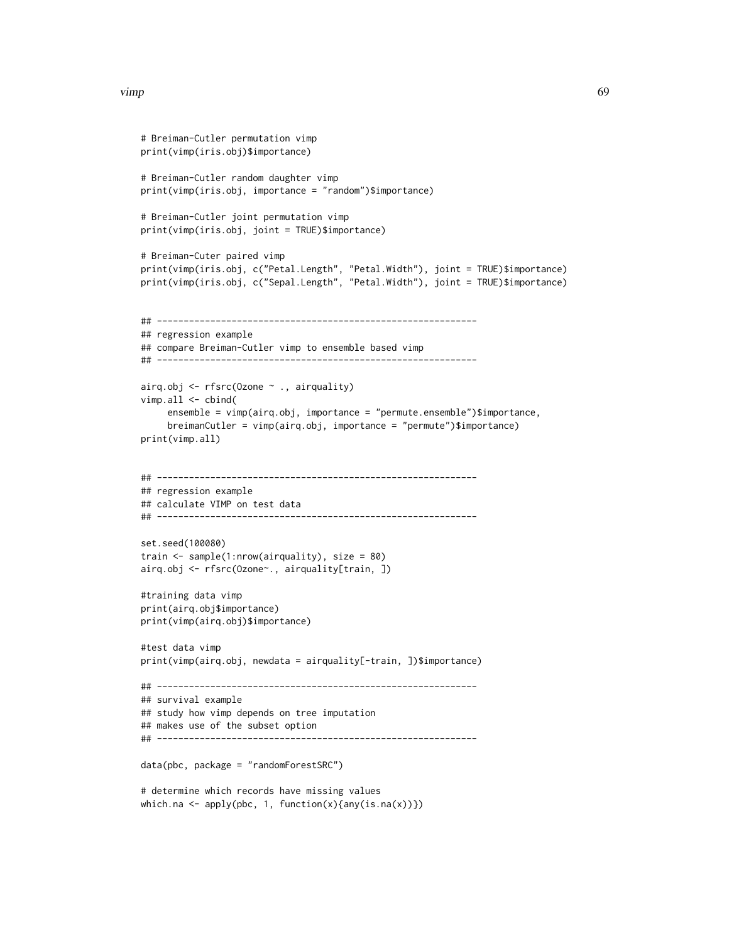```
# Breiman-Cutler permutation vimp
print(vimp(iris.obj)$importance)
# Breiman-Cutler random daughter vimp
print(vimp(iris.obj, importance = "random")$importance)
# Breiman-Cutler joint permutation vimp
print(vimp(iris.obj, joint = TRUE)$importance)
# Breiman-Cuter paired vimp
print(vimp(iris.obj, c("Petal.Length", "Petal.Width"), joint = TRUE)$importance)
print(vimp(iris.obj, c("Sepal.Length", "Petal.Width"), joint = TRUE)$importance)
## ------------------------------------------------------------
## regression example
## compare Breiman-Cutler vimp to ensemble based vimp
## ------------------------------------------------------------
airq.obj <- rfsrc(Ozone ~ ., airquality)
vimp.all <- cbind(
     ensemble = vimp(airq.obj, importance = "permute.ensemble")$importance,
     breimanCutler = vimp(airq.obj, importance = "permute")$importance)
print(vimp.all)
## ------------------------------------------------------------
## regression example
## calculate VIMP on test data
## ------------------------------------------------------------
set.seed(100080)
train <- sample(1:nrow(airquality), size = 80)
airq.obj <- rfsrc(Ozone~., airquality[train, ])
#training data vimp
print(airq.obj$importance)
print(vimp(airq.obj)$importance)
#test data vimp
print(vimp(airq.obj, newdata = airquality[-train, ])$importance)
## ------------------------------------------------------------
## survival example
## study how vimp depends on tree imputation
## makes use of the subset option
## ------------------------------------------------------------
data(pbc, package = "randomForestSRC")
# determine which records have missing values
which.na \leq apply(pbc, 1, function(x){any(is.na(x))})
```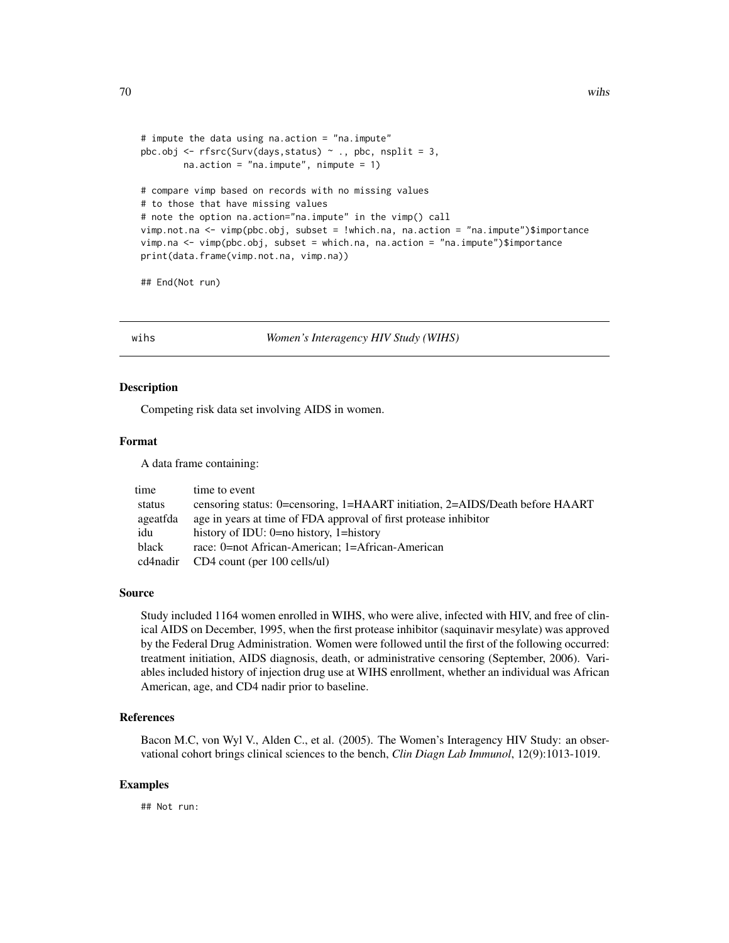```
# impute the data using na.action = "na.impute"
pbc.obj \leq rfsrc(Surv(days, status) \sim ., pbc, nsplit = 3,
        na. action = "na. impute", nimpute = 1)# compare vimp based on records with no missing values
# to those that have missing values
# note the option na.action="na.impute" in the vimp() call
vimp.not.na <- vimp(pbc.obj, subset = !which.na, na.action = "na.impute")$importance
vimp.na <- vimp(pbc.obj, subset = which.na, na.action = "na.impute")$importance
print(data.frame(vimp.not.na, vimp.na))
```
## End(Not run)

wihs *Women's Interagency HIV Study (WIHS)*

# Description

Competing risk data set involving AIDS in women.

# Format

A data frame containing:

| time     | time to event                                                                |
|----------|------------------------------------------------------------------------------|
| status   | censoring status: 0=censoring, 1=HAART initiation, 2=AIDS/Death before HAART |
| ageatfda | age in years at time of FDA approval of first protease inhibitor             |
| idu      | history of IDU: $0=$ no history, 1=history                                   |
| black    | race: 0=not African-American: 1=African-American                             |
| cd4nadir | CD4 count (per 100 cells/ul)                                                 |

#### Source

Study included 1164 women enrolled in WIHS, who were alive, infected with HIV, and free of clinical AIDS on December, 1995, when the first protease inhibitor (saquinavir mesylate) was approved by the Federal Drug Administration. Women were followed until the first of the following occurred: treatment initiation, AIDS diagnosis, death, or administrative censoring (September, 2006). Variables included history of injection drug use at WIHS enrollment, whether an individual was African American, age, and CD4 nadir prior to baseline.

# References

Bacon M.C, von Wyl V., Alden C., et al. (2005). The Women's Interagency HIV Study: an observational cohort brings clinical sciences to the bench, *Clin Diagn Lab Immunol*, 12(9):1013-1019.

## Examples

## Not run: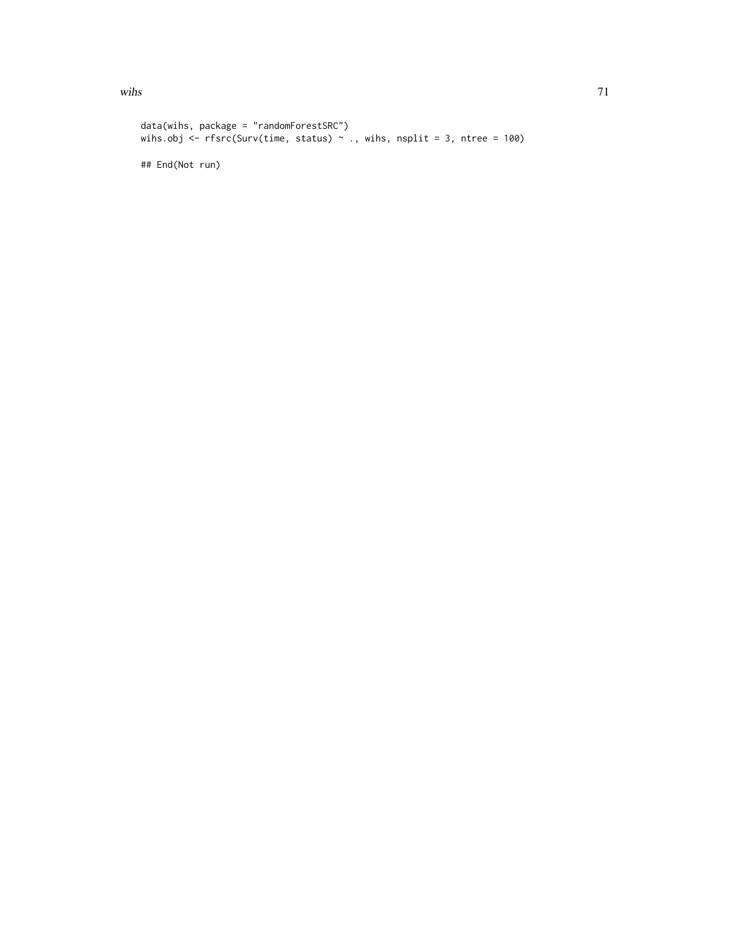```
data(wihs, package = "randomForestSRC")
wihs.obj \langle- rfsrc(Surv(time, status) \sim ., wihs, nsplit = 3, ntree = 100)
## End(Not run)
```